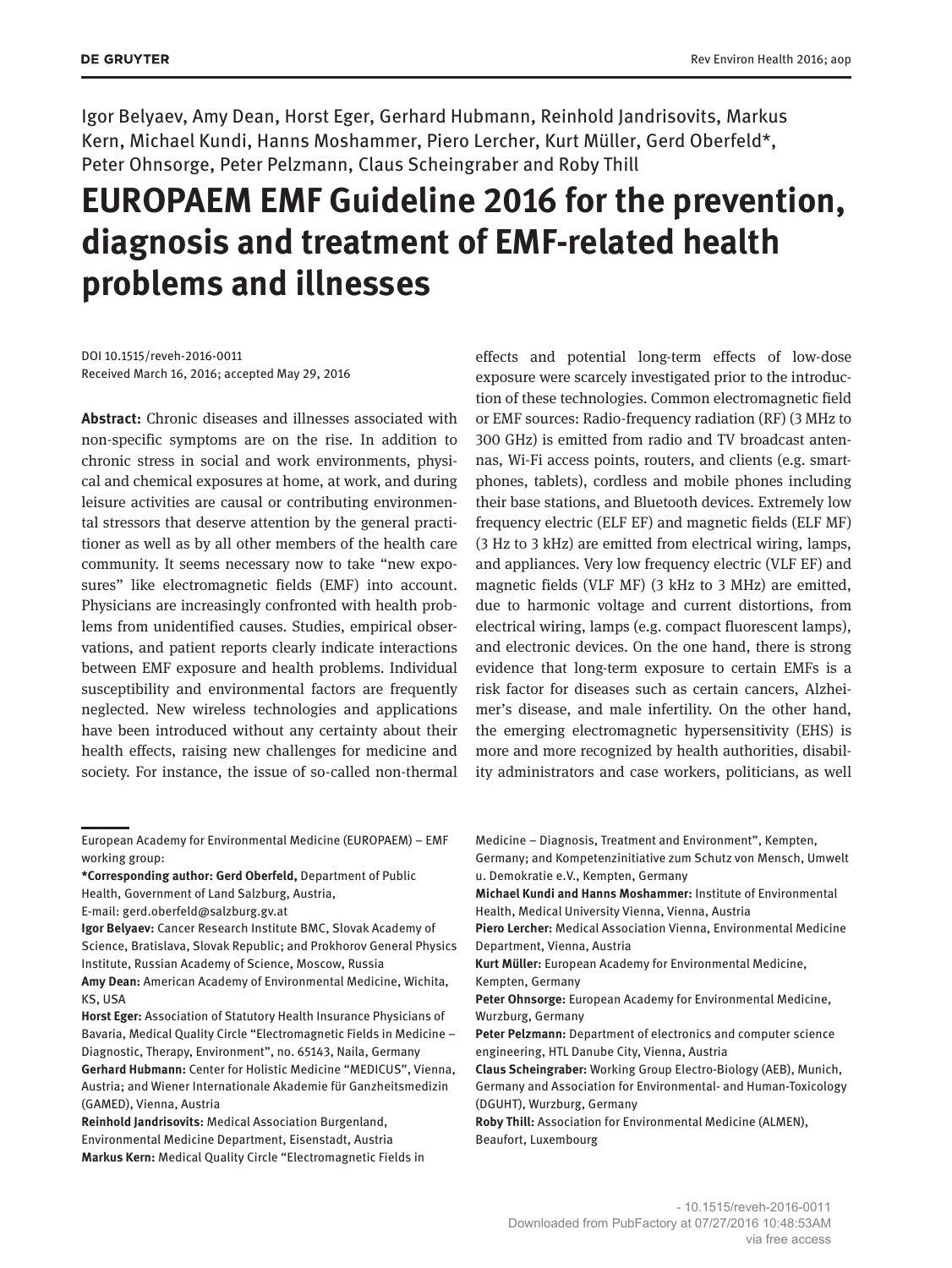Igor Belyaev, Amy Dean, Horst Eger, Gerhard Hubmann, Reinhold Jandrisovits, Markus Kern, Michael Kundi, Hanns Moshammer, Piero Lercher, Kurt Müller, Gerd Oberfeld\*, Peter Ohnsorge, Peter Pelzmann, Claus Scheingraber and Roby Thill

# **EUROPAEM EMF Guideline 2016 for the prevention, diagnosis and treatment of EMF-related health problems and illnesses**

DOI 10.1515/reveh-2016-0011 Received March 16, 2016; accepted May 29, 2016

**Abstract:** Chronic diseases and illnesses associated with non-specific symptoms are on the rise. In addition to chronic stress in social and work environments, physical and chemical exposures at home, at work, and during leisure activities are causal or contributing environmental stressors that deserve attention by the general practitioner as well as by all other members of the health care community. It seems necessary now to take "new exposures" like electromagnetic fields (EMF) into account. Physicians are increasingly confronted with health problems from unidentified causes. Studies, empirical observations, and patient reports clearly indicate interactions between EMF exposure and health problems. Individual susceptibility and environmental factors are frequently neglected. New wireless technologies and applications have been introduced without any certainty about their health effects, raising new challenges for medicine and society. For instance, the issue of so-called non-thermal

effects and potential long-term effects of low-dose exposure were scarcely investigated prior to the introduction of these technologies. Common electromagnetic field or EMF sources: Radio-frequency radiation (RF) (3 MHz to 300 GHz) is emitted from radio and TV broadcast antennas, Wi-Fi access points, routers, and clients (e.g. smartphones, tablets), cordless and mobile phones including their base stations, and Bluetooth devices. Extremely low frequency electric (ELF EF) and magnetic fields (ELF MF) (3 Hz to 3 kHz) are emitted from electrical wiring, lamps, and appliances. Very low frequency electric (VLF EF) and magnetic fields (VLF MF) (3 kHz to 3 MHz) are emitted, due to harmonic voltage and current distortions, from electrical wiring, lamps (e.g. compact fluorescent lamps), and electronic devices. On the one hand, there is strong evidence that long-term exposure to certain EMFs is a risk factor for diseases such as certain cancers, Alzheimer's disease, and male infertility. On the other hand, the emerging electromagnetic hypersensitivity (EHS) is more and more recognized by health authorities, disability administrators and case workers, politicians, as well

E-mail: [gerd.oberfeld@salzburg.gv.at](mailto:gerd.oberfeld@salzburg.gv.at)

**Igor Belyaev:** Cancer Research Institute BMC, Slovak Academy of Science, Bratislava, Slovak Republic; and Prokhorov General Physics Institute, Russian Academy of Science, Moscow, Russia

Medicine – Diagnosis, Treatment and Environment", Kempten,

Germany; and Kompetenzinitiative zum Schutz von Mensch, Umwelt u. Demokratie e.V., Kempten, Germany

**Michael Kundi and Hanns Moshammer:** Institute of Environmental Health, Medical University Vienna, Vienna, Austria

**Piero Lercher:** Medical Association Vienna, Environmental Medicine Department, Vienna, Austria

**Kurt Müller:** European Academy for Environmental Medicine, Kempten, Germany

**Peter Ohnsorge:** European Academy for Environmental Medicine, Wurzburg, Germany

**Peter Pelzmann:** Department of electronics and computer science engineering, HTL Danube City, Vienna, Austria

**Roby Thill:** Association for Environmental Medicine (ALMEN), Beaufort, Luxembourg

European Academy for Environmental Medicine (EUROPAEM) – EMF working group:

**<sup>\*</sup>Corresponding author: Gerd Oberfeld,** Department of Public Health, Government of Land Salzburg, Austria,

**Amy Dean:** American Academy of Environmental Medicine, Wichita, KS, USA

**Horst Eger:** Association of Statutory Health Insurance Physicians of Bavaria, Medical Quality Circle "Electromagnetic Fields in Medicine – Diagnostic, Therapy, Environment", no. 65143, Naila, Germany **Gerhard Hubmann:** Center for Holistic Medicine "MEDICUS", Vienna, Austria; and Wiener Internationale Akademie für Ganzheitsmedizin (GAMED), Vienna, Austria

**Reinhold Jandrisovits:** Medical Association Burgenland, Environmental Medicine Department, Eisenstadt, Austria **Markus Kern:** Medical Quality Circle "Electromagnetic Fields in

**Claus Scheingraber:** Working Group Electro-Biology (AEB), Munich, Germany and Association for Environmental- and Human-Toxicology (DGUHT), Wurzburg, Germany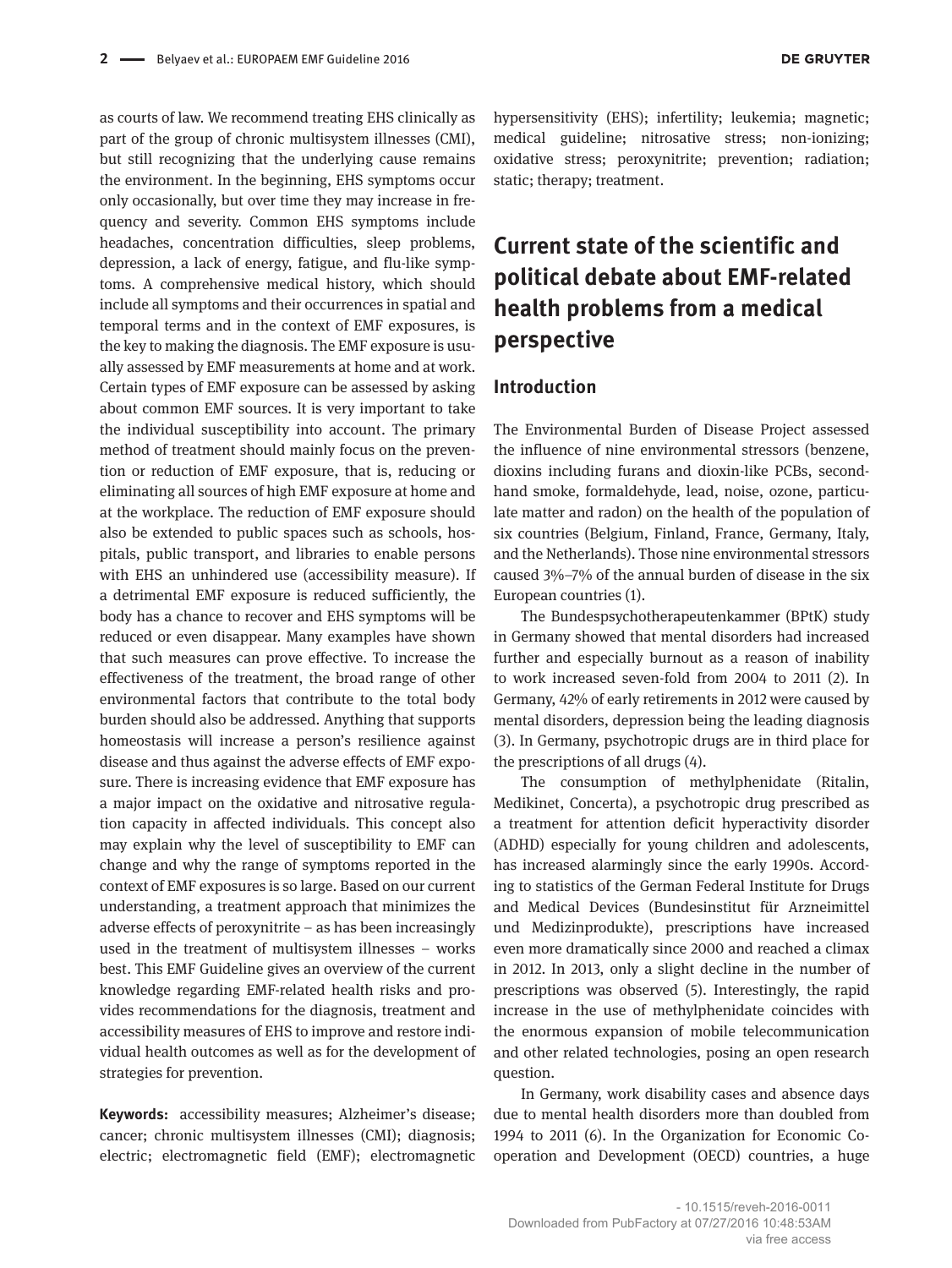as courts of law. We recommend treating EHS clinically as part of the group of chronic multisystem illnesses (CMI), but still recognizing that the underlying cause remains the environment. In the beginning, EHS symptoms occur only occasionally, but over time they may increase in frequency and severity. Common EHS symptoms include headaches, concentration difficulties, sleep problems, depression, a lack of energy, fatigue, and flu-like symptoms. A comprehensive medical history, which should include all symptoms and their occurrences in spatial and temporal terms and in the context of EMF exposures, is the key to making the diagnosis. The EMF exposure is usually assessed by EMF measurements at home and at work. Certain types of EMF exposure can be assessed by asking about common EMF sources. It is very important to take the individual susceptibility into account. The primary method of treatment should mainly focus on the prevention or reduction of EMF exposure, that is, reducing or eliminating all sources of high EMF exposure at home and at the workplace. The reduction of EMF exposure should also be extended to public spaces such as schools, hospitals, public transport, and libraries to enable persons with EHS an unhindered use (accessibility measure). If a detrimental EMF exposure is reduced sufficiently, the body has a chance to recover and EHS symptoms will be reduced or even disappear. Many examples have shown that such measures can prove effective. To increase the effectiveness of the treatment, the broad range of other environmental factors that contribute to the total body burden should also be addressed. Anything that supports homeostasis will increase a person's resilience against disease and thus against the adverse effects of EMF exposure. There is increasing evidence that EMF exposure has a major impact on the oxidative and nitrosative regulation capacity in affected individuals. This concept also may explain why the level of susceptibility to EMF can change and why the range of symptoms reported in the context of EMF exposures is so large. Based on our current understanding, a treatment approach that minimizes the adverse effects of peroxynitrite – as has been increasingly used in the treatment of multisystem illnesses – works best. This EMF Guideline gives an overview of the current knowledge regarding EMF-related health risks and provides recommendations for the diagnosis, treatment and accessibility measures of EHS to improve and restore individual health outcomes as well as for the development of strategies for prevention.

**Keywords:** accessibility measures; Alzheimer's disease; cancer; chronic multisystem illnesses (CMI); diagnosis; electric; electromagnetic field (EMF); electromagnetic

hypersensitivity (EHS); infertility; leukemia; magnetic; medical guideline; nitrosative stress; non-ionizing; oxidative stress; peroxynitrite; prevention; radiation; static; therapy; treatment.

## **Current state of the scientific and political debate about EMF-related health problems from a medical perspective**

## **Introduction**

The Environmental Burden of Disease Project assessed the influence of nine environmental stressors (benzene, dioxins including furans and dioxin-like PCBs, secondhand smoke, formaldehyde, lead, noise, ozone, particulate matter and radon) on the health of the population of six countries (Belgium, Finland, France, Germany, Italy, and the Netherlands). Those nine environmental stressors caused 3%–7% of the annual burden of disease in the six European countries (1).

The Bundespsychotherapeutenkammer (BPtK) study in Germany showed that mental disorders had increased further and especially burnout as a reason of inability to work increased seven-fold from 2004 to 2011 (2). In Germany, 42% of early retirements in 2012 were caused by mental disorders, depression being the leading diagnosis (3). In Germany, psychotropic drugs are in third place for the prescriptions of all drugs (4).

The consumption of methylphenidate (Ritalin, Medikinet, Concerta), a psychotropic drug prescribed as a treatment for attention deficit hyperactivity disorder (ADHD) especially for young children and adolescents, has increased alarmingly since the early 1990s. According to statistics of the German Federal Institute for Drugs and Medical Devices (Bundesinstitut für Arzneimittel und Medizinprodukte), prescriptions have increased even more dramatically since 2000 and reached a climax in 2012. In 2013, only a slight decline in the number of prescriptions was observed (5). Interestingly, the rapid increase in the use of methylphenidate coincides with the enormous expansion of mobile telecommunication and other related technologies, posing an open research question.

In Germany, work disability cases and absence days due to mental health disorders more than doubled from 1994 to 2011 (6). In the Organization for Economic Cooperation and Development (OECD) countries, a huge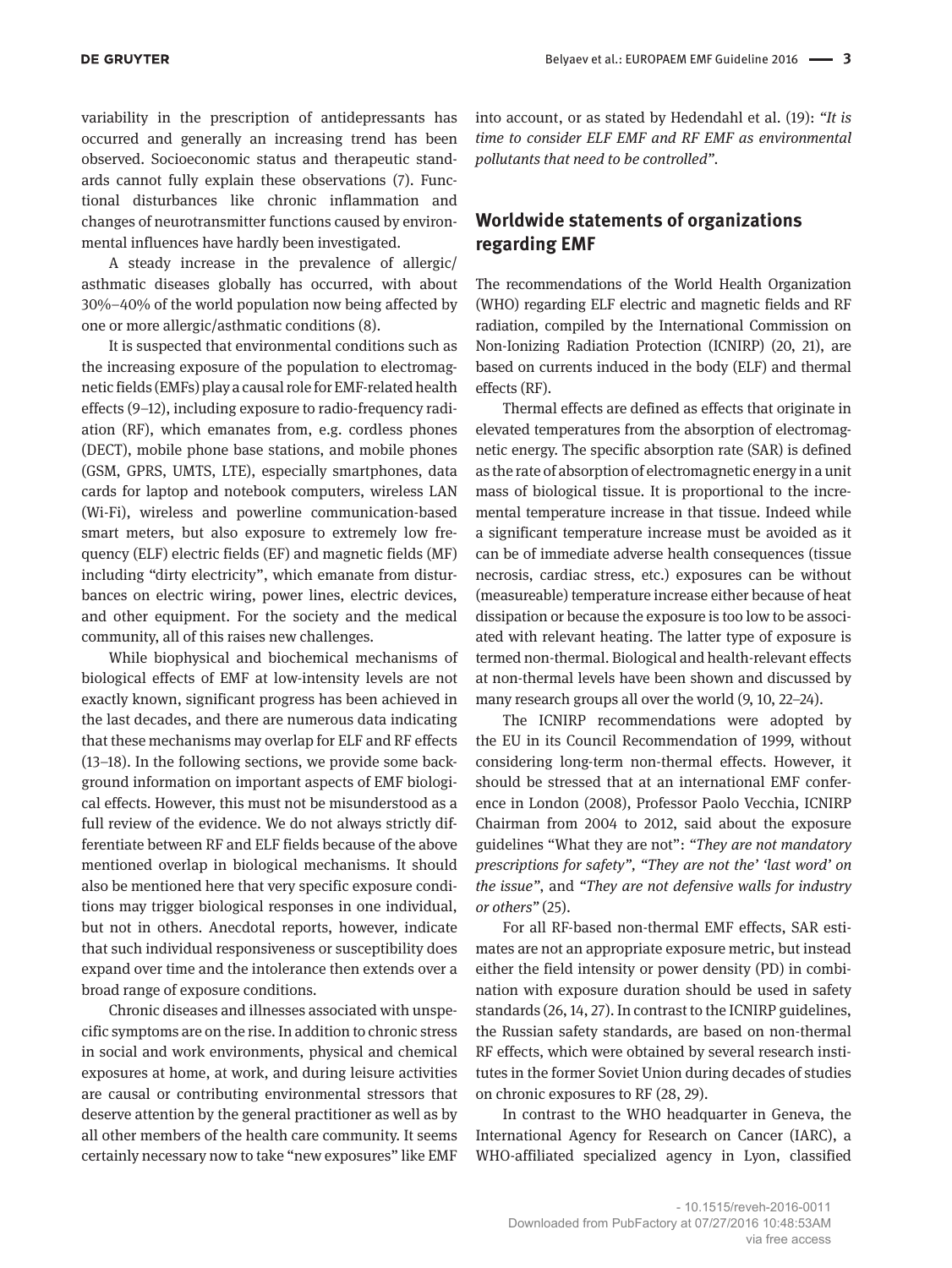variability in the prescription of antidepressants has occurred and generally an increasing trend has been observed. Socioeconomic status and therapeutic standards cannot fully explain these observations (7). Functional disturbances like chronic inflammation and changes of neurotransmitter functions caused by environmental influences have hardly been investigated.

A steady increase in the prevalence of allergic/ asthmatic diseases globally has occurred, with about 30%–40% of the world population now being affected by one or more allergic/asthmatic conditions (8).

It is suspected that environmental conditions such as the increasing exposure of the population to electromagnetic fields (EMFs) play a causal role for EMF-related health effects (9–12), including exposure to radio-frequency radiation (RF), which emanates from, e.g. cordless phones (DECT), mobile phone base stations, and mobile phones (GSM, GPRS, UMTS, LTE), especially smartphones, data cards for laptop and notebook computers, wireless LAN (Wi-Fi), wireless and powerline communication-based smart meters, but also exposure to extremely low frequency (ELF) electric fields (EF) and magnetic fields (MF) including "dirty electricity", which emanate from disturbances on electric wiring, power lines, electric devices, and other equipment. For the society and the medical community, all of this raises new challenges.

While biophysical and biochemical mechanisms of biological effects of EMF at low-intensity levels are not exactly known, significant progress has been achieved in the last decades, and there are numerous data indicating that these mechanisms may overlap for ELF and RF effects (13–18). In the following sections, we provide some background information on important aspects of EMF biological effects. However, this must not be misunderstood as a full review of the evidence. We do not always strictly differentiate between RF and ELF fields because of the above mentioned overlap in biological mechanisms. It should also be mentioned here that very specific exposure conditions may trigger biological responses in one individual, but not in others. Anecdotal reports, however, indicate that such individual responsiveness or susceptibility does expand over time and the intolerance then extends over a broad range of exposure conditions.

Chronic diseases and illnesses associated with unspecific symptoms are on the rise. In addition to chronic stress in social and work environments, physical and chemical exposures at home, at work, and during leisure activities are causal or contributing environmental stressors that deserve attention by the general practitioner as well as by all other members of the health care community. It seems certainly necessary now to take "new exposures" like EMF into account, or as stated by Hedendahl et al. (19): *"It is time to consider ELF EMF and RF EMF as environmental pollutants that need to be controlled"*.

## **Worldwide statements of organizations regarding EMF**

The recommendations of the World Health Organization (WHO) regarding ELF electric and magnetic fields and RF radiation, compiled by the International Commission on Non-Ionizing Radiation Protection (ICNIRP) (20, 21), are based on currents induced in the body (ELF) and thermal effects (RF).

Thermal effects are defined as effects that originate in elevated temperatures from the absorption of electromagnetic energy. The specific absorption rate (SAR) is defined as the rate of absorption of electromagnetic energy in a unit mass of biological tissue. It is proportional to the incremental temperature increase in that tissue. Indeed while a significant temperature increase must be avoided as it can be of immediate adverse health consequences (tissue necrosis, cardiac stress, etc.) exposures can be without (measureable) temperature increase either because of heat dissipation or because the exposure is too low to be associated with relevant heating. The latter type of exposure is termed non-thermal. Biological and health-relevant effects at non-thermal levels have been shown and discussed by many research groups all over the world (9, 10, 22–24).

The ICNIRP recommendations were adopted by the EU in its Council Recommendation of 1999, without considering long-term non-thermal effects. However, it should be stressed that at an international EMF conference in London (2008), Professor Paolo Vecchia, ICNIRP Chairman from 2004 to 2012, said about the exposure guidelines "What they are not": *"They are not mandatory prescriptions for safety", "They are not the' 'last word' on the issue"*, and *"They are not defensive walls for industry or others"* (25).

For all RF-based non-thermal EMF effects, SAR estimates are not an appropriate exposure metric, but instead either the field intensity or power density (PD) in combination with exposure duration should be used in safety standards (26, 14, 27). In contrast to the ICNIRP guidelines, the Russian safety standards, are based on non-thermal RF effects, which were obtained by several research institutes in the former Soviet Union during decades of studies on chronic exposures to RF (28, 29).

In contrast to the WHO headquarter in Geneva, the International Agency for Research on Cancer (IARC), a WHO-affiliated specialized agency in Lyon, classified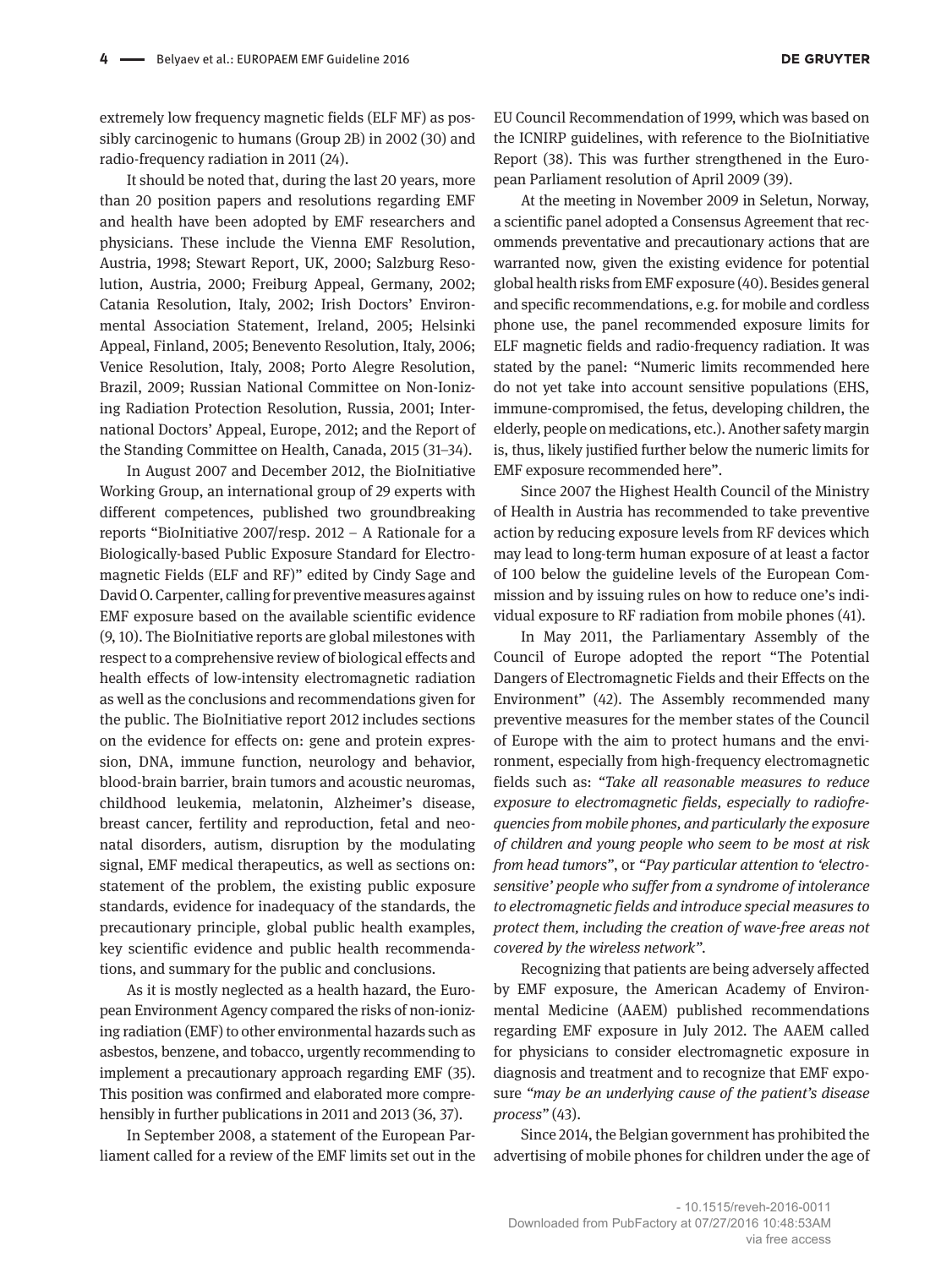extremely low frequency magnetic fields (ELF MF) as possibly carcinogenic to humans (Group 2B) in 2002 (30) and radio-frequency radiation in 2011 (24).

It should be noted that, during the last 20 years, more than 20 position papers and resolutions regarding EMF and health have been adopted by EMF researchers and physicians. These include the Vienna EMF Resolution, Austria, 1998; Stewart Report, UK, 2000; Salzburg Resolution, Austria, 2000; Freiburg Appeal, Germany, 2002; Catania Resolution, Italy, 2002; Irish Doctors' Environmental Association Statement, Ireland, 2005; Helsinki Appeal, Finland, 2005; Benevento Resolution, Italy, 2006; Venice Resolution, Italy, 2008; Porto Alegre Resolution, Brazil, 2009; Russian National Committee on Non-Ionizing Radiation Protection Resolution, Russia, 2001; International Doctors' Appeal, Europe, 2012; and the Report of the Standing Committee on Health, Canada, 2015 (31–34).

In August 2007 and December 2012, the BioInitiative Working Group, an international group of 29 experts with different competences, published two groundbreaking reports "BioInitiative 2007/resp. 2012 – A Rationale for a Biologically-based Public Exposure Standard for Electromagnetic Fields (ELF and RF)" edited by Cindy Sage and David O. Carpenter, calling for preventive measures against EMF exposure based on the available scientific evidence (9, 10). The BioInitiative reports are global milestones with respect to a comprehensive review of biological effects and health effects of low-intensity electromagnetic radiation as well as the conclusions and recommendations given for the public. The BioInitiative report 2012 includes sections on the evidence for effects on: gene and protein expression, DNA, immune function, neurology and behavior, blood-brain barrier, brain tumors and acoustic neuromas, childhood leukemia, melatonin, Alzheimer's disease, breast cancer, fertility and reproduction, fetal and neonatal disorders, autism, disruption by the modulating signal, EMF medical therapeutics, as well as sections on: statement of the problem, the existing public exposure standards, evidence for inadequacy of the standards, the precautionary principle, global public health examples, key scientific evidence and public health recommendations, and summary for the public and conclusions.

As it is mostly neglected as a health hazard, the European Environment Agency compared the risks of non-ionizing radiation (EMF) to other environmental hazards such as asbestos, benzene, and tobacco, urgently recommending to implement a precautionary approach regarding EMF (35). This position was confirmed and elaborated more comprehensibly in further publications in 2011 and 2013 (36, 37).

In September 2008, a statement of the European Parliament called for a review of the EMF limits set out in the

EU Council Recommendation of 1999, which was based on the ICNIRP guidelines, with reference to the BioInitiative Report (38). This was further strengthened in the European Parliament resolution of April 2009 (39).

At the meeting in November 2009 in Seletun, Norway, a scientific panel adopted a Consensus Agreement that recommends preventative and precautionary actions that are warranted now, given the existing evidence for potential global health risks from EMF exposure (40). Besides general and specific recommendations, e.g. for mobile and cordless phone use, the panel recommended exposure limits for ELF magnetic fields and radio-frequency radiation. It was stated by the panel: "Numeric limits recommended here do not yet take into account sensitive populations (EHS, immune-compromised, the fetus, developing children, the elderly, people on medications, etc.). Another safety margin is, thus, likely justified further below the numeric limits for EMF exposure recommended here".

Since 2007 the Highest Health Council of the Ministry of Health in Austria has recommended to take preventive action by reducing exposure levels from RF devices which may lead to long-term human exposure of at least a factor of 100 below the guideline levels of the European Commission and by issuing rules on how to reduce one's individual exposure to RF radiation from mobile phones (41).

In May 2011, the Parliamentary Assembly of the Council of Europe adopted the report "The Potential Dangers of Electromagnetic Fields and their Effects on the Environment" (42). The Assembly recommended many preventive measures for the member states of the Council of Europe with the aim to protect humans and the environment, especially from high-frequency electromagnetic fields such as: *"Take all reasonable measures to reduce exposure to electromagnetic fields, especially to radiofrequencies from mobile phones, and particularly the exposure of children and young people who seem to be most at risk from head tumors"*, or *"Pay particular attention to 'electrosensitive' people who suffer from a syndrome of intolerance to electromagnetic fields and introduce special measures to protect them, including the creation of wave-free areas not covered by the wireless network".*

Recognizing that patients are being adversely affected by EMF exposure, the American Academy of Environmental Medicine (AAEM) published recommendations regarding EMF exposure in July 2012. The AAEM called for physicians to consider electromagnetic exposure in diagnosis and treatment and to recognize that EMF exposure *"may be an underlying cause of the patient's disease process"* (43).

Since 2014, the Belgian government has prohibited the advertising of mobile phones for children under the age of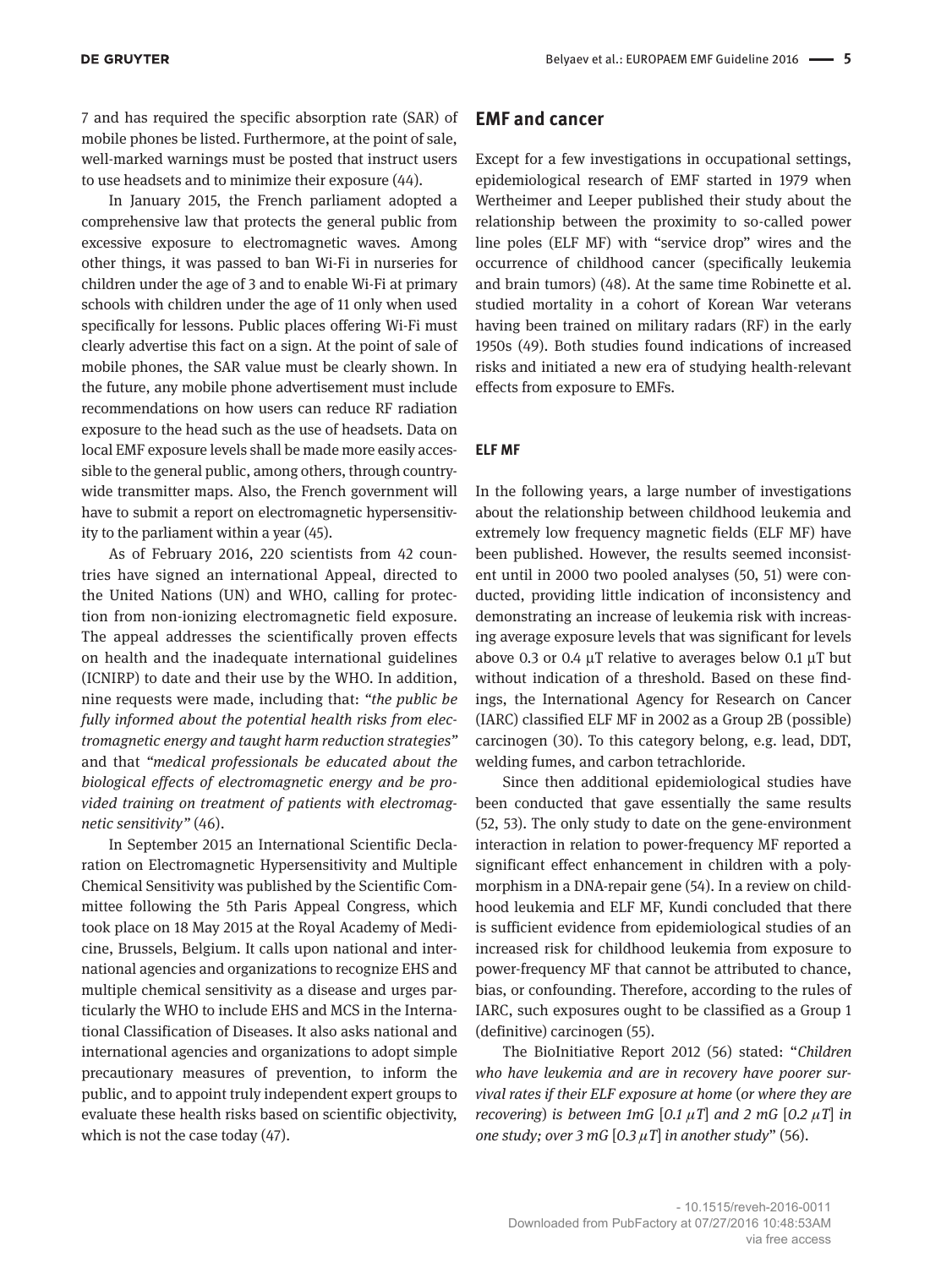7 and has required the specific absorption rate (SAR) of mobile phones be listed. Furthermore, at the point of sale, well-marked warnings must be posted that instruct users to use headsets and to minimize their exposure (44).

In January 2015, the French parliament adopted a comprehensive law that protects the general public from excessive exposure to electromagnetic waves. Among other things, it was passed to ban Wi-Fi in nurseries for children under the age of 3 and to enable Wi-Fi at primary schools with children under the age of 11 only when used specifically for lessons. Public places offering Wi-Fi must clearly advertise this fact on a sign. At the point of sale of mobile phones, the SAR value must be clearly shown. In the future, any mobile phone advertisement must include recommendations on how users can reduce RF radiation exposure to the head such as the use of headsets. Data on local EMF exposure levels shall be made more easily accessible to the general public, among others, through countrywide transmitter maps. Also, the French government will have to submit a report on electromagnetic hypersensitivity to the parliament within a year (45).

As of February 2016, 220 scientists from 42 countries have signed an international Appeal, directed to the United Nations (UN) and WHO, calling for protection from non-ionizing electromagnetic field exposure. The appeal addresses the scientifically proven effects on health and the inadequate international guidelines (ICNIRP) to date and their use by the WHO. In addition, nine requests were made, including that: *"the public be fully informed about the potential health risks from electromagnetic energy and taught harm reduction strategies"* and that *"medical professionals be educated about the biological effects of electromagnetic energy and be provided training on treatment of patients with electromagnetic sensitivity"* (46).

In September 2015 an International Scientific Declaration on Electromagnetic Hypersensitivity and Multiple Chemical Sensitivity was published by the Scientific Committee following the 5th Paris Appeal Congress, which took place on 18 May 2015 at the Royal Academy of Medicine, Brussels, Belgium. It calls upon national and international agencies and organizations to recognize EHS and multiple chemical sensitivity as a disease and urges particularly the WHO to include EHS and MCS in the International Classification of Diseases. It also asks national and international agencies and organizations to adopt simple precautionary measures of prevention, to inform the public, and to appoint truly independent expert groups to evaluate these health risks based on scientific objectivity, which is not the case today (47).

#### **EMF and cancer**

Except for a few investigations in occupational settings, epidemiological research of EMF started in 1979 when Wertheimer and Leeper published their study about the relationship between the proximity to so-called power line poles (ELF MF) with "service drop" wires and the occurrence of childhood cancer (specifically leukemia and brain tumors) (48). At the same time Robinette et al. studied mortality in a cohort of Korean War veterans having been trained on military radars (RF) in the early 1950s (49). Both studies found indications of increased risks and initiated a new era of studying health-relevant effects from exposure to EMFs.

#### **ELF MF**

In the following years, a large number of investigations about the relationship between childhood leukemia and extremely low frequency magnetic fields (ELF MF) have been published. However, the results seemed inconsistent until in 2000 two pooled analyses (50, 51) were conducted, providing little indication of inconsistency and demonstrating an increase of leukemia risk with increasing average exposure levels that was significant for levels above 0.3 or 0.4 μT relative to averages below 0.1 μT but without indication of a threshold. Based on these findings, the International Agency for Research on Cancer (IARC) classified ELF MF in 2002 as a Group 2B (possible) carcinogen (30). To this category belong, e.g. lead, DDT, welding fumes, and carbon tetrachloride.

Since then additional epidemiological studies have been conducted that gave essentially the same results (52, 53). The only study to date on the gene-environment interaction in relation to power-frequency MF reported a significant effect enhancement in children with a polymorphism in a DNA-repair gene (54). In a review on childhood leukemia and ELF MF, Kundi concluded that there is sufficient evidence from epidemiological studies of an increased risk for childhood leukemia from exposure to power-frequency MF that cannot be attributed to chance, bias, or confounding. Therefore, according to the rules of IARC, such exposures ought to be classified as a Group 1 (definitive) carcinogen (55).

The BioInitiative Report 2012 (56) stated: "*Children who have leukemia and are in recovery have poorer survival rates if their ELF exposure at home* (*or where they are recovering*) *is between 1mG* [0.1  $\mu$ *T*] and 2 mG [0.2  $\mu$ *T*] *in one study; over 3 mG* [*0.3* μ*T*] *in another study*" (56).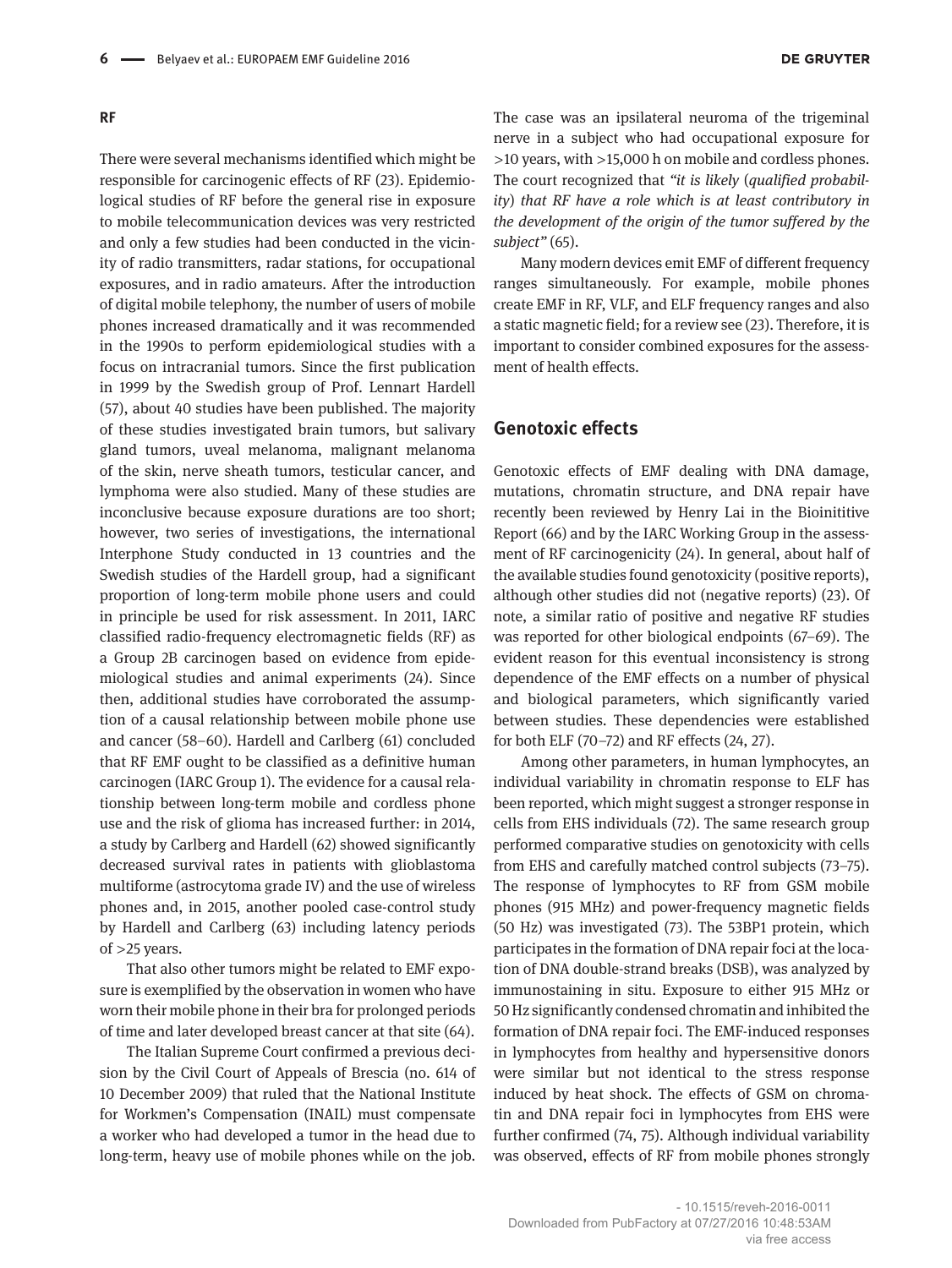#### **RF**

There were several mechanisms identified which might be responsible for carcinogenic effects of RF (23). Epidemiological studies of RF before the general rise in exposure to mobile telecommunication devices was very restricted and only a few studies had been conducted in the vicinity of radio transmitters, radar stations, for occupational exposures, and in radio amateurs. After the introduction of digital mobile telephony, the number of users of mobile phones increased dramatically and it was recommended in the 1990s to perform epidemiological studies with a focus on intracranial tumors. Since the first publication in 1999 by the Swedish group of Prof. Lennart Hardell (57), about 40 studies have been published. The majority of these studies investigated brain tumors, but salivary gland tumors, uveal melanoma, malignant melanoma of the skin, nerve sheath tumors, testicular cancer, and lymphoma were also studied. Many of these studies are inconclusive because exposure durations are too short; however, two series of investigations, the international Interphone Study conducted in 13 countries and the Swedish studies of the Hardell group, had a significant proportion of long-term mobile phone users and could in principle be used for risk assessment. In 2011, IARC classified radio-frequency electromagnetic fields (RF) as a Group 2B carcinogen based on evidence from epidemiological studies and animal experiments (24). Since then, additional studies have corroborated the assumption of a causal relationship between mobile phone use and cancer (58–60). Hardell and Carlberg (61) concluded that RF EMF ought to be classified as a definitive human carcinogen (IARC Group 1). The evidence for a causal relationship between long-term mobile and cordless phone use and the risk of glioma has increased further: in 2014, a study by Carlberg and Hardell (62) showed significantly decreased survival rates in patients with glioblastoma multiforme (astrocytoma grade IV) and the use of wireless phones and, in 2015, another pooled case-control study by Hardell and Carlberg (63) including latency periods of  $>$ 25 years.

That also other tumors might be related to EMF exposure is exemplified by the observation in women who have worn their mobile phone in their bra for prolonged periods of time and later developed breast cancer at that site (64).

The Italian Supreme Court confirmed a previous decision by the Civil Court of Appeals of Brescia (no. 614 of 10 December 2009) that ruled that the National Institute for Workmen's Compensation (INAIL) must compensate a worker who had developed a tumor in the head due to long-term, heavy use of mobile phones while on the job.

The case was an ipsilateral neuroma of the trigeminal nerve in a subject who had occupational exposure for > 10 years, with  > 15,000 h on mobile and cordless phones. The court recognized that *"it is likely* (*qualified probability*) *that RF have a role which is at least contributory in the development of the origin of the tumor suffered by the subject"* (65).

Many modern devices emit EMF of different frequency ranges simultaneously. For example, mobile phones create EMF in RF, VLF, and ELF frequency ranges and also a static magnetic field; for a review see (23). Therefore, it is important to consider combined exposures for the assessment of health effects.

## **Genotoxic effects**

Genotoxic effects of EMF dealing with DNA damage, mutations, chromatin structure, and DNA repair have recently been reviewed by Henry Lai in the Bioinititive Report (66) and by the IARC Working Group in the assessment of RF carcinogenicity (24). In general, about half of the available studies found genotoxicity (positive reports), although other studies did not (negative reports) (23). Of note, a similar ratio of positive and negative RF studies was reported for other biological endpoints (67–69). The evident reason for this eventual inconsistency is strong dependence of the EMF effects on a number of physical and biological parameters, which significantly varied between studies. These dependencies were established for both ELF (70–72) and RF effects (24, 27).

Among other parameters, in human lymphocytes, an individual variability in chromatin response to ELF has been reported, which might suggest a stronger response in cells from EHS individuals (72). The same research group performed comparative studies on genotoxicity with cells from EHS and carefully matched control subjects (73–75). The response of lymphocytes to RF from GSM mobile phones (915 MHz) and power-frequency magnetic fields (50 Hz) was investigated (73). The 53BP1 protein, which participates in the formation of DNA repair foci at the location of DNA double-strand breaks (DSB), was analyzed by immunostaining in situ. Exposure to either 915 MHz or 50 Hz significantly condensed chromatin and inhibited the formation of DNA repair foci. The EMF-induced responses in lymphocytes from healthy and hypersensitive donors were similar but not identical to the stress response induced by heat shock. The effects of GSM on chromatin and DNA repair foci in lymphocytes from EHS were further confirmed (74, 75). Although individual variability was observed, effects of RF from mobile phones strongly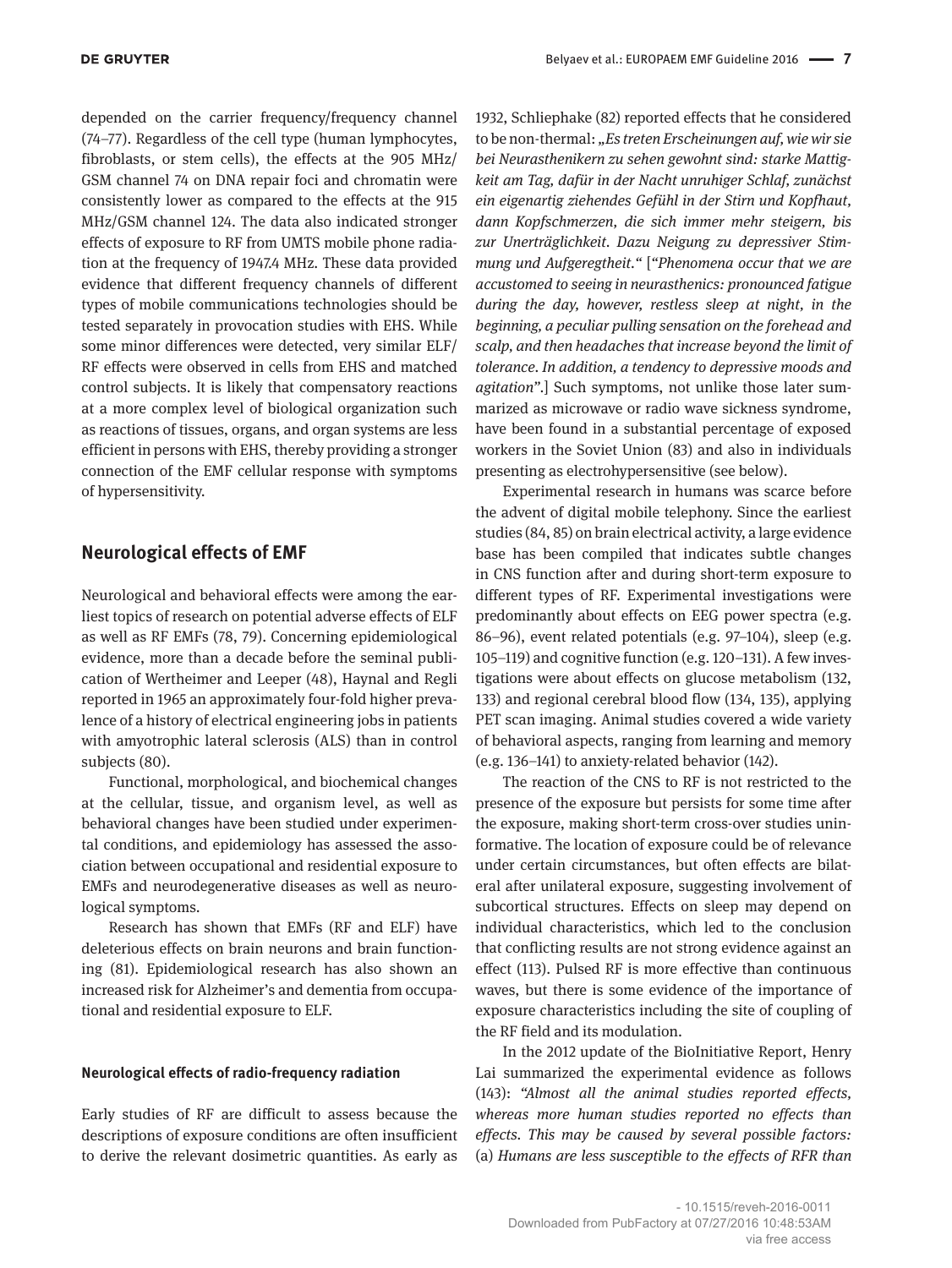depended on the carrier frequency/frequency channel (74–77). Regardless of the cell type (human lymphocytes, fibroblasts, or stem cells), the effects at the 905 MHz/ GSM channel 74 on DNA repair foci and chromatin were consistently lower as compared to the effects at the 915 MHz/GSM channel 124. The data also indicated stronger effects of exposure to RF from UMTS mobile phone radiation at the frequency of 1947.4 MHz. These data provided evidence that different frequency channels of different types of mobile communications technologies should be tested separately in provocation studies with EHS. While some minor differences were detected, very similar ELF/ RF effects were observed in cells from EHS and matched control subjects. It is likely that compensatory reactions at a more complex level of biological organization such as reactions of tissues, organs, and organ systems are less efficient in persons with EHS, thereby providing a stronger connection of the EMF cellular response with symptoms of hypersensitivity.

## **Neurological effects of EMF**

Neurological and behavioral effects were among the earliest topics of research on potential adverse effects of ELF as well as RF EMFs (78, 79). Concerning epidemiological evidence, more than a decade before the seminal publication of Wertheimer and Leeper (48), Haynal and Regli reported in 1965 an approximately four-fold higher prevalence of a history of electrical engineering jobs in patients with amyotrophic lateral sclerosis (ALS) than in control subjects (80).

Functional, morphological, and biochemical changes at the cellular, tissue, and organism level, as well as behavioral changes have been studied under experimental conditions, and epidemiology has assessed the association between occupational and residential exposure to EMFs and neurodegenerative diseases as well as neurological symptoms.

Research has shown that EMFs (RF and ELF) have deleterious effects on brain neurons and brain functioning (81). Epidemiological research has also shown an increased risk for Alzheimer's and dementia from occupational and residential exposure to ELF.

#### **Neurological effects of radio-frequency radiation**

Early studies of RF are difficult to assess because the descriptions of exposure conditions are often insufficient to derive the relevant dosimetric quantities. As early as

1932, Schliephake (82) reported effects that he considered to be non-thermal: *"Es treten Erscheinungen auf, wie wir sie bei Neurasthenikern zu sehen gewohnt sind: starke Mattigkeit am Tag, dafür in der Nacht unruhiger Schlaf, zunächst ein eigenartig ziehendes Gefühl in der Stirn und Kopfhaut, dann Kopfschmerzen, die sich immer mehr steigern, bis zur Unerträglichkeit. Dazu Neigung zu depressiver Stimmung und Aufgeregtheit."* [*"Phenomena occur that we are accustomed to seeing in neurasthenics: pronounced fatigue during the day, however, restless sleep at night, in the beginning, a peculiar pulling sensation on the forehead and scalp, and then headaches that increase beyond the limit of tolerance. In addition, a tendency to depressive moods and agitation"*.] Such symptoms, not unlike those later summarized as microwave or radio wave sickness syndrome, have been found in a substantial percentage of exposed workers in the Soviet Union (83) and also in individuals presenting as electrohypersensitive (see below).

Experimental research in humans was scarce before the advent of digital mobile telephony. Since the earliest studies (84, 85) on brain electrical activity, a large evidence base has been compiled that indicates subtle changes in CNS function after and during short-term exposure to different types of RF. Experimental investigations were predominantly about effects on EEG power spectra (e.g. 86–96), event related potentials (e.g. 97–104), sleep (e.g. 105–119) and cognitive function (e.g. 120–131). A few investigations were about effects on glucose metabolism (132, 133) and regional cerebral blood flow (134, 135), applying PET scan imaging. Animal studies covered a wide variety of behavioral aspects, ranging from learning and memory (e.g. 136–141) to anxiety-related behavior (142).

The reaction of the CNS to RF is not restricted to the presence of the exposure but persists for some time after the exposure, making short-term cross-over studies uninformative. The location of exposure could be of relevance under certain circumstances, but often effects are bilateral after unilateral exposure, suggesting involvement of subcortical structures. Effects on sleep may depend on individual characteristics, which led to the conclusion that conflicting results are not strong evidence against an effect (113). Pulsed RF is more effective than continuous waves, but there is some evidence of the importance of exposure characteristics including the site of coupling of the RF field and its modulation.

In the 2012 update of the BioInitiative Report, Henry Lai summarized the experimental evidence as follows (143): *"Almost all the animal studies reported effects, whereas more human studies reported no effects than effects. This may be caused by several possible factors:*  (a) *Humans are less susceptible to the effects of RFR than*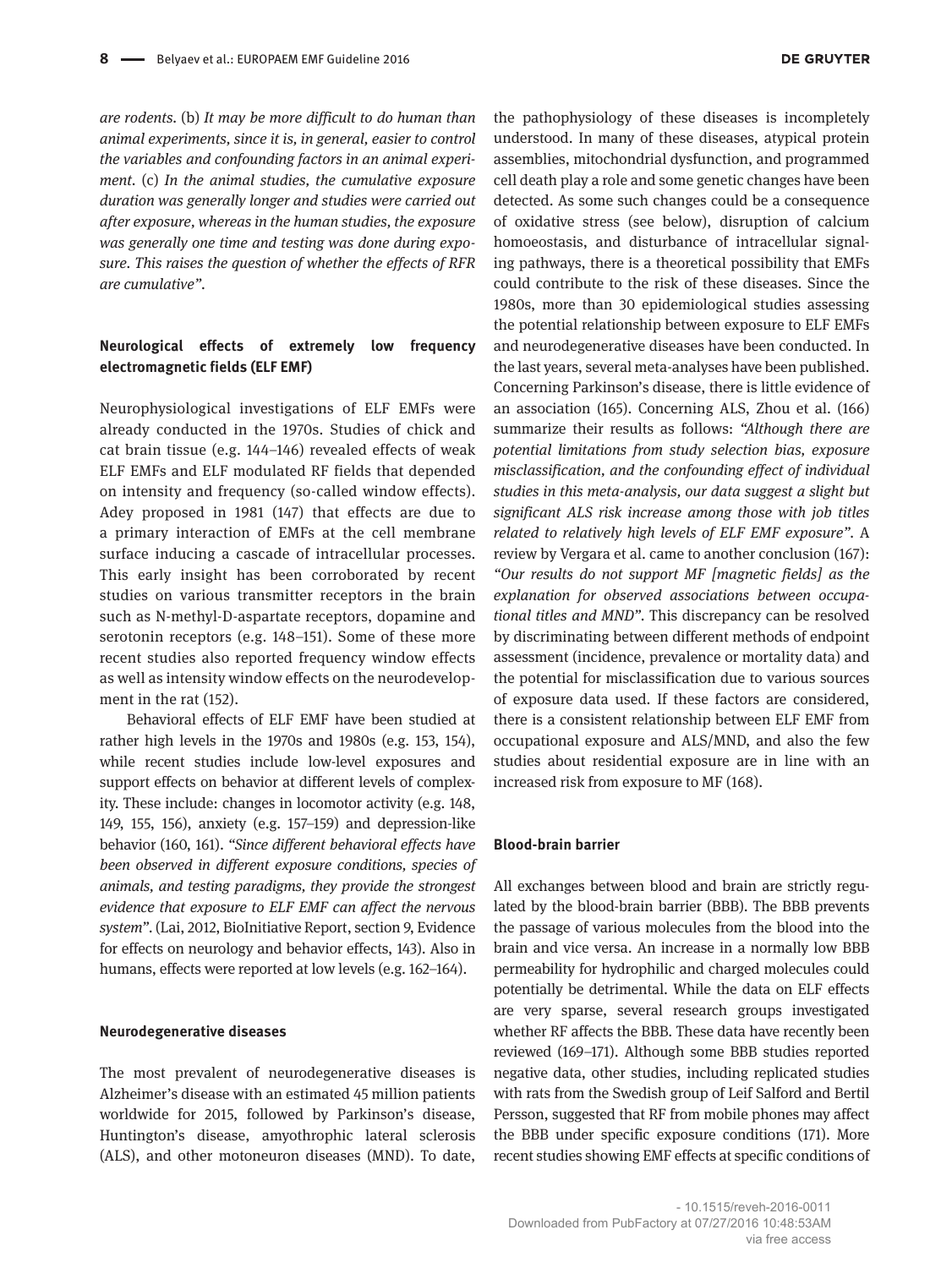*are rodents.* (b) *It may be more difficult to do human than animal experiments, since it is, in general, easier to control the variables and confounding factors in an animal experiment.* (c) *In the animal studies, the cumulative exposure duration was generally longer and studies were carried out after exposure, whereas in the human studies, the exposure was generally one time and testing was done during exposure. This raises the question of whether the effects of RFR are cumulative".*

#### **Neurological effects of extremely low frequency electromagnetic fields (ELF EMF)**

Neurophysiological investigations of ELF EMFs were already conducted in the 1970s. Studies of chick and cat brain tissue (e.g. 144–146) revealed effects of weak ELF EMFs and ELF modulated RF fields that depended on intensity and frequency (so-called window effects). Adey proposed in 1981 (147) that effects are due to a primary interaction of EMFs at the cell membrane surface inducing a cascade of intracellular processes. This early insight has been corroborated by recent studies on various transmitter receptors in the brain such as N-methyl-D-aspartate receptors, dopamine and serotonin receptors (e.g. 148–151). Some of these more recent studies also reported frequency window effects as well as intensity window effects on the neurodevelopment in the rat (152).

Behavioral effects of ELF EMF have been studied at rather high levels in the 1970s and 1980s (e.g. 153, 154), while recent studies include low-level exposures and support effects on behavior at different levels of complexity. These include: changes in locomotor activity (e.g. 148, 149, 155, 156), anxiety (e.g. 157–159) and depression-like behavior (160, 161). *"Since different behavioral effects have been observed in different exposure conditions, species of animals, and testing paradigms, they provide the strongest evidence that exposure to ELF EMF can affect the nervous system"*. (Lai, 2012, BioInitiative Report, section 9, Evidence for effects on neurology and behavior effects, 143). Also in humans, effects were reported at low levels (e.g. 162–164).

#### **Neurodegenerative diseases**

The most prevalent of neurodegenerative diseases is Alzheimer's disease with an estimated 45 million patients worldwide for 2015, followed by Parkinson's disease, Huntington's disease, amyothrophic lateral sclerosis (ALS), and other motoneuron diseases (MND). To date,

the pathophysiology of these diseases is incompletely understood. In many of these diseases, atypical protein assemblies, mitochondrial dysfunction, and programmed cell death play a role and some genetic changes have been detected. As some such changes could be a consequence of oxidative stress (see below), disruption of calcium homoeostasis, and disturbance of intracellular signaling pathways, there is a theoretical possibility that EMFs could contribute to the risk of these diseases. Since the 1980s, more than 30 epidemiological studies assessing the potential relationship between exposure to ELF EMFs and neurodegenerative diseases have been conducted. In the last years, several meta-analyses have been published. Concerning Parkinson's disease, there is little evidence of an association (165). Concerning ALS, Zhou et al. (166) summarize their results as follows: *"Although there are potential limitations from study selection bias, exposure misclassification, and the confounding effect of individual studies in this meta-analysis, our data suggest a slight but significant ALS risk increase among those with job titles related to relatively high levels of ELF EMF exposure".* A review by Vergara et al. came to another conclusion (167): *"Our results do not support MF [magnetic fields] as the explanation for observed associations between occupational titles and MND".* This discrepancy can be resolved by discriminating between different methods of endpoint assessment (incidence, prevalence or mortality data) and the potential for misclassification due to various sources of exposure data used. If these factors are considered, there is a consistent relationship between ELF EMF from occupational exposure and ALS/MND, and also the few studies about residential exposure are in line with an increased risk from exposure to MF (168).

#### **Blood-brain barrier**

All exchanges between blood and brain are strictly regulated by the blood-brain barrier (BBB). The BBB prevents the passage of various molecules from the blood into the brain and vice versa. An increase in a normally low BBB permeability for hydrophilic and charged molecules could potentially be detrimental. While the data on ELF effects are very sparse, several research groups investigated whether RF affects the BBB. These data have recently been reviewed (169–171). Although some BBB studies reported negative data, other studies, including replicated studies with rats from the Swedish group of Leif Salford and Bertil Persson, suggested that RF from mobile phones may affect the BBB under specific exposure conditions (171). More recent studies showing EMF effects at specific conditions of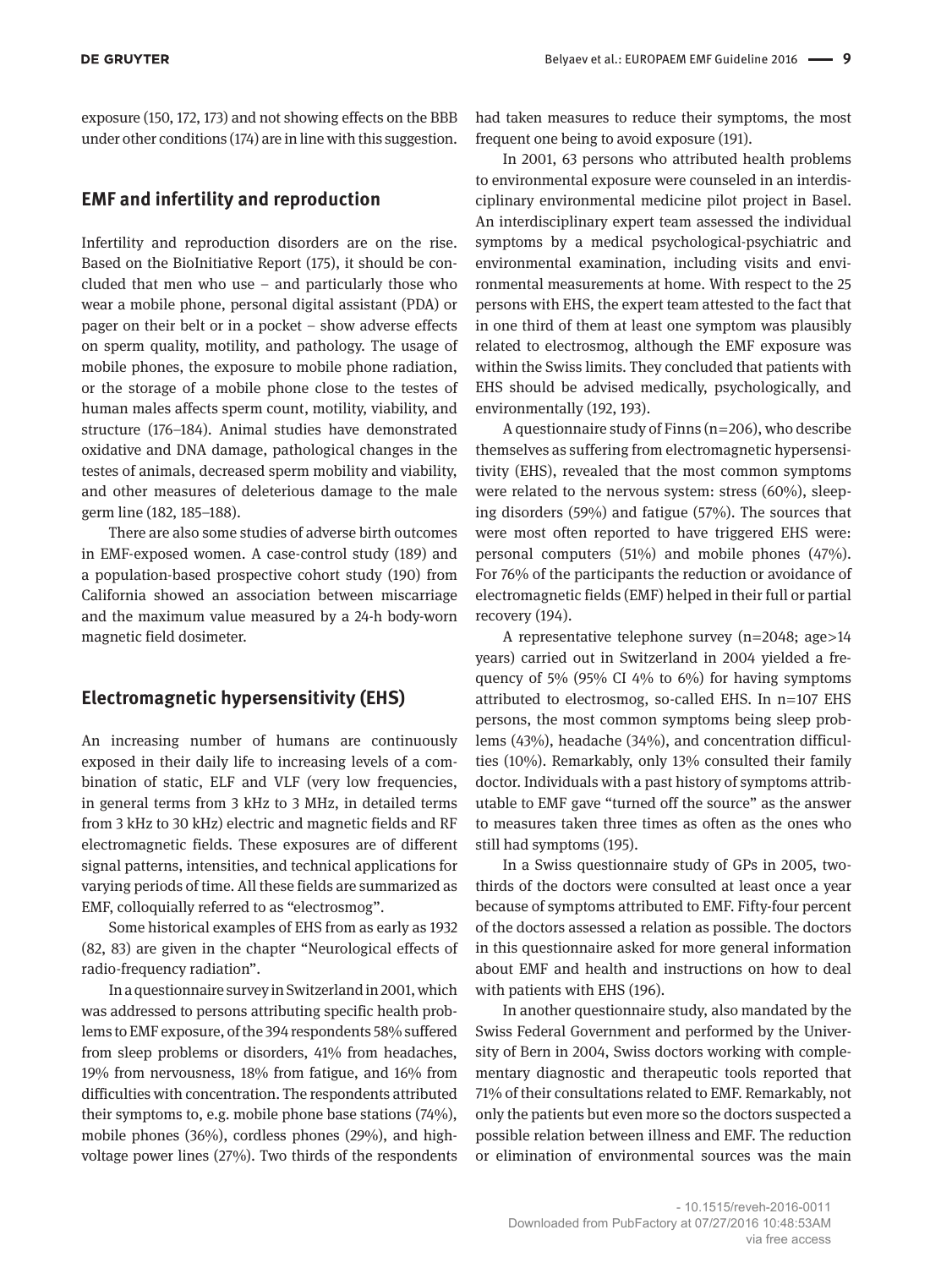exposure (150, 172, 173) and not showing effects on the BBB under other conditions (174) are in line with this suggestion.

## **EMF and infertility and reproduction**

Infertility and reproduction disorders are on the rise. Based on the BioInitiative Report (175), it should be concluded that men who use – and particularly those who wear a mobile phone, personal digital assistant (PDA) or pager on their belt or in a pocket – show adverse effects on sperm quality, motility, and pathology. The usage of mobile phones, the exposure to mobile phone radiation, or the storage of a mobile phone close to the testes of human males affects sperm count, motility, viability, and structure (176–184). Animal studies have demonstrated oxidative and DNA damage, pathological changes in the testes of animals, decreased sperm mobility and viability, and other measures of deleterious damage to the male germ line (182, 185–188).

There are also some studies of adverse birth outcomes in EMF-exposed women. A case-control study (189) and a population-based prospective cohort study (190) from California showed an association between miscarriage and the maximum value measured by a 24-h body-worn magnetic field dosimeter.

## **Electromagnetic hypersensitivity (EHS)**

An increasing number of humans are continuously exposed in their daily life to increasing levels of a combination of static, ELF and VLF (very low frequencies, in general terms from 3 kHz to 3 MHz, in detailed terms from 3 kHz to 30 kHz) electric and magnetic fields and RF electromagnetic fields. These exposures are of different signal patterns, intensities, and technical applications for varying periods of time. All these fields are summarized as EMF, colloquially referred to as "electrosmog".

Some historical examples of EHS from as early as 1932 (82, 83) are given in the chapter "Neurological effects of radio-frequency radiation".

In a questionnaire survey in Switzerland in 2001, which was addressed to persons attributing specific health problems to EMF exposure, of the 394 respondents 58% suffered from sleep problems or disorders, 41% from headaches, 19% from nervousness, 18% from fatigue, and 16% from difficulties with concentration. The respondents attributed their symptoms to, e.g. mobile phone base stations (74%), mobile phones (36%), cordless phones (29%), and highvoltage power lines (27%). Two thirds of the respondents had taken measures to reduce their symptoms, the most frequent one being to avoid exposure (191).

In 2001, 63 persons who attributed health problems to environmental exposure were counseled in an interdisciplinary environmental medicine pilot project in Basel. An interdisciplinary expert team assessed the individual symptoms by a medical psychological-psychiatric and environmental examination, including visits and environmental measurements at home. With respect to the 25 persons with EHS, the expert team attested to the fact that in one third of them at least one symptom was plausibly related to electrosmog, although the EMF exposure was within the Swiss limits. They concluded that patients with EHS should be advised medically, psychologically, and environmentally (192, 193).

A questionnaire study of Finns ( $n=206$ ), who describe themselves as suffering from electromagnetic hypersensitivity (EHS), revealed that the most common symptoms were related to the nervous system: stress (60%), sleeping disorders (59%) and fatigue (57%). The sources that were most often reported to have triggered EHS were: personal computers (51%) and mobile phones (47%). For 76% of the participants the reduction or avoidance of electromagnetic fields (EMF) helped in their full or partial recovery (194).

A representative telephone survey ( $n=2048$ ; age> $14$ years) carried out in Switzerland in 2004 yielded a frequency of 5% (95% CI 4% to 6%) for having symptoms attributed to electrosmog, so-called EHS. In  $n=107$  EHS persons, the most common symptoms being sleep problems (43%), headache (34%), and concentration difficulties (10%). Remarkably, only 13% consulted their family doctor. Individuals with a past history of symptoms attributable to EMF gave "turned off the source" as the answer to measures taken three times as often as the ones who still had symptoms (195).

In a Swiss questionnaire study of GPs in 2005, twothirds of the doctors were consulted at least once a year because of symptoms attributed to EMF. Fifty-four percent of the doctors assessed a relation as possible. The doctors in this questionnaire asked for more general information about EMF and health and instructions on how to deal with patients with EHS (196).

In another questionnaire study, also mandated by the Swiss Federal Government and performed by the University of Bern in 2004, Swiss doctors working with complementary diagnostic and therapeutic tools reported that 71% of their consultations related to EMF. Remarkably, not only the patients but even more so the doctors suspected a possible relation between illness and EMF. The reduction or elimination of environmental sources was the main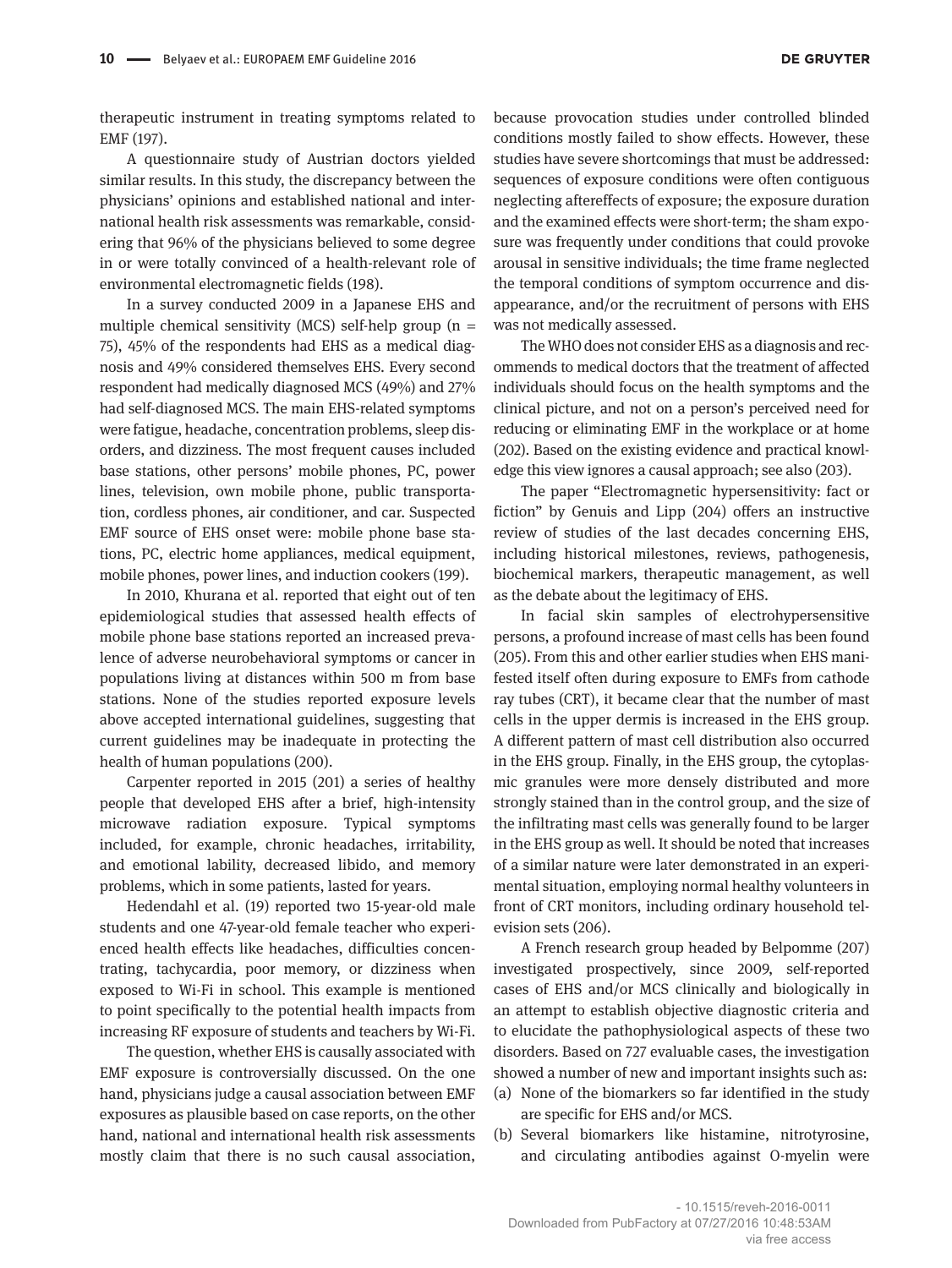therapeutic instrument in treating symptoms related to EMF (197).

A questionnaire study of Austrian doctors yielded similar results. In this study, the discrepancy between the physicians' opinions and established national and international health risk assessments was remarkable, considering that 96% of the physicians believed to some degree in or were totally convinced of a health-relevant role of environmental electromagnetic fields (198).

In a survey conducted 2009 in a Japanese EHS and multiple chemical sensitivity (MCS) self-help group ( $n =$ 75), 45% of the respondents had EHS as a medical diagnosis and 49% considered themselves EHS. Every second respondent had medically diagnosed MCS (49%) and 27% had self-diagnosed MCS. The main EHS-related symptoms were fatigue, headache, concentration problems, sleep disorders, and dizziness. The most frequent causes included base stations, other persons' mobile phones, PC, power lines, television, own mobile phone, public transportation, cordless phones, air conditioner, and car. Suspected EMF source of EHS onset were: mobile phone base stations, PC, electric home appliances, medical equipment, mobile phones, power lines, and induction cookers (199).

In 2010, Khurana et al. reported that eight out of ten epidemiological studies that assessed health effects of mobile phone base stations reported an increased prevalence of adverse neurobehavioral symptoms or cancer in populations living at distances within 500 m from base stations. None of the studies reported exposure levels above accepted international guidelines, suggesting that current guidelines may be inadequate in protecting the health of human populations (200).

Carpenter reported in 2015 (201) a series of healthy people that developed EHS after a brief, high-intensity microwave radiation exposure. Typical symptoms included, for example, chronic headaches, irritability, and emotional lability, decreased libido, and memory problems, which in some patients, lasted for years.

Hedendahl et al. (19) reported two 15-year-old male students and one 47-year-old female teacher who experienced health effects like headaches, difficulties concentrating, tachycardia, poor memory, or dizziness when exposed to Wi-Fi in school. This example is mentioned to point specifically to the potential health impacts from increasing RF exposure of students and teachers by Wi-Fi.

The question, whether EHS is causally associated with EMF exposure is controversially discussed. On the one hand, physicians judge a causal association between EMF exposures as plausible based on case reports, on the other hand, national and international health risk assessments mostly claim that there is no such causal association,

because provocation studies under controlled blinded conditions mostly failed to show effects. However, these studies have severe shortcomings that must be addressed: sequences of exposure conditions were often contiguous neglecting aftereffects of exposure; the exposure duration and the examined effects were short-term; the sham exposure was frequently under conditions that could provoke arousal in sensitive individuals; the time frame neglected the temporal conditions of symptom occurrence and disappearance, and/or the recruitment of persons with EHS was not medically assessed.

The WHO does not consider EHS as a diagnosis and recommends to medical doctors that the treatment of affected individuals should focus on the health symptoms and the clinical picture, and not on a person's perceived need for reducing or eliminating EMF in the workplace or at home (202). Based on the existing evidence and practical knowledge this view ignores a causal approach; see also (203).

The paper "Electromagnetic hypersensitivity: fact or fiction" by Genuis and Lipp (204) offers an instructive review of studies of the last decades concerning EHS, including historical milestones, reviews, pathogenesis, biochemical markers, therapeutic management, as well as the debate about the legitimacy of EHS.

In facial skin samples of electrohypersensitive persons, a profound increase of mast cells has been found (205). From this and other earlier studies when EHS manifested itself often during exposure to EMFs from cathode ray tubes (CRT), it became clear that the number of mast cells in the upper dermis is increased in the EHS group. A different pattern of mast cell distribution also occurred in the EHS group. Finally, in the EHS group, the cytoplasmic granules were more densely distributed and more strongly stained than in the control group, and the size of the infiltrating mast cells was generally found to be larger in the EHS group as well. It should be noted that increases of a similar nature were later demonstrated in an experimental situation, employing normal healthy volunteers in front of CRT monitors, including ordinary household television sets (206).

A French research group headed by Belpomme (207) investigated prospectively, since 2009, self-reported cases of EHS and/or MCS clinically and biologically in an attempt to establish objective diagnostic criteria and to elucidate the pathophysiological aspects of these two disorders. Based on 727 evaluable cases, the investigation showed a number of new and important insights such as:

- (a) None of the biomarkers so far identified in the study are specific for EHS and/or MCS.
- (b) Several biomarkers like histamine, nitrotyrosine, and circulating antibodies against O-myelin were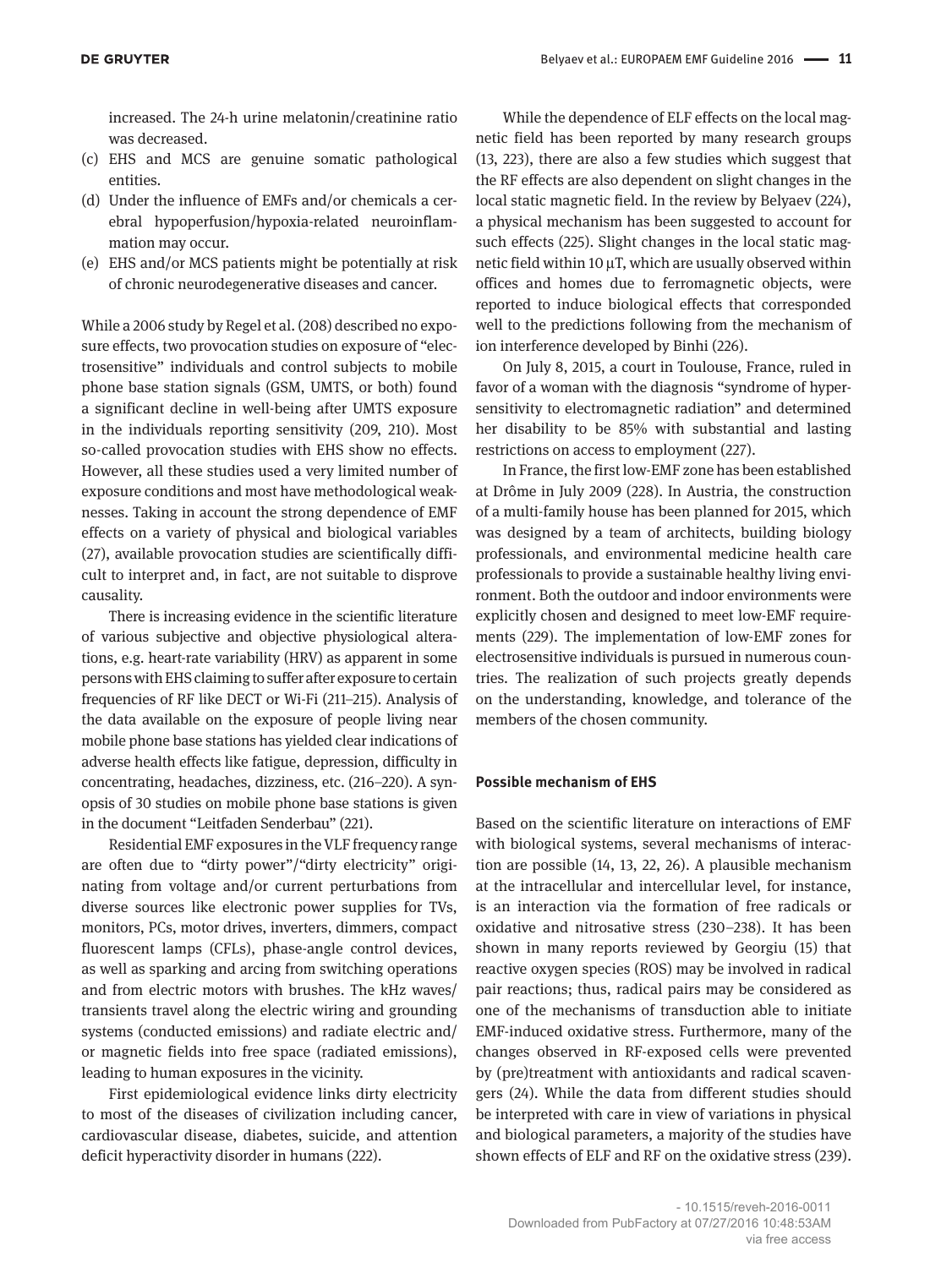increased. The 24-h urine melatonin/creatinine ratio was decreased.

- (c) EHS and MCS are genuine somatic pathological entities.
- (d) Under the influence of EMFs and/or chemicals a cerebral hypoperfusion/hypoxia-related neuroinflammation may occur.
- (e) EHS and/or MCS patients might be potentially at risk of chronic neurodegenerative diseases and cancer.

While a 2006 study by Regel et al. (208) described no exposure effects, two provocation studies on exposure of "electrosensitive" individuals and control subjects to mobile phone base station signals (GSM, UMTS, or both) found a significant decline in well-being after UMTS exposure in the individuals reporting sensitivity (209, 210). Most so-called provocation studies with EHS show no effects. However, all these studies used a very limited number of exposure conditions and most have methodological weaknesses. Taking in account the strong dependence of EMF effects on a variety of physical and biological variables (27), available provocation studies are scientifically difficult to interpret and, in fact, are not suitable to disprove causality.

There is increasing evidence in the scientific literature of various subjective and objective physiological alterations, e.g. heart-rate variability (HRV) as apparent in some persons with EHS claiming to suffer after exposure to certain frequencies of RF like DECT or Wi-Fi (211–215). Analysis of the data available on the exposure of people living near mobile phone base stations has yielded clear indications of adverse health effects like fatigue, depression, difficulty in concentrating, headaches, dizziness, etc. (216–220). A synopsis of 30 studies on mobile phone base stations is given in the document "Leitfaden Senderbau" (221).

Residential EMF exposures in the VLF frequency range are often due to "dirty power"/"dirty electricity" originating from voltage and/or current perturbations from diverse sources like electronic power supplies for TVs, monitors, PCs, motor drives, inverters, dimmers, compact fluorescent lamps (CFLs), phase-angle control devices, as well as sparking and arcing from switching operations and from electric motors with brushes. The kHz waves/ transients travel along the electric wiring and grounding systems (conducted emissions) and radiate electric and/ or magnetic fields into free space (radiated emissions), leading to human exposures in the vicinity.

First epidemiological evidence links dirty electricity to most of the diseases of civilization including cancer, cardiovascular disease, diabetes, suicide, and attention deficit hyperactivity disorder in humans (222).

While the dependence of ELF effects on the local magnetic field has been reported by many research groups (13, 223), there are also a few studies which suggest that the RF effects are also dependent on slight changes in the local static magnetic field. In the review by Belyaev (224), a physical mechanism has been suggested to account for such effects (225). Slight changes in the local static magnetic field within 10 μT, which are usually observed within offices and homes due to ferromagnetic objects, were reported to induce biological effects that corresponded well to the predictions following from the mechanism of ion interference developed by Binhi (226).

On July 8, 2015, a court in Toulouse, France, ruled in favor of a woman with the diagnosis "syndrome of hypersensitivity to electromagnetic radiation" and determined her disability to be 85% with substantial and lasting restrictions on access to employment (227).

In France, the first low-EMF zone has been established at Drôme in July 2009 (228). In Austria, the construction of a multi-family house has been planned for 2015, which was designed by a team of architects, building biology professionals, and environmental medicine health care professionals to provide a sustainable healthy living environment. Both the outdoor and indoor environments were explicitly chosen and designed to meet low-EMF requirements (229). The implementation of low-EMF zones for electrosensitive individuals is pursued in numerous countries. The realization of such projects greatly depends on the understanding, knowledge, and tolerance of the members of the chosen community.

#### **Possible mechanism of EHS**

Based on the scientific literature on interactions of EMF with biological systems, several mechanisms of interaction are possible (14, 13, 22, 26). A plausible mechanism at the intracellular and intercellular level, for instance, is an interaction via the formation of free radicals or oxidative and nitrosative stress (230–238). It has been shown in many reports reviewed by Georgiu (15) that reactive oxygen species (ROS) may be involved in radical pair reactions; thus, radical pairs may be considered as one of the mechanisms of transduction able to initiate EMF-induced oxidative stress. Furthermore, many of the changes observed in RF-exposed cells were prevented by (pre)treatment with antioxidants and radical scavengers (24). While the data from different studies should be interpreted with care in view of variations in physical and biological parameters, a majority of the studies have shown effects of ELF and RF on the oxidative stress (239).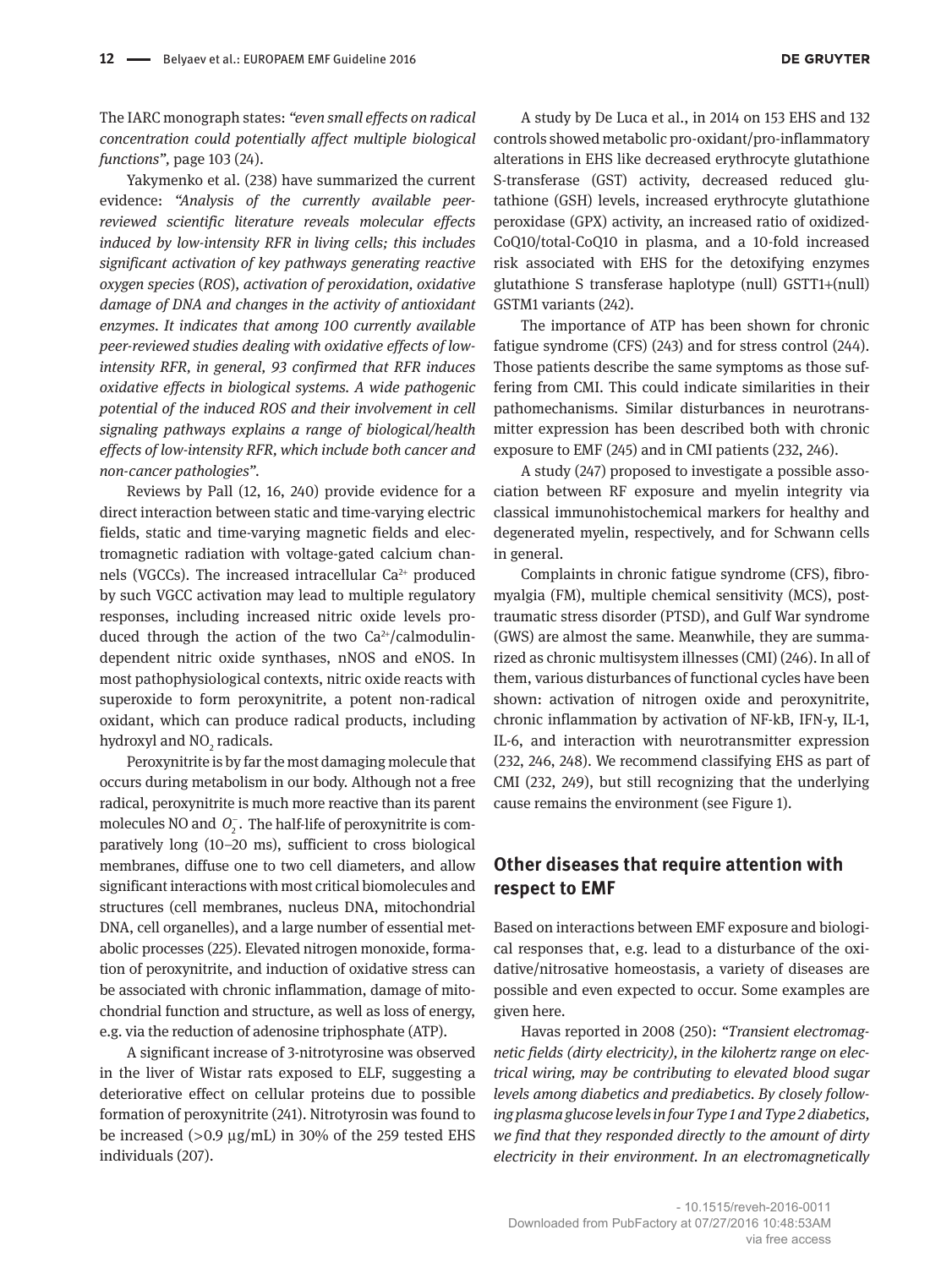The IARC monograph states: *"even small effects on radical concentration could potentially affect multiple biological functions",* page 103 (24).

Yakymenko et al. (238) have summarized the current evidence: *"Analysis of the currently available peerreviewed scientific literature reveals molecular effects induced by low-intensity RFR in living cells; this includes significant activation of key pathways generating reactive oxygen species* (*ROS*)*, activation of peroxidation, oxidative damage of DNA and changes in the activity of antioxidant enzymes. It indicates that among 100 currently available peer-reviewed studies dealing with oxidative effects of lowintensity RFR, in general, 93 confirmed that RFR induces oxidative effects in biological systems. A wide pathogenic potential of the induced ROS and their involvement in cell signaling pathways explains a range of biological/health effects of low-intensity RFR, which include both cancer and non-cancer pathologies".*

Reviews by Pall (12, 16, 240) provide evidence for a direct interaction between static and time-varying electric fields, static and time-varying magnetic fields and electromagnetic radiation with voltage-gated calcium channels (VGCCs). The increased intracellular Ca<sup>2+</sup> produced by such VGCC activation may lead to multiple regulatory responses, including increased nitric oxide levels produced through the action of the two Ca2<sup>+</sup> /calmodulindependent nitric oxide synthases, nNOS and eNOS. In most pathophysiological contexts, nitric oxide reacts with superoxide to form peroxynitrite, a potent non-radical oxidant, which can produce radical products, including hydroxyl and  $\rm NO_2$  radicals.

Peroxynitrite is by far the most damaging molecule that occurs during metabolism in our body. Although not a free radical, peroxynitrite is much more reactive than its parent molecules NO and O<sub>2</sub>. The half-life of peroxynitrite is comparatively long (10–20 ms), sufficient to cross biological membranes, diffuse one to two cell diameters, and allow significant interactions with most critical biomolecules and structures (cell membranes, nucleus DNA, mitochondrial DNA, cell organelles), and a large number of essential metabolic processes (225). Elevated nitrogen monoxide, formation of peroxynitrite, and induction of oxidative stress can be associated with chronic inflammation, damage of mitochondrial function and structure, as well as loss of energy, e.g. via the reduction of adenosine triphosphate (ATP).

A significant increase of 3-nitrotyrosine was observed in the liver of Wistar rats exposed to ELF, suggesting a deteriorative effect on cellular proteins due to possible formation of peroxynitrite (241). Nitrotyrosin was found to be increased  $(>0.9 \mu g/mL)$  in 30% of the 259 tested EHS individuals (207).

A study by De Luca et al., in 2014 on 153 EHS and 132 controls showed metabolic pro-oxidant/pro-inflammatory alterations in EHS like decreased erythrocyte glutathione S-transferase (GST) activity, decreased reduced glutathione (GSH) levels, increased erythrocyte glutathione peroxidase (GPX) activity, an increased ratio of oxidized-CoQ10/total-CoQ10 in plasma, and a 10-fold increased risk associated with EHS for the detoxifying enzymes glutathione S transferase haplotype (null) GSTT1+(null) GSTM1 variants (242).

The importance of ATP has been shown for chronic fatigue syndrome (CFS) (243) and for stress control (244). Those patients describe the same symptoms as those suffering from CMI. This could indicate similarities in their pathomechanisms. Similar disturbances in neurotransmitter expression has been described both with chronic exposure to EMF (245) and in CMI patients (232, 246).

A study (247) proposed to investigate a possible association between RF exposure and myelin integrity via classical immunohistochemical markers for healthy and degenerated myelin, respectively, and for Schwann cells in general.

Complaints in chronic fatigue syndrome (CFS), fibromyalgia (FM), multiple chemical sensitivity (MCS), posttraumatic stress disorder (PTSD), and Gulf War syndrome (GWS) are almost the same. Meanwhile, they are summarized as chronic multisystem illnesses (CMI) (246). In all of them, various disturbances of functional cycles have been shown: activation of nitrogen oxide and peroxynitrite, chronic inflammation by activation of NF-kB, IFN-y, IL-1, IL-6, and interaction with neurotransmitter expression (232, 246, 248). We recommend classifying EHS as part of CMI (232, 249), but still recognizing that the underlying cause remains the environment (see Figure 1).

## **Other diseases that require attention with respect to EMF**

Based on interactions between EMF exposure and biological responses that, e.g. lead to a disturbance of the oxidative/nitrosative homeostasis, a variety of diseases are possible and even expected to occur. Some examples are given here.

Havas reported in 2008 (250): *"Transient electromagnetic fields (dirty electricity), in the kilohertz range on electrical wiring, may be contributing to elevated blood sugar levels among diabetics and prediabetics. By closely following plasma glucose levels in four Type 1 and Type 2 diabetics, we find that they responded directly to the amount of dirty electricity in their environment. In an electromagnetically*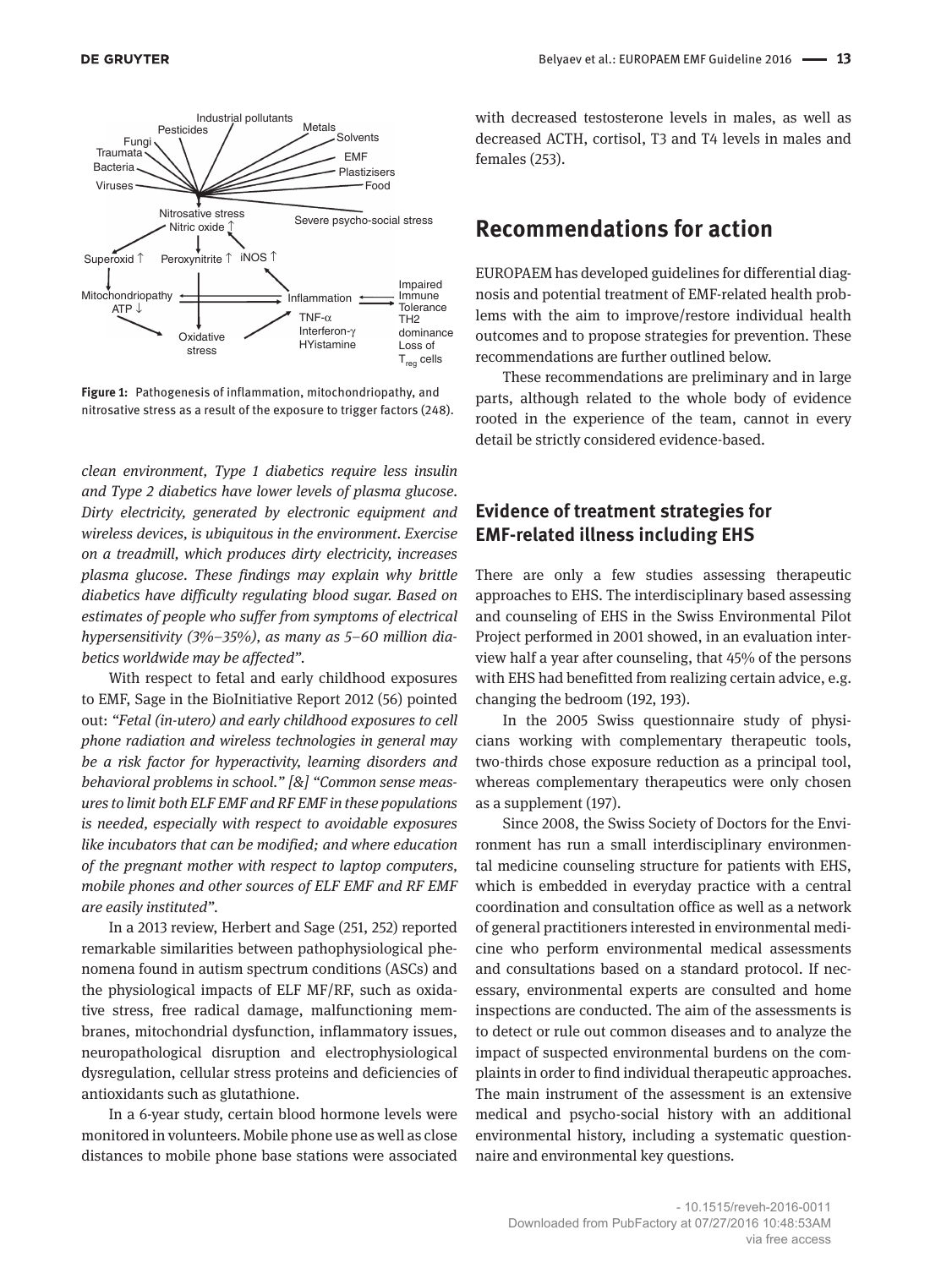

**Figure 1:** Pathogenesis of inflammation, mitochondriopathy, and nitrosative stress as a result of the exposure to trigger factors (248).

*clean environment, Type 1 diabetics require less insulin and Type 2 diabetics have lower levels of plasma glucose. Dirty electricity, generated by electronic equipment and wireless devices, is ubiquitous in the environment. Exercise on a treadmill, which produces dirty electricity, increases plasma glucose. These findings may explain why brittle diabetics have difficulty regulating blood sugar. Based on estimates of people who suffer from symptoms of electrical hypersensitivity (3%–35%), as many as 5–60 million diabetics worldwide may be affected".*

With respect to fetal and early childhood exposures to EMF, Sage in the BioInitiative Report 2012 (56) pointed out: *"Fetal (in-utero) and early childhood exposures to cell phone radiation and wireless technologies in general may be a risk factor for hyperactivity, learning disorders and behavioral problems in school." [&] "Common sense measures to limit both ELF EMF and RF EMF in these populations is needed, especially with respect to avoidable exposures like incubators that can be modified; and where education of the pregnant mother with respect to laptop computers, mobile phones and other sources of ELF EMF and RF EMF are easily instituted".*

In a 2013 review, Herbert and Sage (251, 252) reported remarkable similarities between pathophysiological phenomena found in autism spectrum conditions (ASCs) and the physiological impacts of ELF MF/RF, such as oxidative stress, free radical damage, malfunctioning membranes, mitochondrial dysfunction, inflammatory issues, neuropathological disruption and electrophysiological dysregulation, cellular stress proteins and deficiencies of antioxidants such as glutathione.

In a 6-year study, certain blood hormone levels were monitored in volunteers. Mobile phone use as well as close distances to mobile phone base stations were associated

with decreased testosterone levels in males, as well as decreased ACTH, cortisol, T3 and T4 levels in males and females (253).

## **Recommendations for action**

EUROPAEM has developed guidelines for differential diagnosis and potential treatment of EMF-related health problems with the aim to improve/restore individual health outcomes and to propose strategies for prevention. These recommendations are further outlined below.

These recommendations are preliminary and in large parts, although related to the whole body of evidence rooted in the experience of the team, cannot in every detail be strictly considered evidence-based.

## **Evidence of treatment strategies for EMF-related illness including EHS**

There are only a few studies assessing therapeutic approaches to EHS. The interdisciplinary based assessing and counseling of EHS in the Swiss Environmental Pilot Project performed in 2001 showed, in an evaluation interview half a year after counseling, that 45% of the persons with EHS had benefitted from realizing certain advice, e.g. changing the bedroom (192, 193).

In the 2005 Swiss questionnaire study of physicians working with complementary therapeutic tools, two-thirds chose exposure reduction as a principal tool, whereas complementary therapeutics were only chosen as a supplement (197).

Since 2008, the Swiss Society of Doctors for the Environment has run a small interdisciplinary environmental medicine counseling structure for patients with EHS, which is embedded in everyday practice with a central coordination and consultation office as well as a network of general practitioners interested in environmental medicine who perform environmental medical assessments and consultations based on a standard protocol. If necessary, environmental experts are consulted and home inspections are conducted. The aim of the assessments is to detect or rule out common diseases and to analyze the impact of suspected environmental burdens on the complaints in order to find individual therapeutic approaches. The main instrument of the assessment is an extensive medical and psycho-social history with an additional environmental history, including a systematic questionnaire and environmental key questions.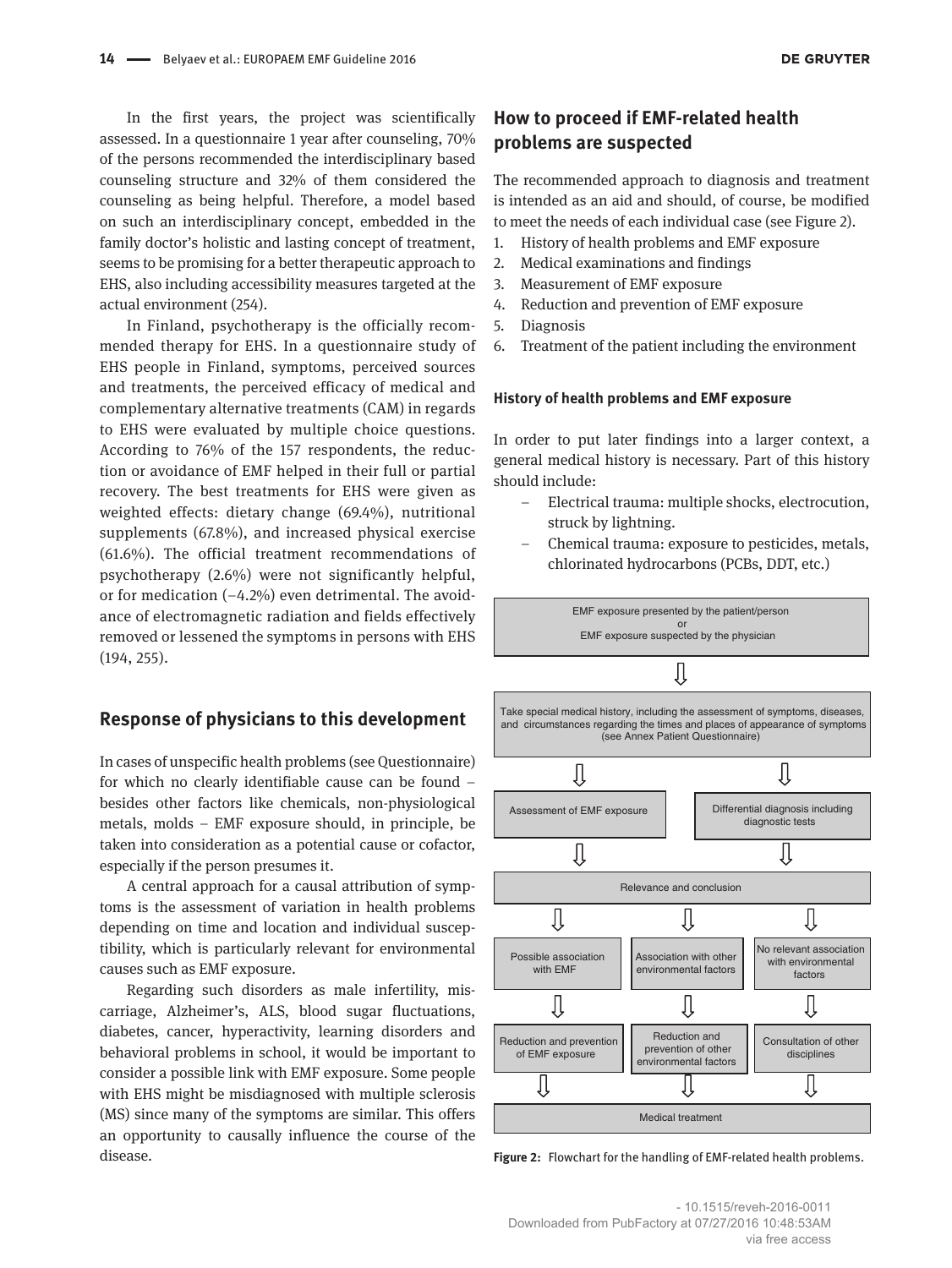**DE GRUYTER** 

In the first years, the project was scientifically assessed. In a questionnaire 1 year after counseling, 70% of the persons recommended the interdisciplinary based counseling structure and 32% of them considered the counseling as being helpful. Therefore, a model based on such an interdisciplinary concept, embedded in the family doctor's holistic and lasting concept of treatment, seems to be promising for a better therapeutic approach to EHS, also including accessibility measures targeted at the actual environment (254).

In Finland, psychotherapy is the officially recommended therapy for EHS. In a questionnaire study of EHS people in Finland, symptoms, perceived sources and treatments, the perceived efficacy of medical and complementary alternative treatments (CAM) in regards to EHS were evaluated by multiple choice questions. According to 76% of the 157 respondents, the reduction or avoidance of EMF helped in their full or partial recovery. The best treatments for EHS were given as weighted effects: dietary change (69.4%), nutritional supplements (67.8%), and increased physical exercise (61.6%). The official treatment recommendations of psychotherapy (2.6%) were not significantly helpful, or for medication (–4.2%) even detrimental. The avoidance of electromagnetic radiation and fields effectively removed or lessened the symptoms in persons with EHS (194, 255).

## **Response of physicians to this development**

In cases of unspecific health problems (see Questionnaire) for which no clearly identifiable cause can be found – besides other factors like chemicals, non-physiological metals, molds – EMF exposure should, in principle, be taken into consideration as a potential cause or cofactor, especially if the person presumes it.

A central approach for a causal attribution of symptoms is the assessment of variation in health problems depending on time and location and individual susceptibility, which is particularly relevant for environmental causes such as EMF exposure.

Regarding such disorders as male infertility, miscarriage, Alzheimer's, ALS, blood sugar fluctuations, diabetes, cancer, hyperactivity, learning disorders and behavioral problems in school, it would be important to consider a possible link with EMF exposure. Some people with EHS might be misdiagnosed with multiple sclerosis (MS) since many of the symptoms are similar. This offers an opportunity to causally influence the course of the disease.

## **How to proceed if EMF-related health problems are suspected**

The recommended approach to diagnosis and treatment is intended as an aid and should, of course, be modified to meet the needs of each individual case (see Figure 2).

- 1. History of health problems and EMF exposure
- 2. Medical examinations and findings
- 3. Measurement of EMF exposure
- 4. Reduction and prevention of EMF exposure
- 5. Diagnosis
- 6. Treatment of the patient including the environment

#### **History of health problems and EMF exposure**

In order to put later findings into a larger context, a general medical history is necessary. Part of this history should include:

- Electrical trauma: multiple shocks, electrocution, struck by lightning.
- Chemical trauma: exposure to pesticides, metals, chlorinated hydrocarbons (PCBs, DDT, etc.)



**Figure 2:** Flowchart for the handling of EMF-related health problems.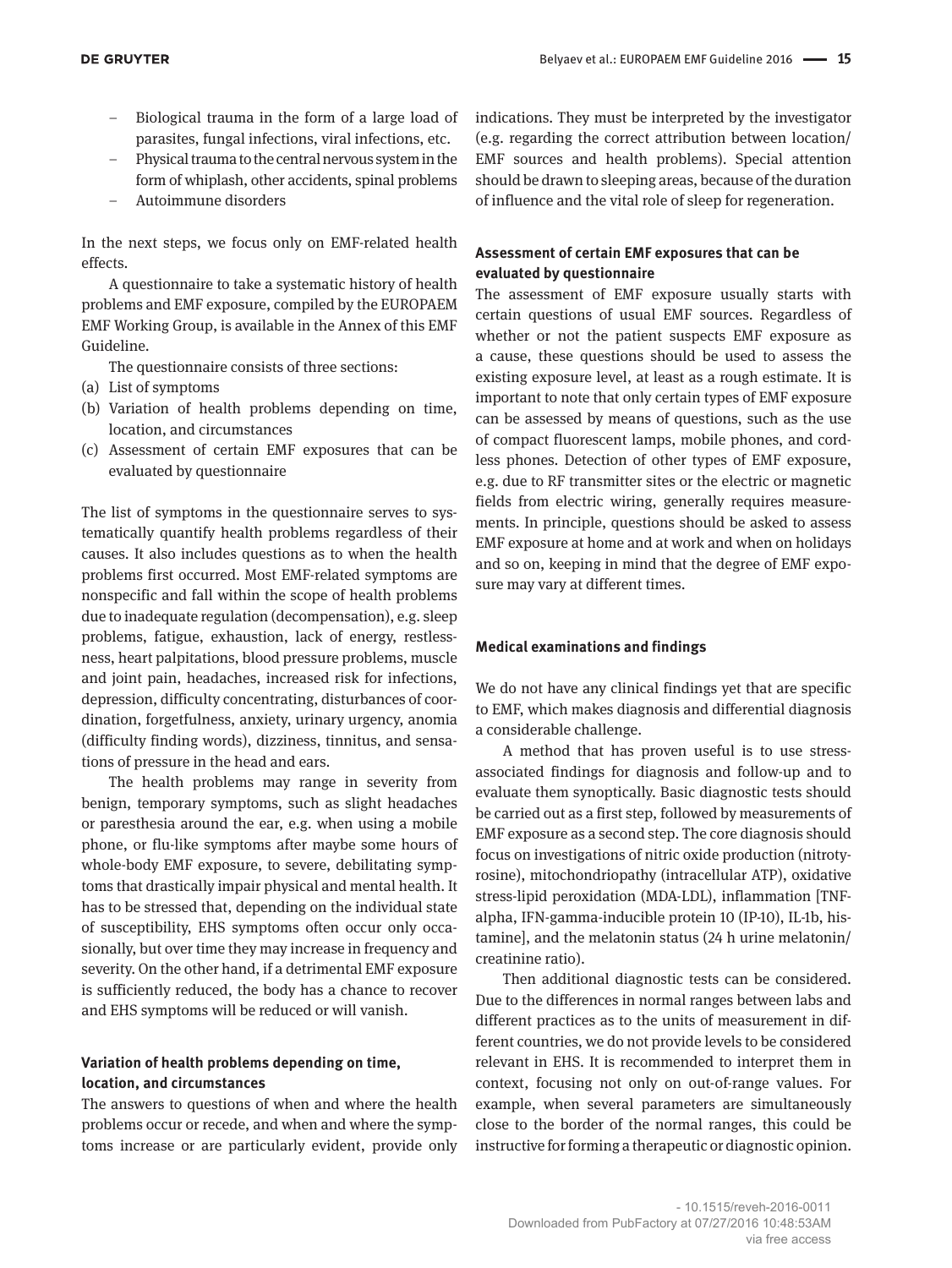- Biological trauma in the form of a large load of parasites, fungal infections, viral infections, etc.
- Physical trauma to the central nervous system in the form of whiplash, other accidents, spinal problems
- Autoimmune disorders

In the next steps, we focus only on EMF-related health effects.

A questionnaire to take a systematic history of health problems and EMF exposure, compiled by the EUROPAEM EMF Working Group, is available in the Annex of this EMF Guideline.

The questionnaire consists of three sections:

- (a) List of symptoms
- (b) Variation of health problems depending on time, location, and circumstances
- (c) Assessment of certain EMF exposures that can be evaluated by questionnaire

The list of symptoms in the questionnaire serves to systematically quantify health problems regardless of their causes. It also includes questions as to when the health problems first occurred. Most EMF-related symptoms are nonspecific and fall within the scope of health problems due to inadequate regulation (decompensation), e.g. sleep problems, fatigue, exhaustion, lack of energy, restlessness, heart palpitations, blood pressure problems, muscle and joint pain, headaches, increased risk for infections, depression, difficulty concentrating, disturbances of coordination, forgetfulness, anxiety, urinary urgency, anomia (difficulty finding words), dizziness, tinnitus, and sensations of pressure in the head and ears.

The health problems may range in severity from benign, temporary symptoms, such as slight headaches or paresthesia around the ear, e.g. when using a mobile phone, or flu-like symptoms after maybe some hours of whole-body EMF exposure, to severe, debilitating symptoms that drastically impair physical and mental health. It has to be stressed that, depending on the individual state of susceptibility, EHS symptoms often occur only occasionally, but over time they may increase in frequency and severity. On the other hand, if a detrimental EMF exposure is sufficiently reduced, the body has a chance to recover and EHS symptoms will be reduced or will vanish.

#### **Variation of health problems depending on time, location, and circumstances**

The answers to questions of when and where the health problems occur or recede, and when and where the symptoms increase or are particularly evident, provide only indications. They must be interpreted by the investigator (e.g. regarding the correct attribution between location/ EMF sources and health problems). Special attention should be drawn to sleeping areas, because of the duration of influence and the vital role of sleep for regeneration.

## **Assessment of certain EMF exposures that can be evaluated by questionnaire**

The assessment of EMF exposure usually starts with certain questions of usual EMF sources. Regardless of whether or not the patient suspects EMF exposure as a cause, these questions should be used to assess the existing exposure level, at least as a rough estimate. It is important to note that only certain types of EMF exposure can be assessed by means of questions, such as the use of compact fluorescent lamps, mobile phones, and cordless phones. Detection of other types of EMF exposure, e.g. due to RF transmitter sites or the electric or magnetic fields from electric wiring, generally requires measurements. In principle, questions should be asked to assess EMF exposure at home and at work and when on holidays and so on, keeping in mind that the degree of EMF exposure may vary at different times.

#### **Medical examinations and findings**

We do not have any clinical findings yet that are specific to EMF, which makes diagnosis and differential diagnosis a considerable challenge.

A method that has proven useful is to use stressassociated findings for diagnosis and follow-up and to evaluate them synoptically. Basic diagnostic tests should be carried out as a first step, followed by measurements of EMF exposure as a second step. The core diagnosis should focus on investigations of nitric oxide production (nitrotyrosine), mitochondriopathy (intracellular ATP), oxidative stress-lipid peroxidation (MDA-LDL), inflammation [TNFalpha, IFN-gamma-inducible protein 10 (IP-10), IL-1b, histamine], and the melatonin status (24 h urine melatonin/ creatinine ratio).

Then additional diagnostic tests can be considered. Due to the differences in normal ranges between labs and different practices as to the units of measurement in different countries, we do not provide levels to be considered relevant in EHS. It is recommended to interpret them in context, focusing not only on out-of-range values. For example, when several parameters are simultaneously close to the border of the normal ranges, this could be instructive for forming a therapeutic or diagnostic opinion.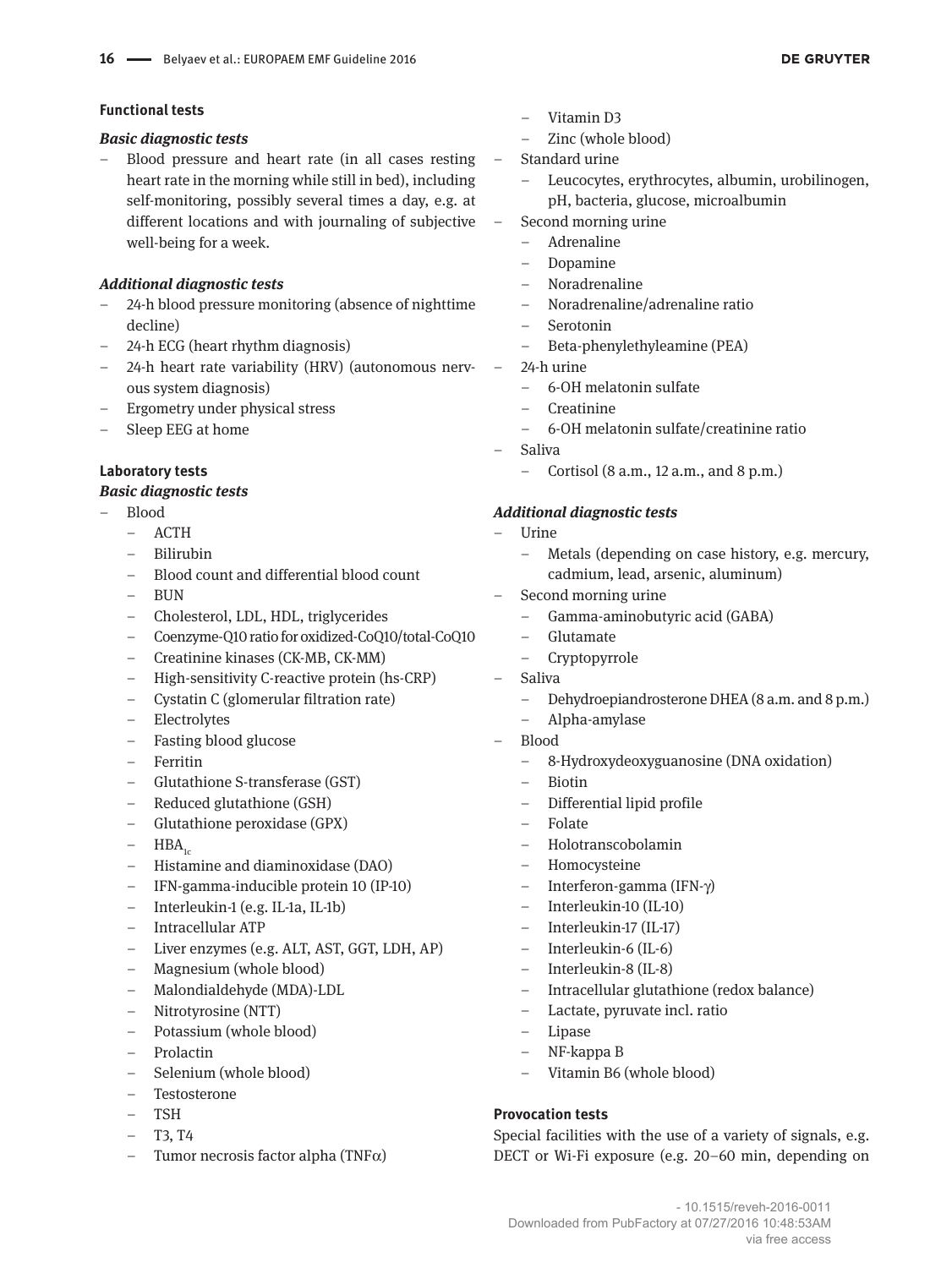#### **Functional tests**

#### *Basic diagnostic tests*

– Blood pressure and heart rate (in all cases resting heart rate in the morning while still in bed), including self-monitoring, possibly several times a day, e.g. at different locations and with journaling of subjective well-being for a week.

#### *Additional diagnostic tests*

- 24-h blood pressure monitoring (absence of nighttime decline)
- 24-h ECG (heart rhythm diagnosis)
- 24-h heart rate variability (HRV) (autonomous nervous system diagnosis)
- Ergometry under physical stress
- Sleep EEG at home

#### **Laboratory tests**

#### *Basic diagnostic tests*

- Blood
	- ACTH
	- Bilirubin
	- Blood count and differential blood count
	- BUN
	- Cholesterol, LDL, HDL, triglycerides
	- Coenzyme-Q10 ratio for oxidized-CoQ10/total-CoQ10
	- Creatinine kinases (CK-MB, CK-MM)
	- High-sensitivity C-reactive protein (hs-CRP)
	- Cystatin C (glomerular filtration rate)
	- Electrolytes
	- Fasting blood glucose
	- **Ferritin**
	- Glutathione S-transferase (GST)
	- Reduced glutathione (GSH)
	- Glutathione peroxidase (GPX)
	- $HBA$ <sub>1c</sub>
	- Histamine and diaminoxidase (DAO)
	- IFN-gamma-inducible protein 10 (IP-10)
	- Interleukin-1 (e.g. IL-1a, IL-1b)
	- Intracellular ATP
	- Liver enzymes (e.g. ALT, AST, GGT, LDH, AP)
	- Magnesium (whole blood)
	- Malondialdehyde (MDA)-LDL
	- Nitrotyrosine (NTT)
	- Potassium (whole blood)
	- Prolactin
	- Selenium (whole blood)
	- Testosterone
	- TSH
	- $-$  T<sub>3</sub>, T<sub>4</sub>
	- Tumor necrosis factor alpha (TNF $\alpha$ )
- Vitamin D3
- Zinc (whole blood)
- Standard urine
	- Leucocytes, erythrocytes, albumin, urobilinogen, pH, bacteria, glucose, microalbumin
- Second morning urine
	- Adrenaline
	- Dopamine
	- Noradrenaline
	- Noradrenaline/adrenaline ratio
	- Serotonin
	- Beta-phenylethyleamine (PEA)
- 24-h urine
	- 6-OH melatonin sulfate
	- Creatinine
	- 6-OH melatonin sulfate/creatinine ratio
- Saliva
	- Cortisol  $(8 a.m., 12 a.m., and 8 p.m.)$

#### *Additional diagnostic tests*

- Urine
	- Metals (depending on case history, e.g. mercury, cadmium, lead, arsenic, aluminum)
- Second morning urine
	- Gamma-aminobutyric acid (GABA)
	- Glutamate
	- Cryptopyrrole
- Saliva
	- Dehydroepiandrosterone DHEA (8 a.m. and 8 p.m.)
	- Alpha-amylase
- Blood
	- 8-Hydroxydeoxyguanosine (DNA oxidation)
	- Biotin
	- Differential lipid profile
	- Folate
	- Holotranscobolamin
	- Homocysteine
	- Interferon-gamma (IFN-γ)
	- Interleukin-10 (IL-10)
	- Interleukin-17 (IL-17)
	- Interleukin-6 (IL-6)
	- Interleukin-8 (IL-8)
	- Intracellular glutathione (redox balance)
	- Lactate, pyruvate incl. ratio
	- Lipase
	- NF-kappa B
	- Vitamin B6 (whole blood)

## **Provocation tests**

Special facilities with the use of a variety of signals, e.g. DECT or Wi-Fi exposure (e.g. 20–60 min, depending on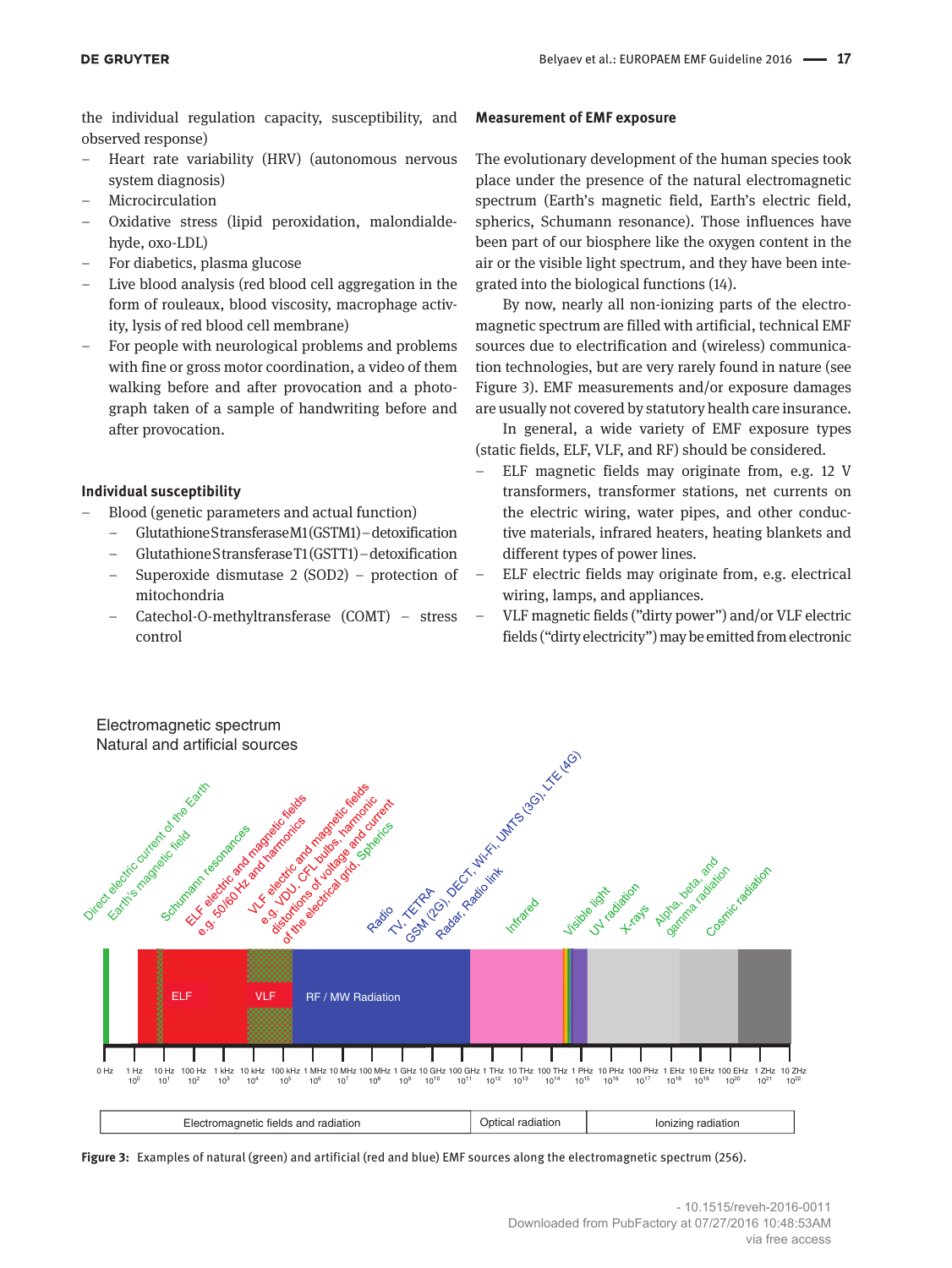the individual regulation capacity, susceptibility, and observed response)

- Heart rate variability (HRV) (autonomous nervous system diagnosis)
- **Microcirculation**
- Oxidative stress (lipid peroxidation, malondialdehyde, oxo-LDL)
- For diabetics, plasma glucose
- Live blood analysis (red blood cell aggregation in the form of rouleaux, blood viscosity, macrophage activity, lysis of red blood cell membrane)
- For people with neurological problems and problems with fine or gross motor coordination, a video of them walking before and after provocation and a photograph taken of a sample of handwriting before and after provocation.

## **Individual susceptibility**

- Blood (genetic parameters and actual function)
	- Glutathione S transferase M1 (GSTM1) detoxification
	- Glutathione S transferase T1 (GSTT1) detoxification
	- Superoxide dismutase 2 (SOD2) protection of mitochondria
	- Catechol-O-methyltransferase (COMT) stress control

### **Measurement of EMF exposure**

The evolutionary development of the human species took place under the presence of the natural electromagnetic spectrum (Earth's magnetic field, Earth's electric field, spherics, Schumann resonance). Those influences have been part of our biosphere like the oxygen content in the air or the visible light spectrum, and they have been integrated into the biological functions (14).

By now, nearly all non-ionizing parts of the electromagnetic spectrum are filled with artificial, technical EMF sources due to electrification and (wireless) communication technologies, but are very rarely found in nature (see Figure 3). EMF measurements and/or exposure damages are usually not covered by statutory health care insurance.

In general, a wide variety of EMF exposure types (static fields, ELF, VLF, and RF) should be considered.

- ELF magnetic fields may originate from, e.g. 12 V transformers, transformer stations, net currents on the electric wiring, water pipes, and other conductive materials, infrared heaters, heating blankets and different types of power lines.
- ELF electric fields may originate from, e.g. electrical wiring, lamps, and appliances.
- VLF magnetic fields ("dirty power") and/or VLF electric fields ("dirty electricity") may be emitted from electronic



**Figure 3:** Examples of natural (green) and artificial (red and blue) EMF sources along the electromagnetic spectrum (256).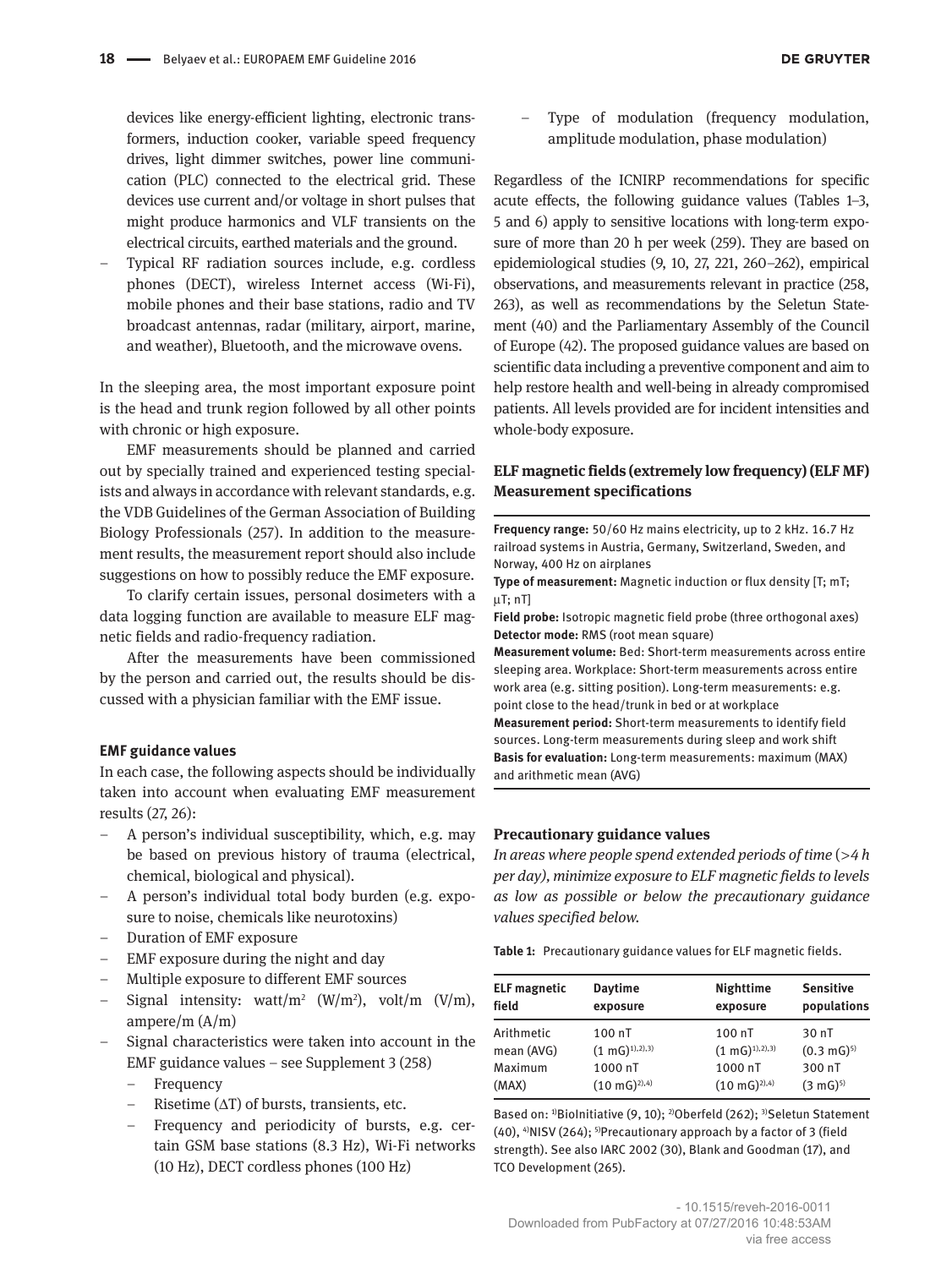devices like energy-efficient lighting, electronic transformers, induction cooker, variable speed frequency drives, light dimmer switches, power line communication (PLC) connected to the electrical grid. These devices use current and/or voltage in short pulses that might produce harmonics and VLF transients on the electrical circuits, earthed materials and the ground.

– Typical RF radiation sources include, e.g. cordless phones (DECT), wireless Internet access (Wi-Fi), mobile phones and their base stations, radio and TV broadcast antennas, radar (military, airport, marine, and weather), Bluetooth, and the microwave ovens.

In the sleeping area, the most important exposure point is the head and trunk region followed by all other points with chronic or high exposure.

EMF measurements should be planned and carried out by specially trained and experienced testing specialists and always in accordance with relevant standards, e.g. the VDB Guidelines of the German Association of Building Biology Professionals (257). In addition to the measurement results, the measurement report should also include suggestions on how to possibly reduce the EMF exposure.

To clarify certain issues, personal dosimeters with a data logging function are available to measure ELF magnetic fields and radio-frequency radiation.

After the measurements have been commissioned by the person and carried out, the results should be discussed with a physician familiar with the EMF issue.

#### **EMF guidance values**

In each case, the following aspects should be individually taken into account when evaluating EMF measurement results (27, 26):

- A person's individual susceptibility, which, e.g. may be based on previous history of trauma (electrical, chemical, biological and physical).
- A person's individual total body burden (e.g. exposure to noise, chemicals like neurotoxins)
- Duration of EMF exposure
- EMF exposure during the night and day
- Multiple exposure to different EMF sources
- $-$  Signal intensity: watt/m<sup>2</sup> (W/m<sup>2</sup>), volt/m (V/m), ampere/m (A/m)
- Signal characteristics were taken into account in the EMF guidance values – see Supplement 3 (258)
	- Frequency
	- Risetime  $(\Delta T)$  of bursts, transients, etc.
	- Frequency and periodicity of bursts, e.g. certain GSM base stations (8.3 Hz), Wi-Fi networks (10 Hz), DECT cordless phones (100 Hz)

– Type of modulation (frequency modulation, amplitude modulation, phase modulation)

Regardless of the ICNIRP recommendations for specific acute effects, the following guidance values (Tables 1–3, 5 and 6) apply to sensitive locations with long-term exposure of more than 20 h per week (259). They are based on epidemiological studies (9, 10, 27, 221, 260–262), empirical observations, and measurements relevant in practice (258, 263), as well as recommendations by the Seletun Statement (40) and the Parliamentary Assembly of the Council of Europe (42). The proposed guidance values are based on scientific data including a preventive component and aim to help restore health and well-being in already compromised patients. All levels provided are for incident intensities and whole-body exposure.

#### **ELF magnetic fields (extremely low frequency) (ELF MF) Measurement specifications**

**Frequency range:** 50/60 Hz mains electricity, up to 2 kHz. 16.7 Hz railroad systems in Austria, Germany, Switzerland, Sweden, and Norway, 400 Hz on airplanes

**Type of measurement:** Magnetic induction or flux density [T; mT; μT; nT]

**Field probe:** Isotropic magnetic field probe (three orthogonal axes) **Detector mode:** RMS (root mean square)

**Measurement volume:** Bed: Short-term measurements across entire sleeping area. Workplace: Short-term measurements across entire work area (e.g. sitting position). Long-term measurements: e.g. point close to the head/trunk in bed or at workplace **Measurement period:** Short-term measurements to identify field sources. Long-term measurements during sleep and work shift **Basis for evaluation:** Long-term measurements: maximum (MAX)

and arithmetic mean (AVG)

#### **Precautionary guidance values**

*In areas where people spend extended periods of time (>4 h per day), minimize exposure to ELF magnetic fields to levels as low as possible or below the precautionary guidance values specified below.*

**Table 1:** Precautionary guidance values for ELF magnetic fields.

| <b>ELF</b> magnetic | <b>Daytime</b>                           | <b>Nighttime</b>          | <b>Sensitive</b>       |
|---------------------|------------------------------------------|---------------------------|------------------------|
| field               | exposure                                 | exposure                  | populations            |
| Arithmetic          | 100nT                                    | $100n$ T                  | 30 nT                  |
| mean (AVG)          | $(1 \text{ mG})^{(1,2), (3)}$            | $(1 \text{ mG})^{1,2,3)}$ | $(0.3 \text{ mG})^{5}$ |
| Maximum             | 1000 nT                                  | 1000 nT                   | 300 nT                 |
| (MAX)               | $(10 \text{ mG})^{2}$ <sup>2</sup> ), 4) | $(10 \text{ mG})^{2(,4)}$ | $(3 \text{ mG})^{5}$   |

Based on: <sup>1)</sup>BioInitiative (9, 10); <sup>2</sup>)Oberfeld (262); <sup>3)</sup>Seletun Statement (40), 4)NISV (264); 5)Precautionary approach by a factor of 3 (field strength). See also IARC 2002 (30), Blank and Goodman (17), and TCO Development (265).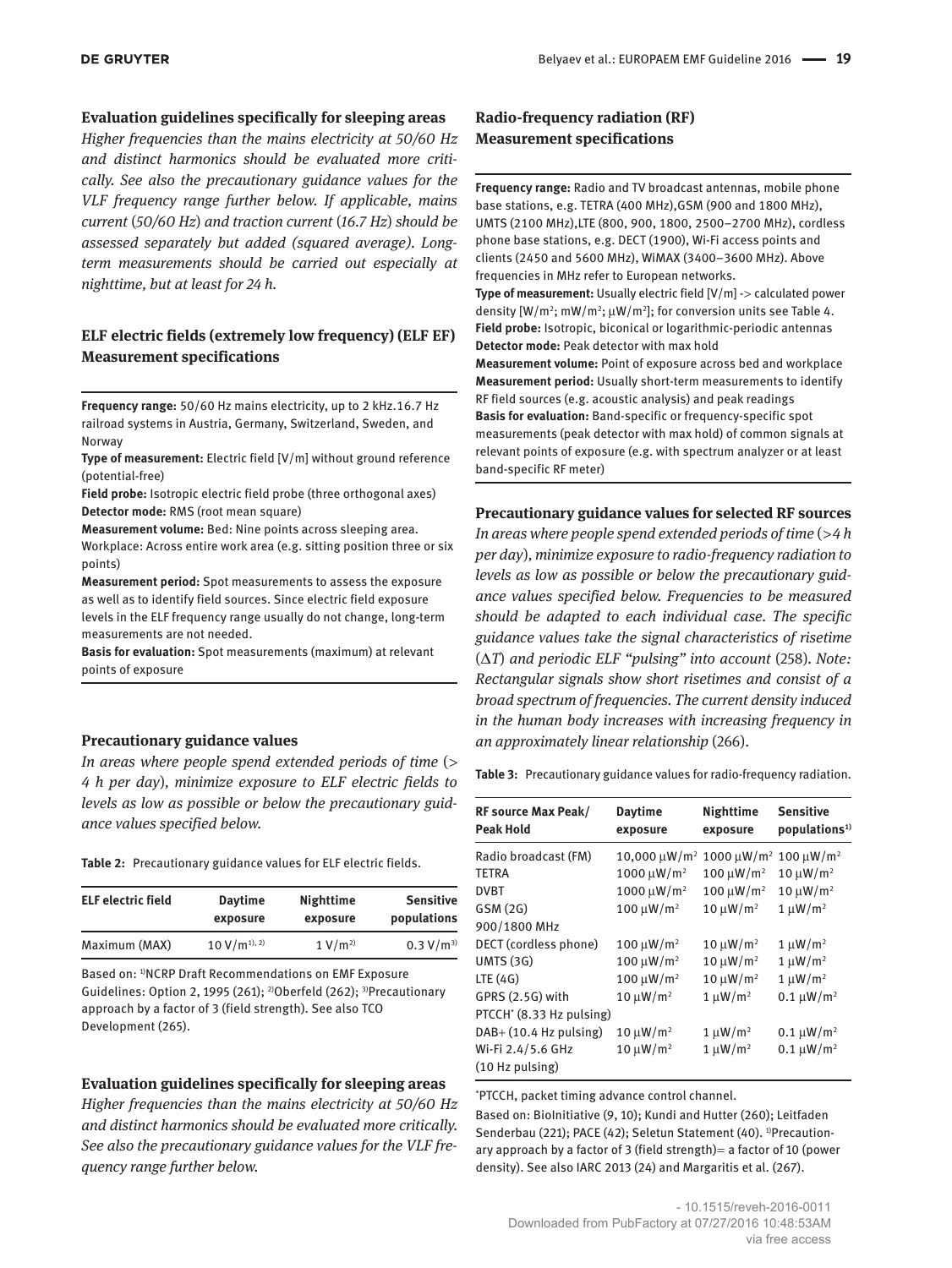#### **Evaluation guidelines specifically for sleeping areas**

*Higher frequencies than the mains electricity at 50/60 Hz and distinct harmonics should be evaluated more critically. See also the precautionary guidance values for the VLF frequency range further below. If applicable, mains current* (*50/60 Hz*) *and traction current* (*16.7 Hz*) *should be assessed separately but added (squared average). Longterm measurements should be carried out especially at nighttime, but at least for 24 h.*

#### **ELF electric fields (extremely low frequency) (ELF EF) Measurement specifications**

**Frequency range:** 50/60 Hz mains electricity, up to 2 kHz.16.7 Hz railroad systems in Austria, Germany, Switzerland, Sweden, and Norway

**Type of measurement:** Electric field [V/m] without ground reference (potential-free)

**Field probe:** Isotropic electric field probe (three orthogonal axes) **Detector mode:** RMS (root mean square)

**Measurement volume:** Bed: Nine points across sleeping area. Workplace: Across entire work area (e.g. sitting position three or six points)

**Measurement period:** Spot measurements to assess the exposure as well as to identify field sources. Since electric field exposure levels in the ELF frequency range usually do not change, long-term measurements are not needed.

**Basis for evaluation:** Spot measurements (maximum) at relevant points of exposure

#### **Precautionary guidance values**

*In areas where people spend extended periods of time* (>*4 h per day*)*, minimize exposure to ELF electric fields to levels as low as possible or below the precautionary guidance values specified below.*

**Table 2:** Precautionary guidance values for ELF electric fields.

| <b>ELF</b> electric field | <b>Daytime</b> | <b>Nighttime</b>    | <b>Sensitive</b> |
|---------------------------|----------------|---------------------|------------------|
|                           | exposure       | exposure            | populations      |
| Maximum (MAX)             | $10 V/m^{1,2}$ | $1 \text{ V/m}^{2}$ | $0.3 V/m^{3}$    |

Based on: 1)NCRP Draft Recommendations on EMF Exposure Guidelines: Option 2, 1995 (261); 2)Oberfeld (262); 3)Precautionary approach by a factor of 3 (field strength). See also TCO Development (265).

#### **Evaluation guidelines specifically for sleeping areas**

*Higher frequencies than the mains electricity at 50/60 Hz and distinct harmonics should be evaluated more critically. See also the precautionary guidance values for the VLF frequency range further below.*

## **Radio-frequency radiation (RF) Measurement specifications**

**Frequency range:** Radio and TV broadcast antennas, mobile phone base stations, e.g. TETRA (400 MHz),GSM (900 and 1800 MHz), UMTS (2100 MHz),LTE (800, 900, 1800, 2500–2700 MHz), cordless phone base stations, e.g. DECT (1900), Wi-Fi access points and clients (2450 and 5600 MHz), WiMAX (3400–3600 MHz). Above frequencies in MHz refer to European networks. **Type of measurement:** Usually electric field [V/m] -> calculated power density  $[W/m^2; mW/m^2; \mu W/m^2]$ ; for conversion units see Table 4. **Field probe:** Isotropic, biconical or logarithmic-periodic antennas **Detector mode:** Peak detector with max hold **Measurement volume:** Point of exposure across bed and workplace **Measurement period:** Usually short-term measurements to identify RF field sources (e.g. acoustic analysis) and peak readings **Basis for evaluation:** Band-specific or frequency-specific spot measurements (peak detector with max hold) of common signals at relevant points of exposure (e.g. with spectrum analyzer or at least band-specific RF meter)

**Precautionary guidance values for selected RF sources**

In areas where people spend extended periods of time (>4 h *per day*)*, minimize exposure to radio-frequency radiation to levels as low as possible or below the precautionary guidance values specified below. Frequencies to be measured should be adapted to each individual case. The specific guidance values take the signal characteristics of risetime*  (Δ*T*) *and periodic ELF "pulsing" into account* (258)*. Note: Rectangular signals show short risetimes and consist of a broad spectrum of frequencies. The current density induced in the human body increases with increasing frequency in an approximately linear relationship* (266).

**Table 3:** Precautionary guidance values for radio-frequency radiation.

| <b>RF source Max Peak/</b><br>Peak Hold | <b>Daytime</b><br>exposure                                | <b>Nighttime</b><br>exposure | <b>Sensitive</b><br>populations <sup>1)</sup> |
|-----------------------------------------|-----------------------------------------------------------|------------------------------|-----------------------------------------------|
| Radio broadcast (FM)                    | 10,000 $\mu$ W/m <sup>2</sup> 1000 $\mu$ W/m <sup>2</sup> |                              | 100 $\mu$ W/m <sup>2</sup>                    |
| <b>TETRA</b>                            | 1000 $\mu$ W/m <sup>2</sup>                               | 100 $\mu$ W/m <sup>2</sup>   | $10 \mu W/m^2$                                |
| <b>DVBT</b>                             | 1000 $\mu$ W/m <sup>2</sup>                               | 100 $\mu$ W/m <sup>2</sup>   | $10 \mu W/m^2$                                |
| GSM(2G)                                 | $100 \mu W/m^2$                                           | $10 \mu W/m^2$               | $1 \mu W/m^2$                                 |
| 900/1800 MHz                            |                                                           |                              |                                               |
| DECT (cordless phone)                   | 100 $\mu$ W/m <sup>2</sup>                                | $10 \mu W/m^2$               | $1 \mu W/m^2$                                 |
| <b>UMTS (3G)</b>                        | 100 $\mu$ W/m <sup>2</sup>                                | $10 \mu W/m^2$               | $1 \mu W/m^2$                                 |
| LTE $(4G)$                              | 100 $\mu$ W/m <sup>2</sup>                                | $10 \mu W/m^2$               | $1 \mu W/m^2$                                 |
| GPRS (2.5G) with                        | $10 \mu W/m^2$                                            | $1 \mu W/m^2$                | $0.1 \,\mathrm{\upmu W/m^2}$                  |
| PTCCH <sup>*</sup> (8.33 Hz pulsing)    |                                                           |                              |                                               |
| $DAB+ (10.4 Hz pulsing)$                | $10 \mu W/m^2$                                            | $1 \mu W/m^2$                | $0.1 \mu W/m^2$                               |
| Wi-Fi 2.4/5.6 GHz                       | $10 \mu W/m^2$                                            | $1 \mu W/m^2$                | $0.1 \mu W/m^2$                               |
| $(10 Hz$ pulsing)                       |                                                           |                              |                                               |

\* PTCCH, packet timing advance control channel.

Based on: BioInitiative (9, 10); Kundi and Hutter (260); Leitfaden Senderbau (221); PACE (42); Seletun Statement (40). <sup>1)</sup>Precautionary approach by a factor of 3 (field strength) =  a factor of 10 (power density). See also IARC 2013 (24) and Margaritis et al. (267).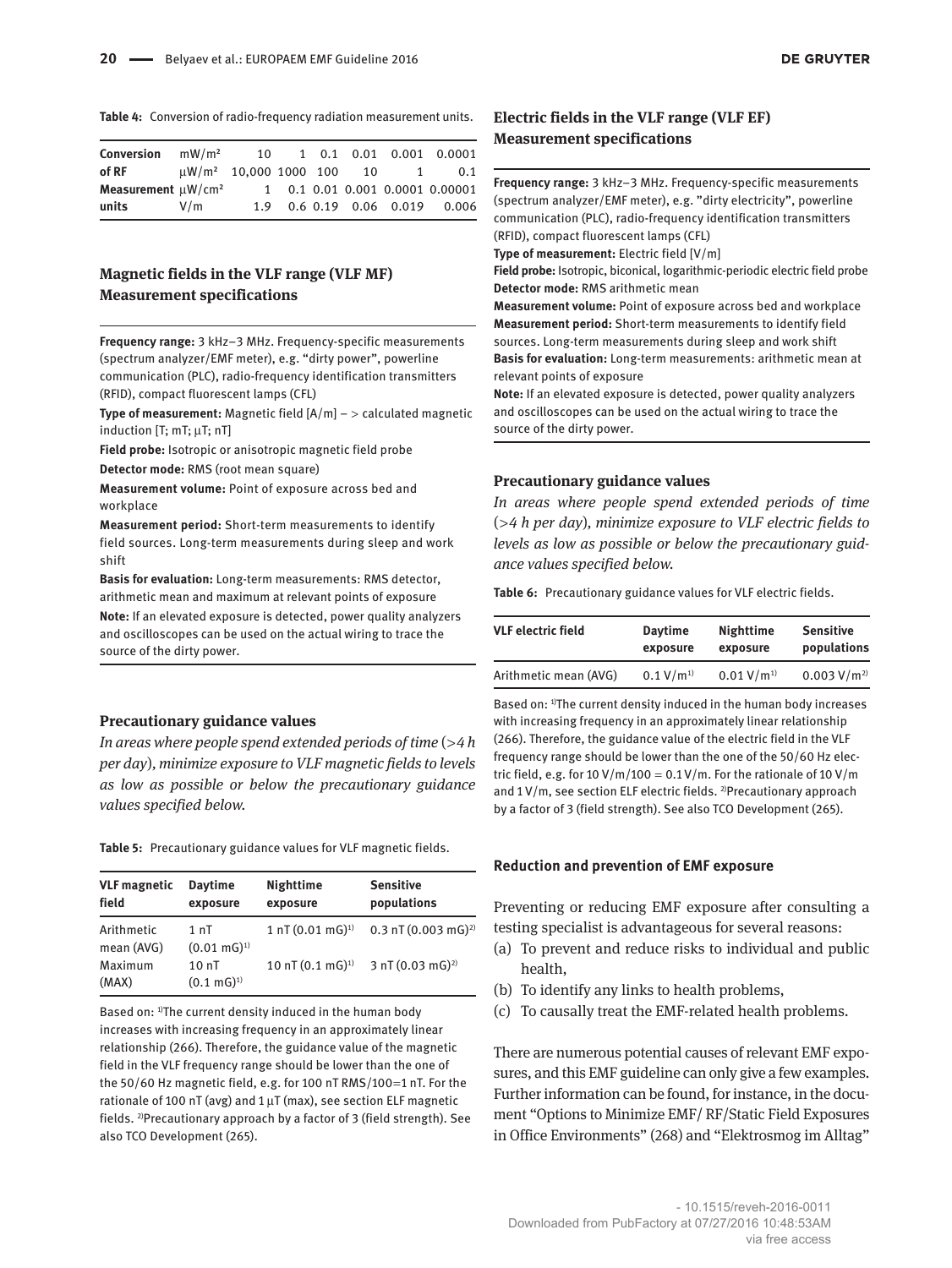**Table 4:** Conversion of radio-frequency radiation measurement units.

| Conversion                          | mW/m <sup>2</sup> 10 1 0.1 0.01 0.001 0.0001 |  |  |                                      |
|-------------------------------------|----------------------------------------------|--|--|--------------------------------------|
| of RF                               | $\mu$ W/m <sup>2</sup> 10,000 1000 100 10 1  |  |  | 0.1                                  |
| Measurement $\mu$ W/cm <sup>2</sup> |                                              |  |  | 1  0.1  0.01  0.001  0.0001  0.00001 |
| units                               | V/m                                          |  |  | 1.9  0.6  0.19  0.06  0.019  0.006   |

#### **Magnetic fields in the VLF range (VLF MF) Measurement specifications**

**Frequency range:** 3 kHz–3 MHz. Frequency-specific measurements (spectrum analyzer/EMF meter), e.g. "dirty power", powerline communication (PLC), radio-frequency identification transmitters (RFID), compact fluorescent lamps (CFL)

**Type of measurement:** Magnetic field  $[A/m]$  –  $>$  calculated magnetic induction [T; mT; μT; nT]

**Field probe:** Isotropic or anisotropic magnetic field probe **Detector mode:** RMS (root mean square)

**Measurement volume:** Point of exposure across bed and workplace

**Measurement period:** Short-term measurements to identify field sources. Long-term measurements during sleep and work shift

**Basis for evaluation:** Long-term measurements: RMS detector, arithmetic mean and maximum at relevant points of exposure **Note:** If an elevated exposure is detected, power quality analyzers and oscilloscopes can be used on the actual wiring to trace the source of the dirty power.

#### **Precautionary guidance values**

*In areas where people spend extended periods of time (>4 h per day*)*, minimize exposure to VLF magnetic fields to levels as low as possible or below the precautionary guidance values specified below.*

**Table 5:** Precautionary guidance values for VLF magnetic fields.

| <b>VLF</b> magnetic<br>field | <b>Davtime</b><br>exposure     | <b>Nighttime</b><br>exposure | <b>Sensitive</b><br>populations |
|------------------------------|--------------------------------|------------------------------|---------------------------------|
| Arithmetic<br>mean (AVG)     | 1nT<br>$(0.01 \text{ mG})^{1}$ | 1 nT $(0.01 \text{ mG})^1$   | 0.3 nT $(0.003 \text{ mG})^{2}$ |
| Maximum<br>(MAX)             | 10nT<br>$(0.1 \text{ mG})^{1}$ | 10 nT $(0.1 \text{ mG})^{1}$ | 3 nT $(0.03 \text{ mG})^{2}$    |

Based on: 1)The current density induced in the human body increases with increasing frequency in an approximately linear relationship (266). Therefore, the guidance value of the magnetic field in the VLF frequency range should be lower than the one of the 50/60 Hz magnetic field, e.g. for 100 nT RMS/100=1 nT. For the rationale of 100 nT (avg) and  $1 \mu T$  (max), see section ELF magnetic fields. 2)Precautionary approach by a factor of 3 (field strength). See also TCO Development (265).

#### **Electric fields in the VLF range (VLF EF) Measurement specifications**

**Frequency range:** 3 kHz–3 MHz. Frequency-specific measurements (spectrum analyzer/EMF meter), e.g. "dirty electricity", powerline communication (PLC), radio-frequency identification transmitters (RFID), compact fluorescent lamps (CFL)

**Type of measurement:** Electric field [V/m]

**Field probe:** Isotropic, biconical, logarithmic-periodic electric field probe **Detector mode:** RMS arithmetic mean

**Measurement volume:** Point of exposure across bed and workplace **Measurement period:** Short-term measurements to identify field sources. Long-term measurements during sleep and work shift **Basis for evaluation:** Long-term measurements: arithmetic mean at relevant points of exposure

**Note:** If an elevated exposure is detected, power quality analyzers and oscilloscopes can be used on the actual wiring to trace the source of the dirty power.

#### **Precautionary guidance values**

*In areas where people spend extended periods of time*  (>*4 h per day*)*, minimize exposure to VLF electric fields to levels as low as possible or below the precautionary guidance values specified below.*

**Table 6:** Precautionary guidance values for VLF electric fields.

| <b>VLF</b> electric field | <b>Daytime</b>       | <b>Nighttime</b>      | <b>Sensitive</b>       |
|---------------------------|----------------------|-----------------------|------------------------|
|                           | exposure             | exposure              | populations            |
| Arithmetic mean (AVG)     | 0.1 V/m <sup>1</sup> | 0.01 V/m <sup>1</sup> | 0.003 V/m <sup>2</sup> |

Based on: 1)The current density induced in the human body increases with increasing frequency in an approximately linear relationship (266). Therefore, the guidance value of the electric field in the VLF frequency range should be lower than the one of the 50/60 Hz electric field, e.g. for 10 V/m/100 = 0.1 V/m. For the rationale of 10 V/m and 1 V/m, see section ELF electric fields. <sup>2)</sup>Precautionary approach by a factor of 3 (field strength). See also TCO Development (265).

#### **Reduction and prevention of EMF exposure**

Preventing or reducing EMF exposure after consulting a testing specialist is advantageous for several reasons:

- (a) To prevent and reduce risks to individual and public health,
- (b) To identify any links to health problems,
- (c) To causally treat the EMF-related health problems.

There are numerous potential causes of relevant EMF exposures, and this EMF guideline can only give a few examples. Further information can be found, for instance, in the document "Options to Minimize EMF/ RF/Static Field Exposures in Office Environments" (268) and "Elektrosmog im Alltag"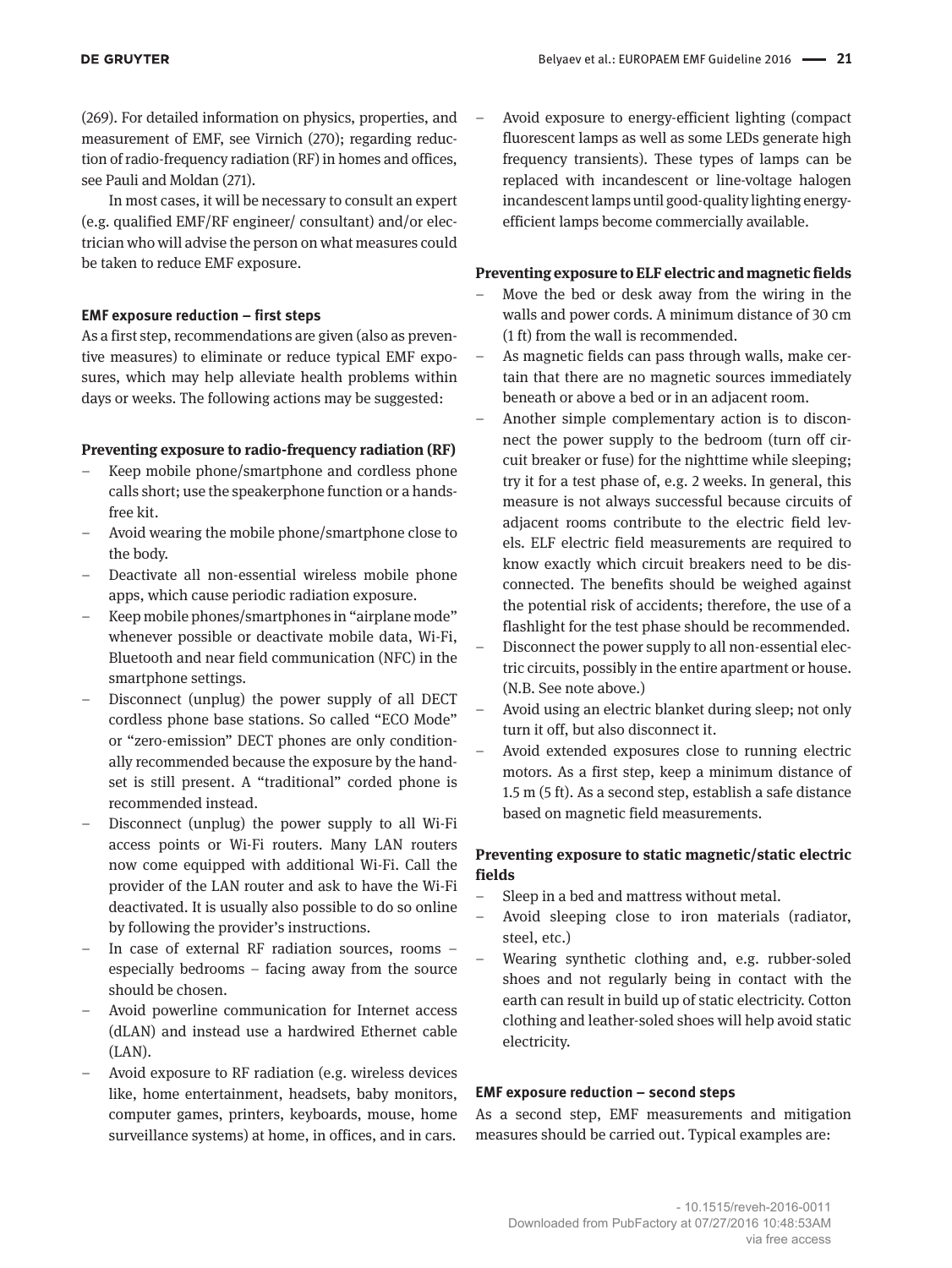(269). For detailed information on physics, properties, and measurement of EMF, see Virnich (270); regarding reduction of radio-frequency radiation (RF) in homes and offices, see Pauli and Moldan (271).

In most cases, it will be necessary to consult an expert (e.g. qualified EMF/RF engineer/ consultant) and/or electrician who will advise the person on what measures could be taken to reduce EMF exposure.

#### **EMF exposure reduction – first steps**

As a first step, recommendations are given (also as preventive measures) to eliminate or reduce typical EMF exposures, which may help alleviate health problems within days or weeks. The following actions may be suggested:

#### **Preventing exposure to radio-frequency radiation (RF)**

- Keep mobile phone/smartphone and cordless phone calls short; use the speakerphone function or a handsfree kit.
- Avoid wearing the mobile phone/smartphone close to the body.
- Deactivate all non-essential wireless mobile phone apps, which cause periodic radiation exposure.
- Keep mobile phones/smartphones in "airplane mode" whenever possible or deactivate mobile data, Wi-Fi, Bluetooth and near field communication (NFC) in the smartphone settings.
- Disconnect (unplug) the power supply of all DECT cordless phone base stations. So called "ECO Mode" or "zero-emission" DECT phones are only conditionally recommended because the exposure by the handset is still present. A "traditional" corded phone is recommended instead.
- Disconnect (unplug) the power supply to all Wi-Fi access points or Wi-Fi routers. Many LAN routers now come equipped with additional Wi-Fi. Call the provider of the LAN router and ask to have the Wi-Fi deactivated. It is usually also possible to do so online by following the provider's instructions.
- In case of external RF radiation sources, rooms especially bedrooms – facing away from the source should be chosen.
- Avoid powerline communication for Internet access (dLAN) and instead use a hardwired Ethernet cable (LAN).
- Avoid exposure to RF radiation (e.g. wireless devices like, home entertainment, headsets, baby monitors, computer games, printers, keyboards, mouse, home surveillance systems) at home, in offices, and in cars.

– Avoid exposure to energy-efficient lighting (compact fluorescent lamps as well as some LEDs generate high frequency transients). These types of lamps can be replaced with incandescent or line-voltage halogen incandescent lamps until good-quality lighting energyefficient lamps become commercially available.

#### **Preventing exposure to ELF electric and magnetic fields**

- Move the bed or desk away from the wiring in the walls and power cords. A minimum distance of 30 cm (1 ft) from the wall is recommended.
- As magnetic fields can pass through walls, make certain that there are no magnetic sources immediately beneath or above a bed or in an adjacent room.
- Another simple complementary action is to disconnect the power supply to the bedroom (turn off circuit breaker or fuse) for the nighttime while sleeping; try it for a test phase of, e.g. 2 weeks. In general, this measure is not always successful because circuits of adjacent rooms contribute to the electric field levels. ELF electric field measurements are required to know exactly which circuit breakers need to be disconnected. The benefits should be weighed against the potential risk of accidents; therefore, the use of a flashlight for the test phase should be recommended.
- Disconnect the power supply to all non-essential electric circuits, possibly in the entire apartment or house. (N.B. See note above.)
- Avoid using an electric blanket during sleep; not only turn it off, but also disconnect it.
- Avoid extended exposures close to running electric motors. As a first step, keep a minimum distance of 1.5 m (5 ft). As a second step, establish a safe distance based on magnetic field measurements.

## **Preventing exposure to static magnetic/static electric fields**

- Sleep in a bed and mattress without metal.
- Avoid sleeping close to iron materials (radiator, steel, etc.)
- Wearing synthetic clothing and, e.g. rubber-soled shoes and not regularly being in contact with the earth can result in build up of static electricity. Cotton clothing and leather-soled shoes will help avoid static electricity.

#### **EMF exposure reduction – second steps**

As a second step, EMF measurements and mitigation measures should be carried out. Typical examples are: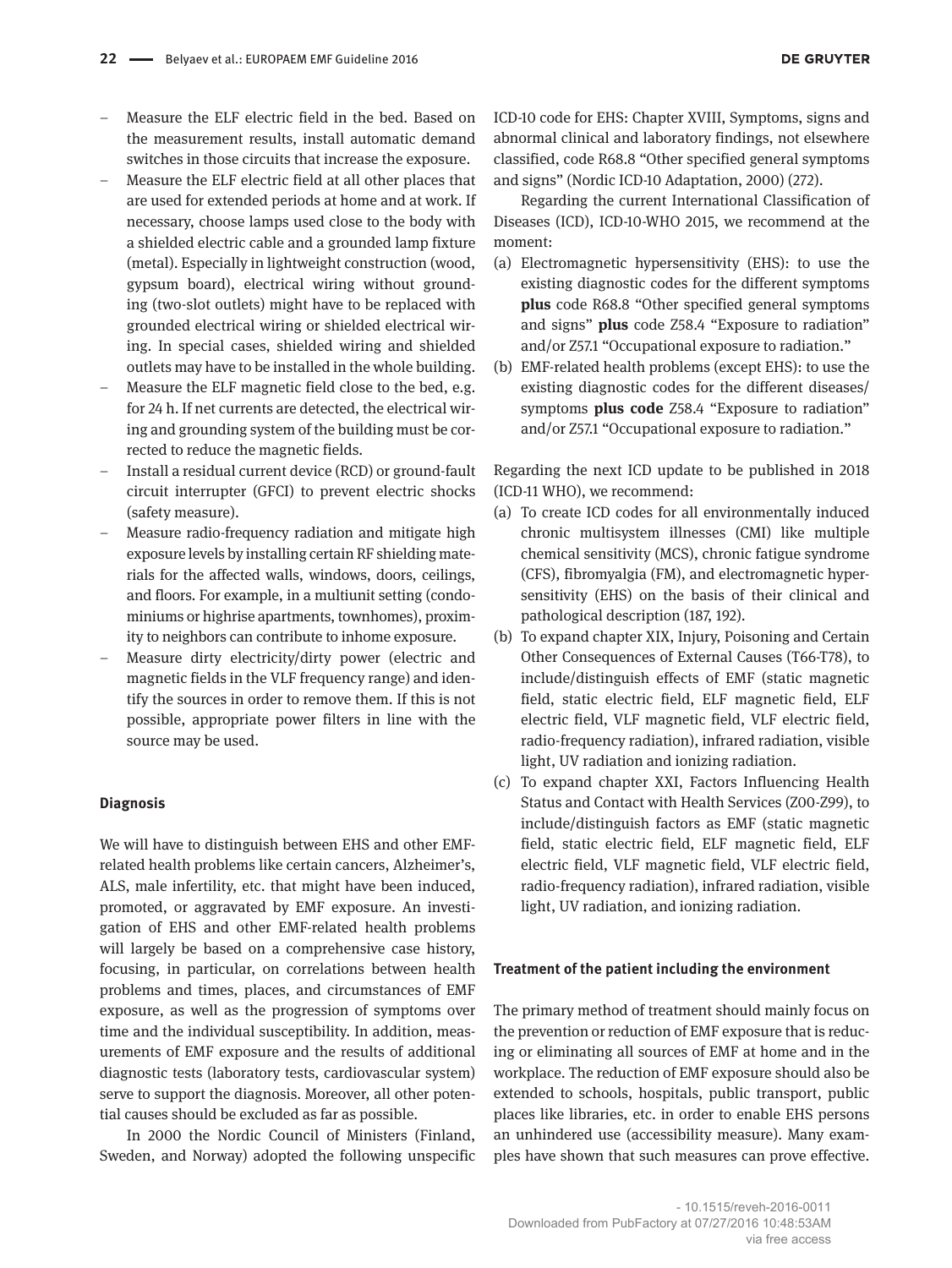- Measure the ELF electric field in the bed. Based on the measurement results, install automatic demand switches in those circuits that increase the exposure.
- Measure the ELF electric field at all other places that are used for extended periods at home and at work. If necessary, choose lamps used close to the body with a shielded electric cable and a grounded lamp fixture (metal). Especially in lightweight construction (wood, gypsum board), electrical wiring without grounding (two-slot outlets) might have to be replaced with grounded electrical wiring or shielded electrical wiring. In special cases, shielded wiring and shielded outlets may have to be installed in the whole building.
- Measure the ELF magnetic field close to the bed, e.g. for 24 h. If net currents are detected, the electrical wiring and grounding system of the building must be corrected to reduce the magnetic fields.
- Install a residual current device (RCD) or ground-fault circuit interrupter (GFCI) to prevent electric shocks (safety measure).
- Measure radio-frequency radiation and mitigate high exposure levels by installing certain RF shielding materials for the affected walls, windows, doors, ceilings, and floors. For example, in a multiunit setting (condominiums or highrise apartments, townhomes), proximity to neighbors can contribute to inhome exposure.
- Measure dirty electricity/dirty power (electric and magnetic fields in the VLF frequency range) and identify the sources in order to remove them. If this is not possible, appropriate power filters in line with the source may be used.

#### **Diagnosis**

We will have to distinguish between EHS and other EMFrelated health problems like certain cancers, Alzheimer's, ALS, male infertility, etc. that might have been induced, promoted, or aggravated by EMF exposure. An investigation of EHS and other EMF-related health problems will largely be based on a comprehensive case history, focusing, in particular, on correlations between health problems and times, places, and circumstances of EMF exposure, as well as the progression of symptoms over time and the individual susceptibility. In addition, measurements of EMF exposure and the results of additional diagnostic tests (laboratory tests, cardiovascular system) serve to support the diagnosis. Moreover, all other potential causes should be excluded as far as possible.

In 2000 the Nordic Council of Ministers (Finland, Sweden, and Norway) adopted the following unspecific ICD-10 code for EHS: Chapter XVIII, Symptoms, signs and abnormal clinical and laboratory findings, not elsewhere classified, code R68.8 "Other specified general symptoms and signs" (Nordic ICD-10 Adaptation, 2000) (272).

Regarding the current International Classification of Diseases (ICD), ICD-10-WHO 2015, we recommend at the moment:

- (a) Electromagnetic hypersensitivity (EHS): to use the existing diagnostic codes for the different symptoms **plus** code R68.8 "Other specified general symptoms and signs" **plus** code Z58.4 "Exposure to radiation" and/or Z57.1 "Occupational exposure to radiation."
- (b) EMF-related health problems (except EHS): to use the existing diagnostic codes for the different diseases/ symptoms **plus code** Z58.4 "Exposure to radiation" and/or Z57.1 "Occupational exposure to radiation."

Regarding the next ICD update to be published in 2018 (ICD-11 WHO), we recommend:

- (a) To create ICD codes for all environmentally induced chronic multisystem illnesses (CMI) like multiple chemical sensitivity (MCS), chronic fatigue syndrome (CFS), fibromyalgia (FM), and electromagnetic hypersensitivity (EHS) on the basis of their clinical and pathological description (187, 192).
- (b) To expand chapter XIX, Injury, Poisoning and Certain Other Consequences of External Causes (T66-T78), to include/distinguish effects of EMF (static magnetic field, static electric field, ELF magnetic field, ELF electric field, VLF magnetic field, VLF electric field, radio-frequency radiation), infrared radiation, visible light, UV radiation and ionizing radiation.
- (c) To expand chapter XXI, Factors Influencing Health Status and Contact with Health Services (Z00-Z99), to include/distinguish factors as EMF (static magnetic field, static electric field, ELF magnetic field, ELF electric field, VLF magnetic field, VLF electric field, radio-frequency radiation), infrared radiation, visible light, UV radiation, and ionizing radiation.

#### **Treatment of the patient including the environment**

The primary method of treatment should mainly focus on the prevention or reduction of EMF exposure that is reducing or eliminating all sources of EMF at home and in the workplace. The reduction of EMF exposure should also be extended to schools, hospitals, public transport, public places like libraries, etc. in order to enable EHS persons an unhindered use (accessibility measure). Many examples have shown that such measures can prove effective.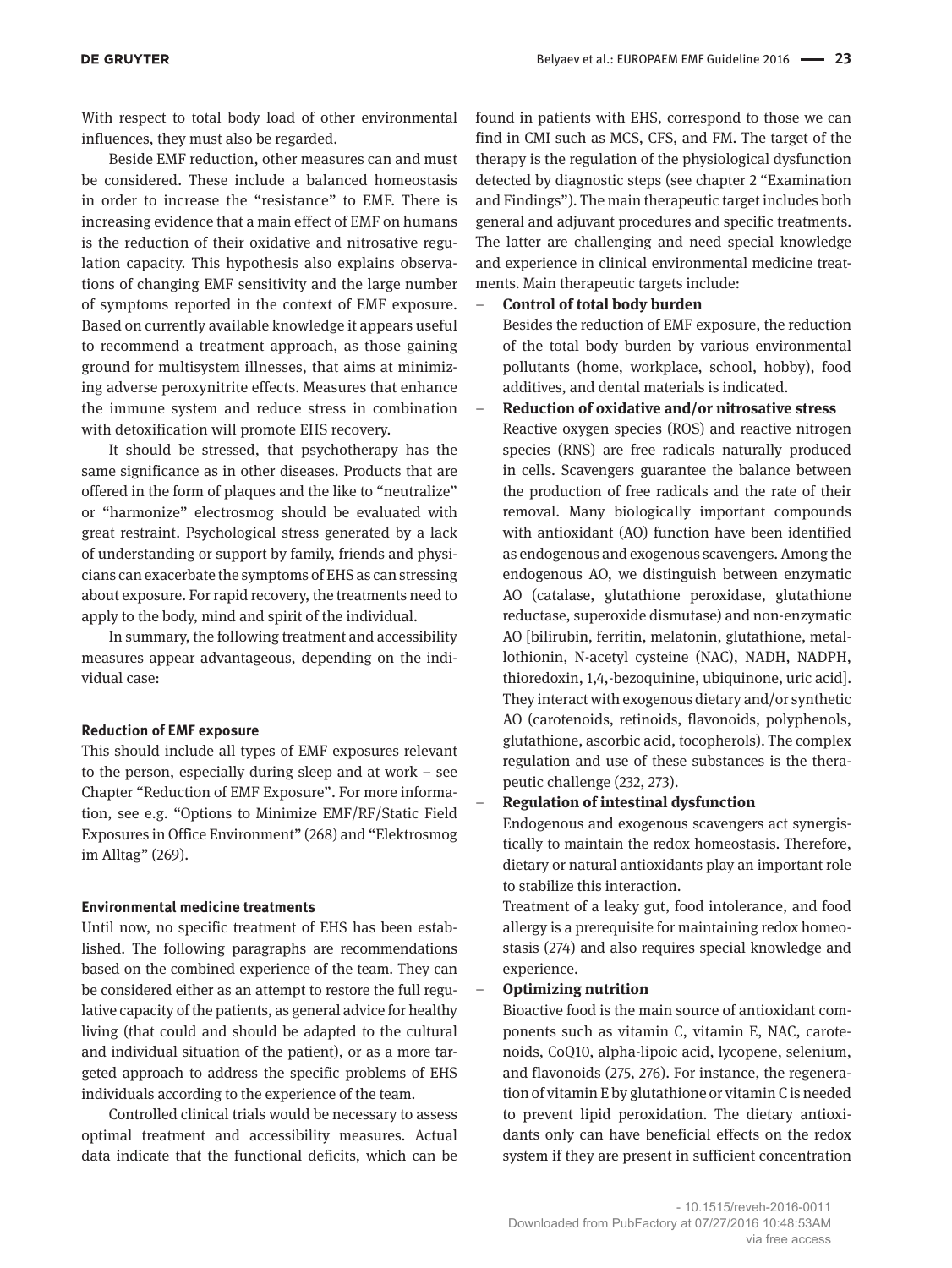With respect to total body load of other environmental influences, they must also be regarded.

Beside EMF reduction, other measures can and must be considered. These include a balanced homeostasis in order to increase the "resistance" to EMF. There is increasing evidence that a main effect of EMF on humans is the reduction of their oxidative and nitrosative regulation capacity. This hypothesis also explains observations of changing EMF sensitivity and the large number of symptoms reported in the context of EMF exposure. Based on currently available knowledge it appears useful to recommend a treatment approach, as those gaining ground for multisystem illnesses, that aims at minimizing adverse peroxynitrite effects. Measures that enhance the immune system and reduce stress in combination with detoxification will promote EHS recovery.

It should be stressed, that psychotherapy has the same significance as in other diseases. Products that are offered in the form of plaques and the like to "neutralize" or "harmonize" electrosmog should be evaluated with great restraint. Psychological stress generated by a lack of understanding or support by family, friends and physicians can exacerbate the symptoms of EHS as can stressing about exposure. For rapid recovery, the treatments need to apply to the body, mind and spirit of the individual.

In summary, the following treatment and accessibility measures appear advantageous, depending on the individual case:

#### **Reduction of EMF exposure**

This should include all types of EMF exposures relevant to the person, especially during sleep and at work – see Chapter "Reduction of EMF Exposure". For more information, see e.g. "Options to Minimize EMF/RF/Static Field Exposures in Office Environment" (268) and "Elektrosmog im Alltag" (269).

#### **Environmental medicine treatments**

Until now, no specific treatment of EHS has been established. The following paragraphs are recommendations based on the combined experience of the team. They can be considered either as an attempt to restore the full regulative capacity of the patients, as general advice for healthy living (that could and should be adapted to the cultural and individual situation of the patient), or as a more targeted approach to address the specific problems of EHS individuals according to the experience of the team.

Controlled clinical trials would be necessary to assess optimal treatment and accessibility measures. Actual data indicate that the functional deficits, which can be

found in patients with EHS, correspond to those we can find in CMI such as MCS, CFS, and FM. The target of the therapy is the regulation of the physiological dysfunction detected by diagnostic steps (see chapter 2 "Examination and Findings"). The main therapeutic target includes both general and adjuvant procedures and specific treatments. The latter are challenging and need special knowledge and experience in clinical environmental medicine treatments. Main therapeutic targets include:

#### – **Control of total body burden**

Besides the reduction of EMF exposure, the reduction of the total body burden by various environmental pollutants (home, workplace, school, hobby), food additives, and dental materials is indicated.

– **Reduction of oxidative and/or nitrosative stress**

Reactive oxygen species (ROS) and reactive nitrogen species (RNS) are free radicals naturally produced in cells. Scavengers guarantee the balance between the production of free radicals and the rate of their removal. Many biologically important compounds with antioxidant (AO) function have been identified as endogenous and exogenous scavengers. Among the endogenous AO, we distinguish between enzymatic AO (catalase, glutathione peroxidase, glutathione reductase, superoxide dismutase) and non-enzymatic AO [bilirubin, ferritin, melatonin, glutathione, metallothionin, N-acetyl cysteine (NAC), NADH, NADPH, thioredoxin, 1,4,-bezoquinine, ubiquinone, uric acid]. They interact with exogenous dietary and/or synthetic AO (carotenoids, retinoids, flavonoids, polyphenols, glutathione, ascorbic acid, tocopherols). The complex regulation and use of these substances is the therapeutic challenge (232, 273).

#### – **Regulation of intestinal dysfunction**

Endogenous and exogenous scavengers act synergistically to maintain the redox homeostasis. Therefore, dietary or natural antioxidants play an important role to stabilize this interaction.

Treatment of a leaky gut, food intolerance, and food allergy is a prerequisite for maintaining redox homeostasis (274) and also requires special knowledge and experience.

#### – **Optimizing nutrition**

Bioactive food is the main source of antioxidant components such as vitamin C, vitamin E, NAC, carotenoids, CoQ10, alpha-lipoic acid, lycopene, selenium, and flavonoids (275, 276). For instance, the regeneration of vitamin E by glutathione or vitamin C is needed to prevent lipid peroxidation. The dietary antioxidants only can have beneficial effects on the redox system if they are present in sufficient concentration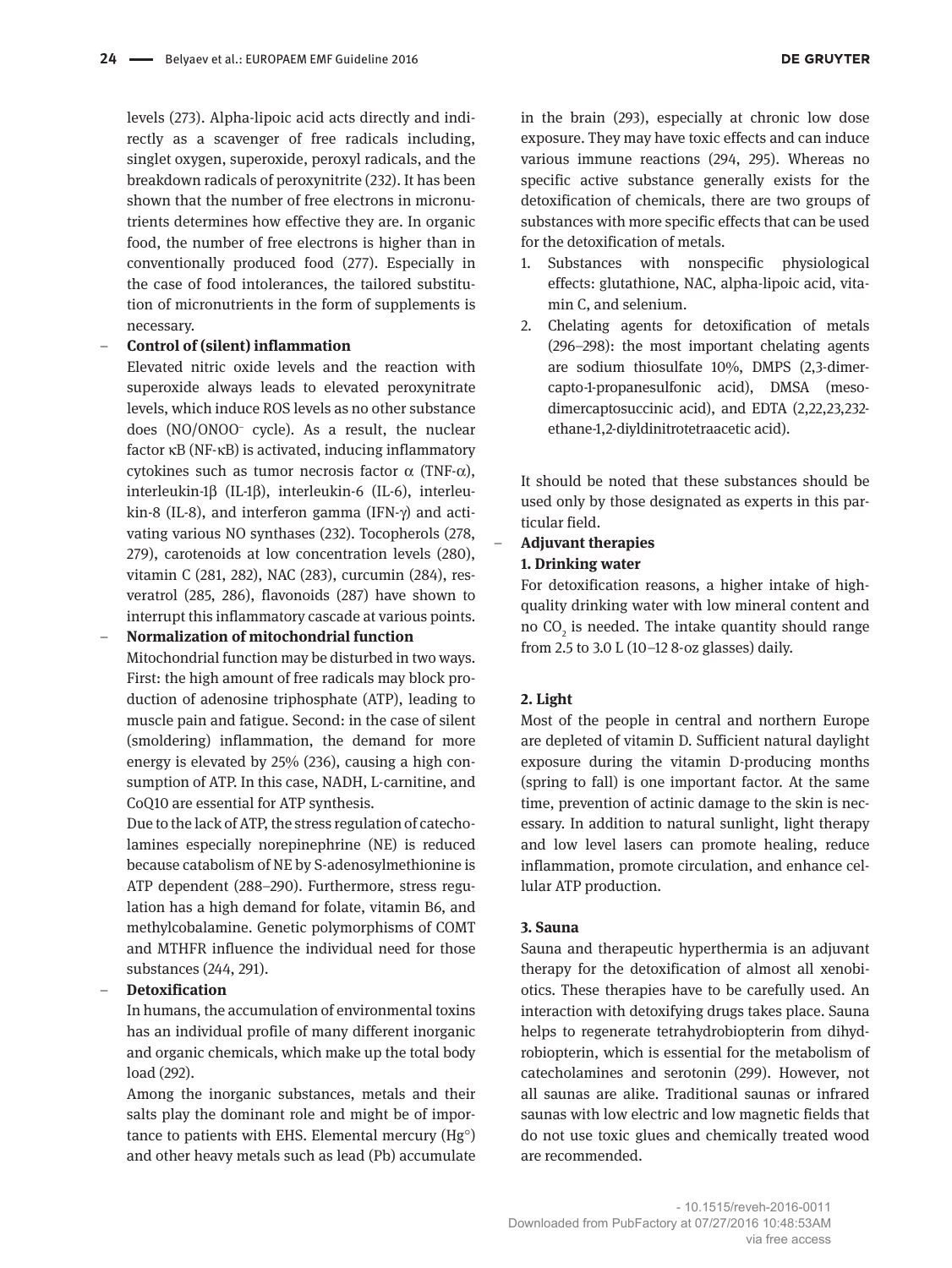levels (273). Alpha-lipoic acid acts directly and indirectly as a scavenger of free radicals including, singlet oxygen, superoxide, peroxyl radicals, and the breakdown radicals of peroxynitrite (232). It has been shown that the number of free electrons in micronutrients determines how effective they are. In organic food, the number of free electrons is higher than in conventionally produced food (277). Especially in the case of food intolerances, the tailored substitution of micronutrients in the form of supplements is necessary.

– **Control of (silent) inflammation**

Elevated nitric oxide levels and the reaction with superoxide always leads to elevated peroxynitrate levels, which induce ROS levels as no other substance does (NO/ONOO<sup>−</sup> cycle). As a result, the nuclear factor κB (NF-κB) is activated, inducing inflammatory cytokines such as tumor necrosis factor α (TNF-α), interleukin-1β (IL-1β), interleukin-6 (IL-6), interleukin-8 (IL-8), and interferon gamma (IFN-γ) and activating various NO synthases (232). Tocopherols (278, 279), carotenoids at low concentration levels (280), vitamin C (281, 282), NAC (283), curcumin (284), resveratrol (285, 286), flavonoids (287) have shown to interrupt this inflammatory cascade at various points.

– **Normalization of mitochondrial function** Mitochondrial function may be disturbed in two ways. First: the high amount of free radicals may block production of adenosine triphosphate (ATP), leading to muscle pain and fatigue. Second: in the case of silent (smoldering) inflammation, the demand for more energy is elevated by 25% (236), causing a high consumption of ATP. In this case, NADH, L-carnitine, and CoQ10 are essential for ATP synthesis.

Due to the lack of ATP, the stress regulation of catecholamines especially norepinephrine (NE) is reduced because catabolism of NE by S-adenosylmethionine is ATP dependent (288–290). Furthermore, stress regulation has a high demand for folate, vitamin B6, and methylcobalamine. Genetic polymorphisms of COMT and MTHFR influence the individual need for those substances (244, 291).

#### – **Detoxification**

In humans, the accumulation of environmental toxins has an individual profile of many different inorganic and organic chemicals, which make up the total body load (292).

Among the inorganic substances, metals and their salts play the dominant role and might be of importance to patients with EHS. Elemental mercury (Hg°) and other heavy metals such as lead (Pb) accumulate in the brain (293), especially at chronic low dose exposure. They may have toxic effects and can induce various immune reactions (294, 295). Whereas no specific active substance generally exists for the detoxification of chemicals, there are two groups of substances with more specific effects that can be used for the detoxification of metals.

- 1. Substances with nonspecific physiological effects: glutathione, NAC, alpha-lipoic acid, vitamin C, and selenium.
- 2. Chelating agents for detoxification of metals (296–298): the most important chelating agents are sodium thiosulfate 10%, DMPS (2,3-dimercapto-1-propanesulfonic acid), DMSA (mesodimercaptosuccinic acid), and EDTA (2,22,23,232 ethane-1,2-diyldinitrotetraacetic acid).

It should be noted that these substances should be used only by those designated as experts in this particular field.

## – **Adjuvant therapies 1. Drinking water**

For detoxification reasons, a higher intake of highquality drinking water with low mineral content and no  $CO_2$  is needed. The intake quantity should range from 2.5 to 3.0 L (10–12 8-oz glasses) daily.

#### **2. Light**

Most of the people in central and northern Europe are depleted of vitamin D. Sufficient natural daylight exposure during the vitamin D-producing months (spring to fall) is one important factor. At the same time, prevention of actinic damage to the skin is necessary. In addition to natural sunlight, light therapy and low level lasers can promote healing, reduce inflammation, promote circulation, and enhance cellular ATP production.

### **3. Sauna**

Sauna and therapeutic hyperthermia is an adjuvant therapy for the detoxification of almost all xenobiotics. These therapies have to be carefully used. An interaction with detoxifying drugs takes place. Sauna helps to regenerate tetrahydrobiopterin from dihydrobiopterin, which is essential for the metabolism of catecholamines and serotonin (299). However, not all saunas are alike. Traditional saunas or infrared saunas with low electric and low magnetic fields that do not use toxic glues and chemically treated wood are recommended.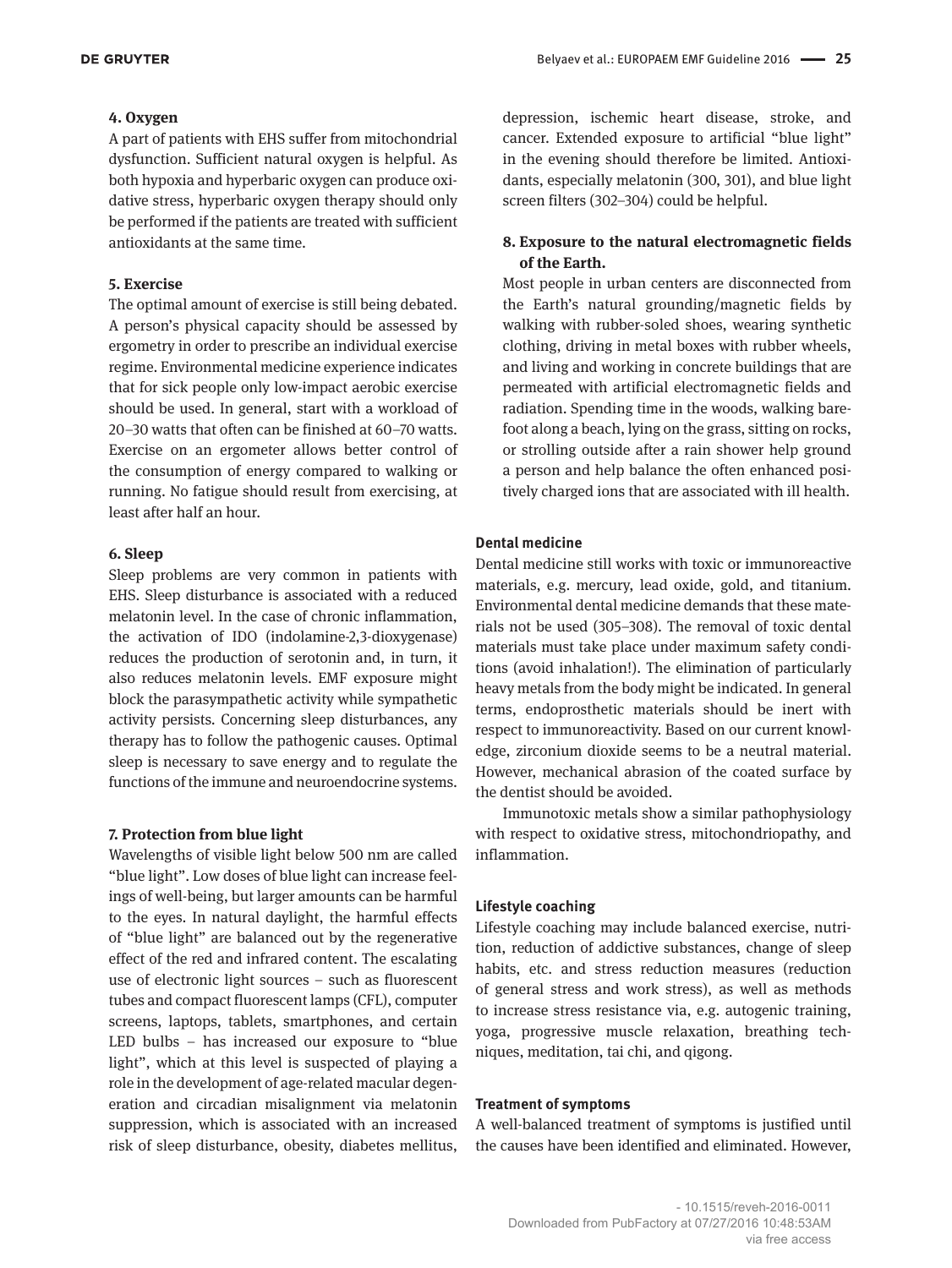#### **4. Oxygen**

A part of patients with EHS suffer from mitochondrial dysfunction. Sufficient natural oxygen is helpful. As both hypoxia and hyperbaric oxygen can produce oxidative stress, hyperbaric oxygen therapy should only be performed if the patients are treated with sufficient antioxidants at the same time.

#### **5. Exercise**

The optimal amount of exercise is still being debated. A person's physical capacity should be assessed by ergometry in order to prescribe an individual exercise regime. Environmental medicine experience indicates that for sick people only low-impact aerobic exercise should be used. In general, start with a workload of 20–30 watts that often can be finished at 60–70 watts. Exercise on an ergometer allows better control of the consumption of energy compared to walking or running. No fatigue should result from exercising, at least after half an hour.

#### **6. Sleep**

Sleep problems are very common in patients with EHS. Sleep disturbance is associated with a reduced melatonin level. In the case of chronic inflammation, the activation of IDO (indolamine-2,3-dioxygenase) reduces the production of serotonin and, in turn, it also reduces melatonin levels. EMF exposure might block the parasympathetic activity while sympathetic activity persists. Concerning sleep disturbances, any therapy has to follow the pathogenic causes. Optimal sleep is necessary to save energy and to regulate the functions of the immune and neuroendocrine systems.

#### **7. Protection from blue light**

Wavelengths of visible light below 500 nm are called "blue light". Low doses of blue light can increase feelings of well-being, but larger amounts can be harmful to the eyes. In natural daylight, the harmful effects of "blue light" are balanced out by the regenerative effect of the red and infrared content. The escalating use of electronic light sources – such as fluorescent tubes and compact fluorescent lamps (CFL), computer screens, laptops, tablets, smartphones, and certain LED bulbs – has increased our exposure to "blue light", which at this level is suspected of playing a role in the development of age-related macular degeneration and circadian misalignment via melatonin suppression, which is associated with an increased risk of sleep disturbance, obesity, diabetes mellitus,

depression, ischemic heart disease, stroke, and cancer. Extended exposure to artificial "blue light" in the evening should therefore be limited. Antioxidants, especially melatonin (300, 301), and blue light screen filters (302–304) could be helpful.

## **8. Exposure to the natural electromagnetic fields of the Earth.**

Most people in urban centers are disconnected from the Earth's natural grounding/magnetic fields by walking with rubber-soled shoes, wearing synthetic clothing, driving in metal boxes with rubber wheels, and living and working in concrete buildings that are permeated with artificial electromagnetic fields and radiation. Spending time in the woods, walking barefoot along a beach, lying on the grass, sitting on rocks, or strolling outside after a rain shower help ground a person and help balance the often enhanced positively charged ions that are associated with ill health.

#### **Dental medicine**

Dental medicine still works with toxic or immunoreactive materials, e.g. mercury, lead oxide, gold, and titanium. Environmental dental medicine demands that these materials not be used (305–308). The removal of toxic dental materials must take place under maximum safety conditions (avoid inhalation!). The elimination of particularly heavy metals from the body might be indicated. In general terms, endoprosthetic materials should be inert with respect to immunoreactivity. Based on our current knowledge, zirconium dioxide seems to be a neutral material. However, mechanical abrasion of the coated surface by the dentist should be avoided.

Immunotoxic metals show a similar pathophysiology with respect to oxidative stress, mitochondriopathy, and inflammation.

#### **Lifestyle coaching**

Lifestyle coaching may include balanced exercise, nutrition, reduction of addictive substances, change of sleep habits, etc. and stress reduction measures (reduction of general stress and work stress), as well as methods to increase stress resistance via, e.g. autogenic training, yoga, progressive muscle relaxation, breathing techniques, meditation, tai chi, and qigong.

#### **Treatment of symptoms**

A well-balanced treatment of symptoms is justified until the causes have been identified and eliminated. However,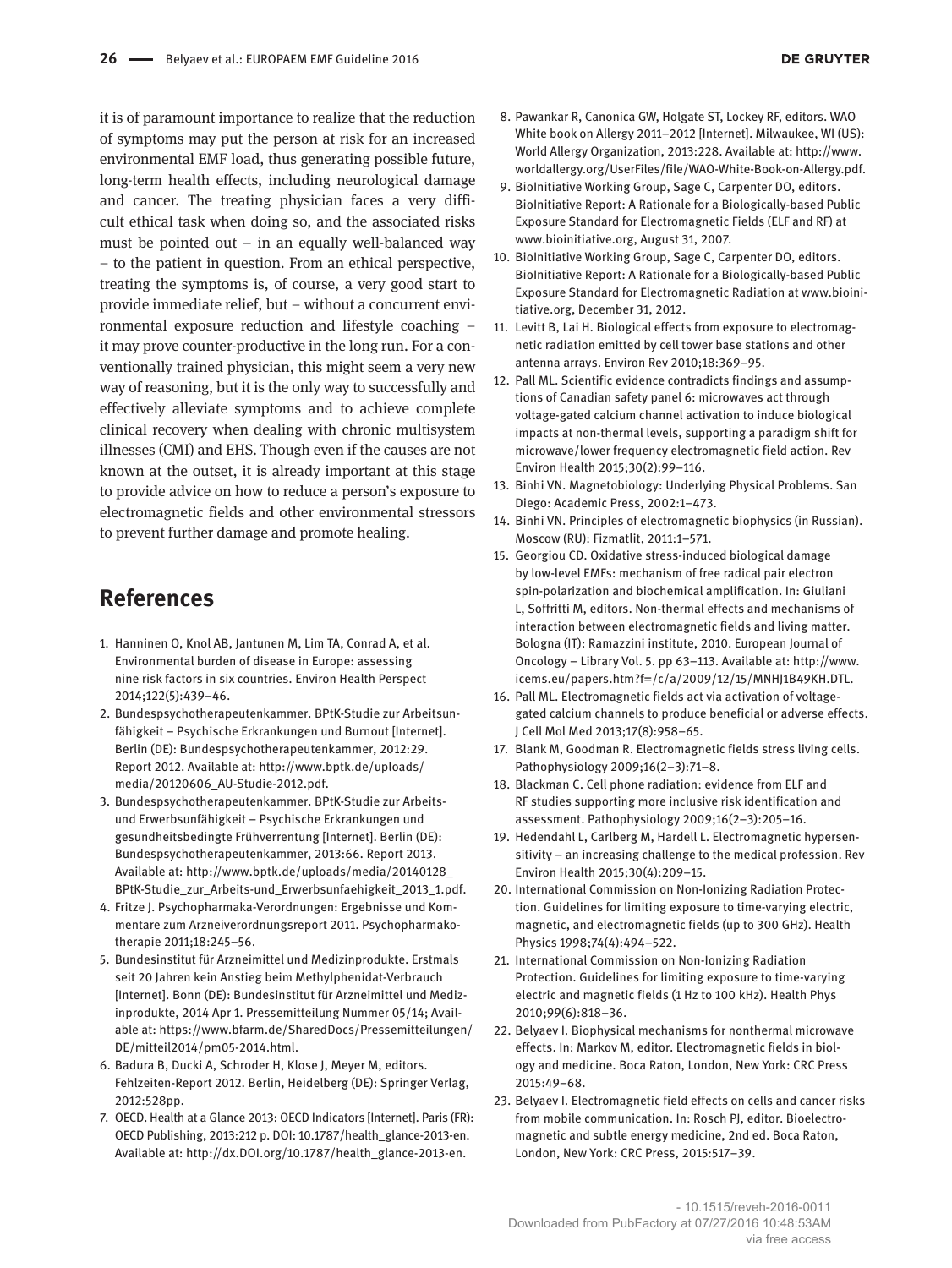it is of paramount importance to realize that the reduction of symptoms may put the person at risk for an increased environmental EMF load, thus generating possible future, long-term health effects, including neurological damage and cancer. The treating physician faces a very difficult ethical task when doing so, and the associated risks must be pointed out – in an equally well-balanced way – to the patient in question. From an ethical perspective, treating the symptoms is, of course, a very good start to provide immediate relief, but – without a concurrent environmental exposure reduction and lifestyle coaching – it may prove counter-productive in the long run. For a conventionally trained physician, this might seem a very new way of reasoning, but it is the only way to successfully and effectively alleviate symptoms and to achieve complete clinical recovery when dealing with chronic multisystem illnesses (CMI) and EHS. Though even if the causes are not known at the outset, it is already important at this stage to provide advice on how to reduce a person's exposure to electromagnetic fields and other environmental stressors to prevent further damage and promote healing.

## **References**

- 1. Hanninen O, Knol AB, Jantunen M, Lim TA, Conrad A, et al. Environmental burden of disease in Europe: assessing nine risk factors in six countries. Environ Health Perspect 2014;122(5):439–46.
- 2. Bundespsychotherapeutenkammer. BPtK-Studie zur Arbeitsunfähigkeit – Psychische Erkrankungen und Burnout [Internet]. Berlin (DE): Bundespsychotherapeutenkammer, 2012:29. Report 2012. Available at: [http://www.bptk.de/uploads/](http://www.bptk.de/uploads/media/20120606_AU-Studie-2012.pdf) [media/20120606\\_AU-Studie-2012.pdf.](http://www.bptk.de/uploads/media/20120606_AU-Studie-2012.pdf)
- 3. Bundespsychotherapeutenkammer. BPtK-Studie zur Arbeitsund Erwerbsunfähigkeit – Psychische Erkrankungen und gesundheitsbedingte Frühverrentung [Internet]. Berlin (DE): Bundespsychotherapeutenkammer, 2013:66. Report 2013. Available at: [http://www.bptk.de/uploads/media/20140128\\_](http://www.bptk.de/uploads/media/20140128_BPtK-Studie_zur_Arbeits-und_Erwerbsunfaehigkeit_2013_1.pdf) [BPtK-Studie\\_zur\\_Arbeits-und\\_Erwerbsunfaehigkeit\\_2013\\_1.pdf.](http://www.bptk.de/uploads/media/20140128_BPtK-Studie_zur_Arbeits-und_Erwerbsunfaehigkeit_2013_1.pdf)
- 4. Fritze J. Psychopharmaka-Verordnungen: Ergebnisse und Kommentare zum Arzneiverordnungsreport 2011. Psychopharmakotherapie 2011;18:245–56.
- 5. Bundesinstitut für Arzneimittel und Medizinprodukte. Erstmals seit 20 Jahren kein Anstieg beim Methylphenidat-Verbrauch [Internet]. Bonn (DE): Bundesinstitut für Arzneimittel und Medizinprodukte, 2014 Apr 1. Pressemitteilung Nummer 05/14; Available at: [https://www.bfarm.de/SharedDocs/Pressemitteilungen/](https://www.bfarm.de/SharedDocs/Pressemitteilungen/DE/mitteil2014/pm05-2014.html) [DE/mitteil2014/pm05-2014.html.](https://www.bfarm.de/SharedDocs/Pressemitteilungen/DE/mitteil2014/pm05-2014.html)
- 6. Badura B, Ducki A, Schroder H, Klose J, Meyer M, editors. Fehlzeiten-Report 2012. Berlin, Heidelberg (DE): Springer Verlag, 2012:528pp.
- 7. OECD. Health at a Glance 2013: OECD Indicators [Internet]. Paris (FR): OECD Publishing, 2013:212 p. DOI: 10.1787/health\_glance-2013-en. Available at: [http://dx.DOI.org/10.1787/health\\_glance-2013-en.](http://dx.DOI.org/10.1787/health_glance-2013-en)
- 9. BioInitiative Working Group, Sage C, Carpenter DO, editors. BioInitiative Report: A Rationale for a Biologically-based Public Exposure Standard for Electromagnetic Fields (ELF and RF) at [www.bioinitiative.org,](www.bioinitiative.org) August 31, 2007.
- 10. BioInitiative Working Group, Sage C, Carpenter DO, editors. BioInitiative Report: A Rationale for a Biologically-based Public Exposure Standard for Electromagnetic Radiation at [www.bioini](www.bioinitiative.org)[tiative.org,](www.bioinitiative.org) December 31, 2012.
- 11. Levitt B, Lai H. Biological effects from exposure to electromagnetic radiation emitted by cell tower base stations and other antenna arrays. Environ Rev 2010;18:369–95.
- 12. Pall ML. Scientific evidence contradicts findings and assumptions of Canadian safety panel 6: microwaves act through voltage-gated calcium channel activation to induce biological impacts at non-thermal levels, supporting a paradigm shift for microwave/lower frequency electromagnetic field action. Rev Environ Health 2015;30(2):99–116.
- 13. Binhi VN. Magnetobiology: Underlying Physical Problems. San Diego: Academic Press, 2002:1–473.
- 14. Binhi VN. Principles of electromagnetic biophysics (in Russian). Moscow (RU): Fizmatlit, 2011:1–571.
- 15. Georgiou CD. Oxidative stress-induced biological damage by low-level EMFs: mechanism of free radical pair electron spin-polarization and biochemical amplification. In: Giuliani L, Soffritti M, editors. Non-thermal effects and mechanisms of interaction between electromagnetic fields and living matter. Bologna (IT): Ramazzini institute, 2010. European Journal of Oncology – Library Vol. 5. pp 63–113. Available at: [http://www.](http://www.icems.eu/papers.htm?f=/c/a/2009/12/15/MNHJ1B49KH.DTL) [icems.eu/papers.htm?f=/c/a/2009/12/15/MNHJ1B49KH.DTL.](http://www.icems.eu/papers.htm?f=/c/a/2009/12/15/MNHJ1B49KH.DTL)
- 16. Pall ML. Electromagnetic fields act via activation of voltagegated calcium channels to produce beneficial or adverse effects. J Cell Mol Med 2013;17(8):958–65.
- 17. Blank M, Goodman R. Electromagnetic fields stress living cells. Pathophysiology 2009;16(2–3):71–8.
- 18. Blackman C. Cell phone radiation: evidence from ELF and RF studies supporting more inclusive risk identification and assessment. Pathophysiology 2009;16(2–3):205–16.
- 19. Hedendahl L, Carlberg M, Hardell L. Electromagnetic hypersensitivity – an increasing challenge to the medical profession. Rev Environ Health 2015;30(4):209–15.
- 20. International Commission on Non-Ionizing Radiation Protection. Guidelines for limiting exposure to time-varying electric, magnetic, and electromagnetic fields (up to 300 GHz). Health Physics 1998;74(4):494–522.
- 21. International Commission on Non-Ionizing Radiation Protection. Guidelines for limiting exposure to time-varying electric and magnetic fields (1 Hz to 100 kHz). Health Phys 2010;99(6):818–36.
- 22. Belyaev I. Biophysical mechanisms for nonthermal microwave effects. In: Markov M, editor. Electromagnetic fields in biology and medicine. Boca Raton, London, New York: CRC Press 2015:49–68.
- 23. Belyaev I. Electromagnetic field effects on cells and cancer risks from mobile communication. In: Rosch PJ, editor. Bioelectromagnetic and subtle energy medicine, 2nd ed. Boca Raton, London, New York: CRC Press, 2015:517–39.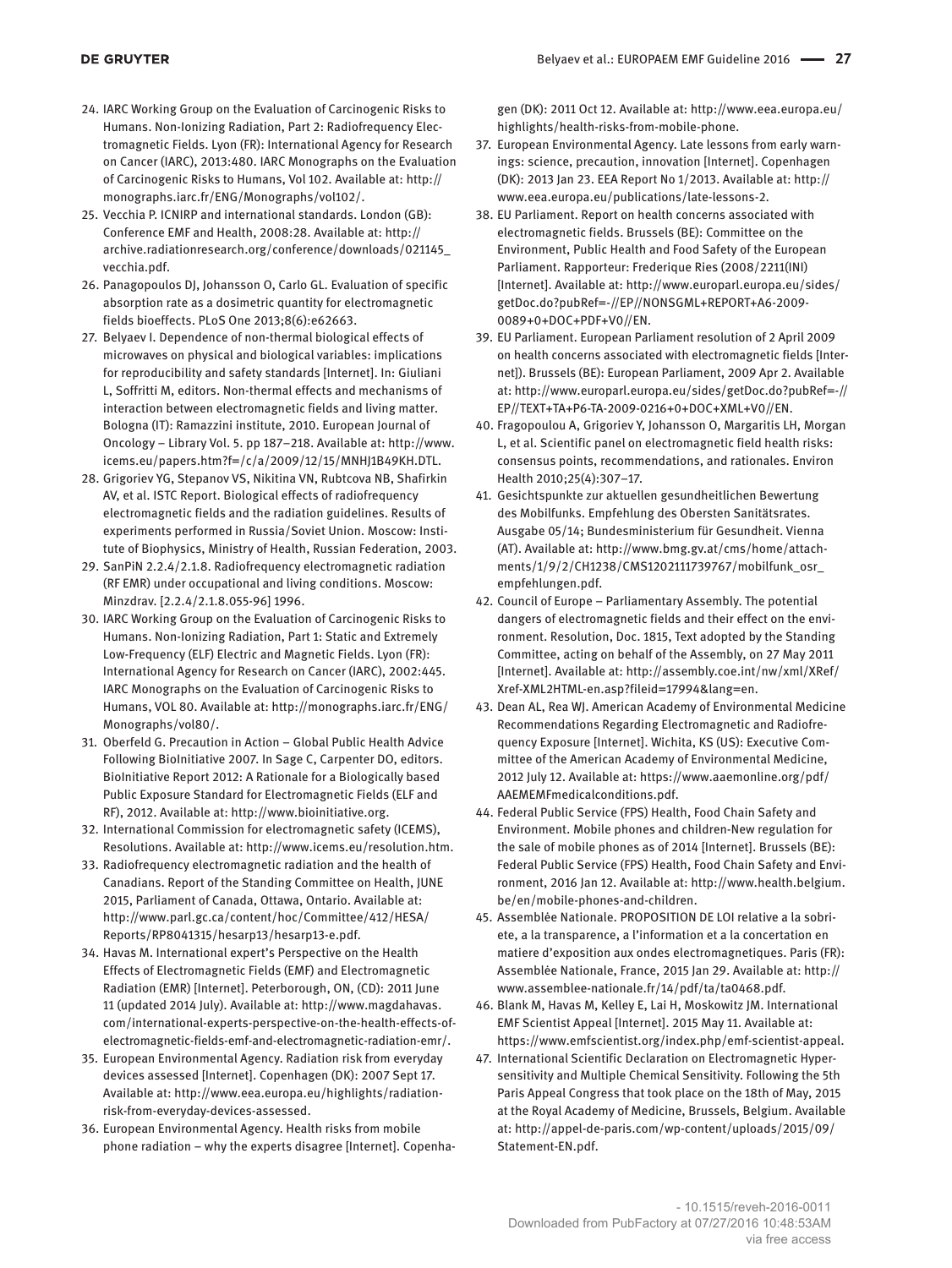- 24. IARC Working Group on the Evaluation of Carcinogenic Risks to Humans. Non-Ionizing Radiation, Part 2: Radiofrequency Electromagnetic Fields. Lyon (FR): International Agency for Research on Cancer (IARC), 2013:480. IARC Monographs on the Evaluation of Carcinogenic Risks to Humans, Vol 102. Available at: [http://](http://monographs.iarc.fr/ENG/Monographs/vol102/) [monographs.iarc.fr/ENG/Monographs/vol102/](http://monographs.iarc.fr/ENG/Monographs/vol102/).
- 25. Vecchia P. ICNIRP and international standards. London (GB): Conference EMF and Health, 2008:28. Available at: [http://](http://archive.radiationresearch.org/conference/downloads/021145_vecchia.pdf) [archive.radiationresearch.org/conference/downloads/021145\\_](http://archive.radiationresearch.org/conference/downloads/021145_vecchia.pdf) [vecchia.pdf](http://archive.radiationresearch.org/conference/downloads/021145_vecchia.pdf).
- 26. Panagopoulos DJ, Johansson O, Carlo GL. Evaluation of specific absorption rate as a dosimetric quantity for electromagnetic fields bioeffects. PLoS One 2013;8(6):e62663.
- 27. Belyaev I. Dependence of non-thermal biological effects of microwaves on physical and biological variables: implications for reproducibility and safety standards [Internet]. In: Giuliani L, Soffritti M, editors. Non-thermal effects and mechanisms of interaction between electromagnetic fields and living matter. Bologna (IT): Ramazzini institute, 2010. European Journal of Oncology – Library Vol. 5. pp 187–218. Available at: [http://www.](http://www.icems.eu/papers.htm?f=/c/a/2009/12/15/MNHJ1B49KH.DTL) [icems.eu/papers.htm?f=/c/a/2009/12/15/MNHJ1B49KH.DTL](http://www.icems.eu/papers.htm?f=/c/a/2009/12/15/MNHJ1B49KH.DTL).
- 28. Grigoriev YG, Stepanov VS, Nikitina VN, Rubtcova NB, Shafirkin AV, et al. ISTC Report. Biological effects of radiofrequency electromagnetic fields and the radiation guidelines. Results of experiments performed in Russia/Soviet Union. Moscow: Institute of Biophysics, Ministry of Health, Russian Federation, 2003.
- 29. SanPiN 2.2.4/2.1.8. Radiofrequency electromagnetic radiation (RF EMR) under occupational and living conditions. Moscow: Minzdrav. [2.2.4/2.1.8.055-96] 1996.
- 30. IARC Working Group on the Evaluation of Carcinogenic Risks to Humans. Non-Ionizing Radiation, Part 1: Static and Extremely Low-Frequency (ELF) Electric and Magnetic Fields. Lyon (FR): International Agency for Research on Cancer (IARC), 2002:445. IARC Monographs on the Evaluation of Carcinogenic Risks to Humans, VOL 80. Available at: [http://monographs.iarc.fr/ENG/](http://monographs.iarc.fr/ENG/Monographs/vol80/) [Monographs/vol80/](http://monographs.iarc.fr/ENG/Monographs/vol80/).
- 31. Oberfeld G. Precaution in Action Global Public Health Advice Following BioInitiative 2007. In Sage C, Carpenter DO, editors. BioInitiative Report 2012: A Rationale for a Biologically based Public Exposure Standard for Electromagnetic Fields (ELF and RF), 2012. Available at: [http://www.bioinitiative.org.](http://www.bioinitiative.org)
- 32. International Commission for electromagnetic safety (ICEMS), Resolutions. Available at: [http://www.icems.eu/resolution.htm.](http://www.icems.eu/resolution.htm)
- 33. Radiofrequency electromagnetic radiation and the health of Canadians. Report of the Standing Committee on Health, JUNE 2015, Parliament of Canada, Ottawa, Ontario. Available at: [http://www.parl.gc.ca/content/hoc/Committee/412/HESA/](http://www.parl.gc.ca/content/hoc/Committee/412/HESA/Reports/RP8041315/hesarp13/hesarp13-e.pdf) [Reports/RP8041315/hesarp13/hesarp13-e.pdf.](http://www.parl.gc.ca/content/hoc/Committee/412/HESA/Reports/RP8041315/hesarp13/hesarp13-e.pdf)
- 34. Havas M. International expert's Perspective on the Health Effects of Electromagnetic Fields (EMF) and Electromagnetic Radiation (EMR) [Internet]. Peterborough, ON, (CD): 2011 June 11 (updated 2014 July). Available at: [http://www.magdahavas.](http://www.magdahavas.com/international-experts-perspective-on-the-health-effects-of-electromagnetic-fields-emf-and-electromagnetic-radiation-emr/) [com/international-experts-perspective-on-the-health-effects-of](http://www.magdahavas.com/international-experts-perspective-on-the-health-effects-of-electromagnetic-fields-emf-and-electromagnetic-radiation-emr/)[electromagnetic-fields-emf-and-electromagnetic-radiation-emr/.](http://www.magdahavas.com/international-experts-perspective-on-the-health-effects-of-electromagnetic-fields-emf-and-electromagnetic-radiation-emr/)
- 35. European Environmental Agency. Radiation risk from everyday devices assessed [Internet]. Copenhagen (DK): 2007 Sept 17. Available at: [http://www.eea.europa.eu/highlights/radiation](http://www.eea.europa.eu/highlights/radiation-risk-from-everyday-devices-assessed)[risk-from-everyday-devices-assessed](http://www.eea.europa.eu/highlights/radiation-risk-from-everyday-devices-assessed).
- 36. European Environmental Agency. Health risks from mobile phone radiation – why the experts disagree [Internet]. Copenha-

gen (DK): 2011 Oct 12. Available at: [http://www.eea.europa.eu/](http://www.eea.europa.eu/highlights/health-risks-from-mobile-phone) [highlights/health-risks-from-mobile-phone](http://www.eea.europa.eu/highlights/health-risks-from-mobile-phone).

- 37. European Environmental Agency. Late lessons from early warnings: science, precaution, innovation [Internet]. Copenhagen (DK): 2013 Jan 23. EEA Report No 1/2013. Available at: [http://](http://www.eea.europa.eu/publications/late-lessons-2) [www.eea.europa.eu/publications/late-lessons-2](http://www.eea.europa.eu/publications/late-lessons-2).
- 38. EU Parliament. Report on health concerns associated with electromagnetic fields. Brussels (BE): Committee on the Environment, Public Health and Food Safety of the European Parliament. Rapporteur: Frederique Ries (2008/2211(INI) [Internet]. Available at: [http://www.europarl.europa.eu/sides/](http://www.europarl.europa.eu/sides/getDoc.do?pubRef=-//EP//NONSGML+REPORT+A6-2009-0089+0+DOC+PDF+V0//EN) [getDoc.do?pubRef=-//EP//NONSGML+REPORT+A6-2009-](http://www.europarl.europa.eu/sides/getDoc.do?pubRef=-//EP//NONSGML+REPORT+A6-2009-0089+0+DOC+PDF+V0//EN) [0089+0+DOC+PDF+V0//EN](http://www.europarl.europa.eu/sides/getDoc.do?pubRef=-//EP//NONSGML+REPORT+A6-2009-0089+0+DOC+PDF+V0//EN).
- 39. EU Parliament. European Parliament resolution of 2 April 2009 on health concerns associated with electromagnetic fields [Internet]). Brussels (BE): European Parliament, 2009 Apr 2. Available at: [http://www.europarl.europa.eu/sides/getDoc.do?pubRef=-//](http://www.europarl.europa.eu/sides/getDoc.do?pubRef=-//EP//TEXT+TA+P6-TA-2009-0216+0+DOC+XML+V0//EN) [EP//TEXT+TA+P6-TA-2009-0216+0+DOC+XML+V0//EN.](http://www.europarl.europa.eu/sides/getDoc.do?pubRef=-//EP//TEXT+TA+P6-TA-2009-0216+0+DOC+XML+V0//EN)
- 40. Fragopoulou A, Grigoriev Y, Johansson O, Margaritis LH, Morgan L, et al. Scientific panel on electromagnetic field health risks: consensus points, recommendations, and rationales. Environ Health 2010;25(4):307–17.
- 41. Gesichtspunkte zur aktuellen gesundheitlichen Bewertung des Mobilfunks. Empfehlung des Obersten Sanitätsrates. Ausgabe 05/14; Bundesministerium für Gesundheit. Vienna (AT). Available at: [http://www.bmg.gv.at/cms/home/attach](http://www.bmg.gv.at/cms/home/attachments/1/9/2/CH1238/CMS1202111739767/mobilfunk_osr_empfehlungen.pdf)[ments/1/9/2/CH1238/CMS1202111739767/mobilfunk\\_osr\\_](http://www.bmg.gv.at/cms/home/attachments/1/9/2/CH1238/CMS1202111739767/mobilfunk_osr_empfehlungen.pdf) [empfehlungen.pdf.](http://www.bmg.gv.at/cms/home/attachments/1/9/2/CH1238/CMS1202111739767/mobilfunk_osr_empfehlungen.pdf)
- 42. Council of Europe Parliamentary Assembly. The potential dangers of electromagnetic fields and their effect on the environment. Resolution, Doc. 1815, Text adopted by the Standing Committee, acting on behalf of the Assembly, on 27 May 2011 [Internet]. Available at: [http://assembly.coe.int/nw/xml/XRef/](http://assembly.coe.int/nw/xml/XRef/Xref-XML2HTML-en.asp?fileid=17994&lang=en) [Xref-XML2HTML-en.asp?fileid=17994&lang=en](http://assembly.coe.int/nw/xml/XRef/Xref-XML2HTML-en.asp?fileid=17994&lang=en).
- 43. Dean AL, Rea WJ. American Academy of Environmental Medicine Recommendations Regarding Electromagnetic and Radiofrequency Exposure [Internet]. Wichita, KS (US): Executive Committee of the American Academy of Environmental Medicine, 2012 July 12. Available at: [https://www.aaemonline.org/pdf/](https://www.aaemonline.org/pdf/AAEMEMFmedicalconditions.pdf) [AAEMEMFmedicalconditions.pdf.](https://www.aaemonline.org/pdf/AAEMEMFmedicalconditions.pdf)
- 44. Federal Public Service (FPS) Health, Food Chain Safety and Environment. Mobile phones and children-New regulation for the sale of mobile phones as of 2014 [Internet]. Brussels (BE): Federal Public Service (FPS) Health, Food Chain Safety and Environment, 2016 Jan 12. Available at: [http://www.health.belgium.](http://www.health.belgium.be/en/mobile-phones-and-children) [be/en/mobile-phones-and-children](http://www.health.belgium.be/en/mobile-phones-and-children).
- 45. Assemblėe Nationale. PROPOSITION DE LOI relative a la sobriete, a la transparence, a l'information et a la concertation en matiere d'exposition aux ondes electromagnetiques. Paris (FR): Assemblėe Nationale, France, 2015 Jan 29. Available at: [http://](http://www.assemblee-nationale.fr/14/pdf/ta/ta0468.pdf) [www.assemblee-nationale.fr/14/pdf/ta/ta0468.pdf.](http://www.assemblee-nationale.fr/14/pdf/ta/ta0468.pdf)
- 46. Blank M, Havas M, Kelley E, Lai H, Moskowitz JM. International EMF Scientist Appeal [Internet]. 2015 May 11. Available at: <https://www.emfscientist.org/index.php/emf-scientist-appeal>.
- 47. International Scientific Declaration on Electromagnetic Hypersensitivity and Multiple Chemical Sensitivity. Following the 5th Paris Appeal Congress that took place on the 18th of May, 2015 at the Royal Academy of Medicine, Brussels, Belgium. Available at: [http://appel-de-paris.com/wp-content/uploads/2015/09/](http://appel-de-paris.com/wp-content/uploads/2015/09/Statement-EN.pdf) [Statement-EN.pdf](http://appel-de-paris.com/wp-content/uploads/2015/09/Statement-EN.pdf).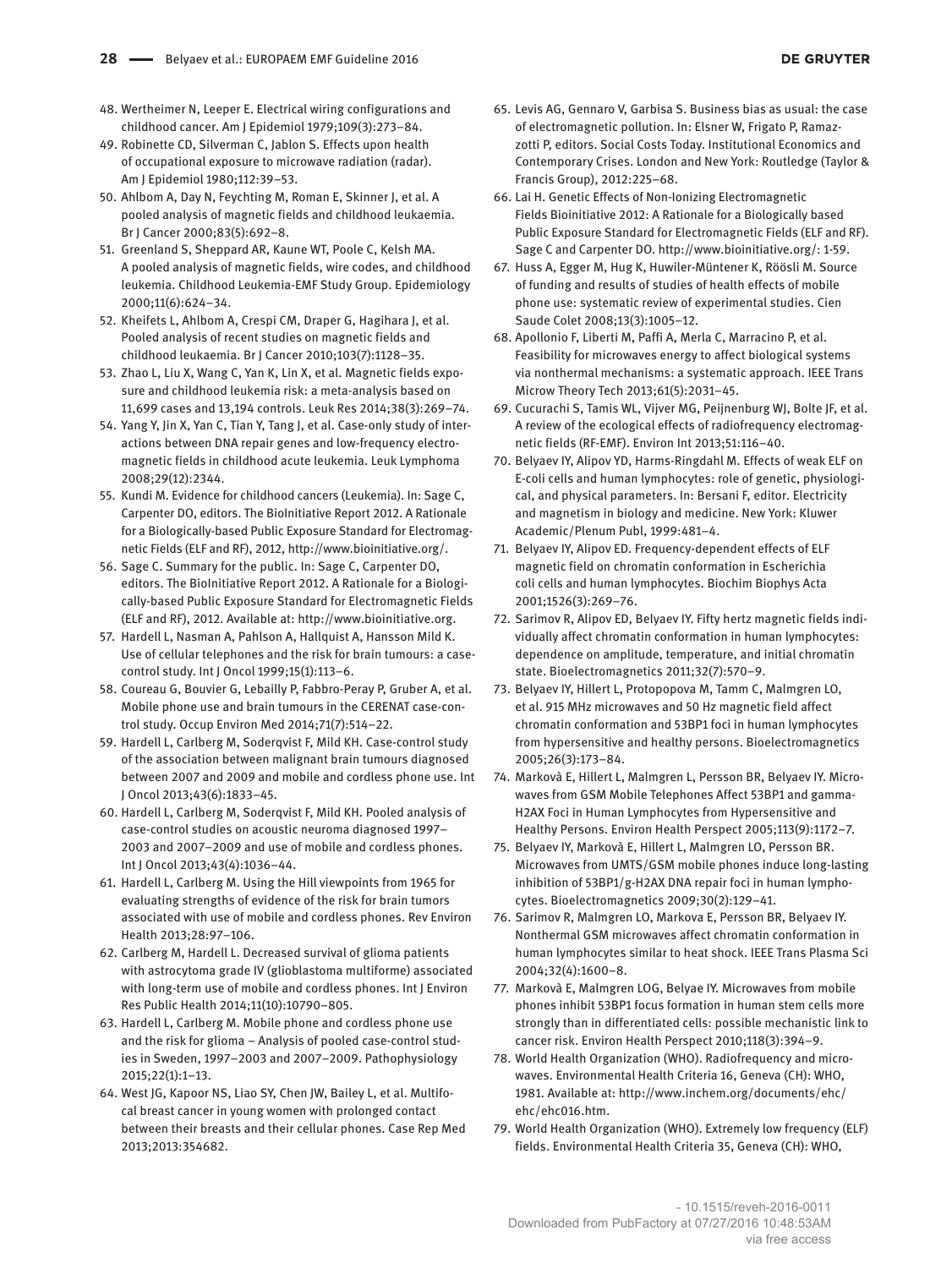- 48. Wertheimer N, Leeper E. Electrical wiring configurations and childhood cancer. Am J Epidemiol 1979;109(3):273–84.
- 49. Robinette CD, Silverman C, Jablon S. Effects upon health of occupational exposure to microwave radiation (radar). Am J Epidemiol 1980;112:39–53.
- 50. Ahlbom A, Day N, Feychting M, Roman E, Skinner J, et al. A pooled analysis of magnetic fields and childhood leukaemia. Br J Cancer 2000;83(5):692–8.
- 51. Greenland S, Sheppard AR, Kaune WT, Poole C, Kelsh MA. A pooled analysis of magnetic fields, wire codes, and childhood leukemia. Childhood Leukemia-EMF Study Group. Epidemiology 2000;11(6):624–34.
- 52. Kheifets L, Ahlbom A, Crespi CM, Draper G, Hagihara J, et al. Pooled analysis of recent studies on magnetic fields and childhood leukaemia. Br J Cancer 2010;103(7):1128–35.
- 53. Zhao L, Liu X, Wang C, Yan K, Lin X, et al. Magnetic fields exposure and childhood leukemia risk: a meta-analysis based on 11,699 cases and 13,194 controls. Leuk Res 2014;38(3):269–74.
- 54. Yang Y, Jin X, Yan C, Tian Y, Tang J, et al. Case-only study of interactions between DNA repair genes and low-frequency electromagnetic fields in childhood acute leukemia. Leuk Lymphoma 2008;29(12):2344.
- 55. Kundi M. Evidence for childhood cancers (Leukemia). In: Sage C, Carpenter DO, editors. The BioInitiative Report 2012. A Rationale for a Biologically-based Public Exposure Standard for Electromagnetic Fields (ELF and RF), 2012,<http://www.bioinitiative.org/>.
- 56. Sage C. Summary for the public. In: Sage C, Carpenter DO, editors. The BioInitiative Report 2012. A Rationale for a Biologically-based Public Exposure Standard for Electromagnetic Fields (ELF and RF), 2012. Available at:<http://www.bioinitiative.org>.
- 57. Hardell L, Nasman A, Pahlson A, Hallquist A, Hansson Mild K. Use of cellular telephones and the risk for brain tumours: a casecontrol study. Int J Oncol 1999;15(1):113–6.
- 58. Coureau G, Bouvier G, Lebailly P, Fabbro-Peray P, Gruber A, et al. Mobile phone use and brain tumours in the CERENAT case-control study. Occup Environ Med 2014;71(7):514–22.
- 59. Hardell L, Carlberg M, Soderqvist F, Mild KH. Case-control study of the association between malignant brain tumours diagnosed between 2007 and 2009 and mobile and cordless phone use. Int J Oncol 2013;43(6):1833–45.
- 60. Hardell L, Carlberg M, Soderqvist F, Mild KH. Pooled analysis of case-control studies on acoustic neuroma diagnosed 1997– 2003 and 2007–2009 and use of mobile and cordless phones. Int J Oncol 2013;43(4):1036–44.
- 61. Hardell L, Carlberg M. Using the Hill viewpoints from 1965 for evaluating strengths of evidence of the risk for brain tumors associated with use of mobile and cordless phones. Rev Environ Health 2013;28:97–106.
- 62. Carlberg M, Hardell L. Decreased survival of glioma patients with astrocytoma grade IV (glioblastoma multiforme) associated with long-term use of mobile and cordless phones. Int J Environ Res Public Health 2014;11(10):10790–805.
- 63. Hardell L, Carlberg M. Mobile phone and cordless phone use and the risk for glioma – Analysis of pooled case-control studies in Sweden, 1997–2003 and 2007–2009. Pathophysiology 2015;22(1):1–13.
- 64. West JG, Kapoor NS, Liao SY, Chen JW, Bailey L, et al. Multifocal breast cancer in young women with prolonged contact between their breasts and their cellular phones. Case Rep Med 2013;2013:354682.
- 65. Levis AG, Gennaro V, Garbisa S. Business bias as usual: the case of electromagnetic pollution. In: Elsner W, Frigato P, Ramazzotti P, editors. Social Costs Today. Institutional Economics and Contemporary Crises. London and New York: Routledge (Taylor & Francis Group), 2012:225–68.
- 66. Lai H. Genetic Effects of Non-Ionizing Electromagnetic Fields Bioinitiative 2012: A Rationale for a Biologically based Public Exposure Standard for Electromagnetic Fields (ELF and RF). Sage C and Carpenter DO. <http://www.bioinitiative.org/>: 1-59.
- 67. Huss A, Egger M, Hug K, Huwiler-Müntener K, Röösli M. Source of funding and results of studies of health effects of mobile phone use: systematic review of experimental studies. Cien Saude Colet 2008;13(3):1005–12.
- 68. Apollonio F, Liberti M, Paffi A, Merla C, Marracino P, et al. Feasibility for microwaves energy to affect biological systems via nonthermal mechanisms: a systematic approach. IEEE Trans Microw Theory Tech 2013;61(5):2031–45.
- 69. Cucurachi S, Tamis WL, Vijver MG, Peijnenburg WJ, Bolte JF, et al. A review of the ecological effects of radiofrequency electromagnetic fields (RF-EMF). Environ Int 2013;51:116–40.
- 70. Belyaev IY, Alipov YD, Harms-Ringdahl M. Effects of weak ELF on E-coli cells and human lymphocytes: role of genetic, physiological, and physical parameters. In: Bersani F, editor. Electricity and magnetism in biology and medicine. New York: Kluwer Academic/Plenum Publ, 1999:481–4.
- 71. Belyaev IY, Alipov ED. Frequency-dependent effects of ELF magnetic field on chromatin conformation in Escherichia coli cells and human lymphocytes. Biochim Biophys Acta 2001;1526(3):269–76.
- 72. Sarimov R, Alipov ED, Belyaev IY. Fifty hertz magnetic fields individually affect chromatin conformation in human lymphocytes: dependence on amplitude, temperature, and initial chromatin state. Bioelectromagnetics 2011;32(7):570–9.
- 73. Belyaev IY, Hillert L, Protopopova M, Tamm C, Malmgren LO, et al. 915 MHz microwaves and 50 Hz magnetic field affect chromatin conformation and 53BP1 foci in human lymphocytes from hypersensitive and healthy persons. Bioelectromagnetics 2005;26(3):173–84.
- 74. Markovà E, Hillert L, Malmgren L, Persson BR, Belyaev IY. Microwaves from GSM Mobile Telephones Affect 53BP1 and gamma-H2AX Foci in Human Lymphocytes from Hypersensitive and Healthy Persons. Environ Health Perspect 2005;113(9):1172–7.
- 75. Belyaev IY, Markovà E, Hillert L, Malmgren LO, Persson BR. Microwaves from UMTS/GSM mobile phones induce long-lasting inhibition of 53BP1/g-H2AX DNA repair foci in human lymphocytes. Bioelectromagnetics 2009;30(2):129–41.
- 76. Sarimov R, Malmgren LO, Markova E, Persson BR, Belyaev IY. Nonthermal GSM microwaves affect chromatin conformation in human lymphocytes similar to heat shock. IEEE Trans Plasma Sci 2004;32(4):1600–8.
- 77. Markovà E, Malmgren LOG, Belyae IY. Microwaves from mobile phones inhibit 53BP1 focus formation in human stem cells more strongly than in differentiated cells: possible mechanistic link to cancer risk. Environ Health Perspect 2010;118(3):394–9.
- 78. World Health Organization (WHO). Radiofrequency and microwaves. Environmental Health Criteria 16, Geneva (CH): WHO, 1981. Available at: [http://www.inchem.org/documents/ehc/](http://www.inchem.org/documents/ehc/ehc/ehc016.htm) [ehc/ehc016.htm](http://www.inchem.org/documents/ehc/ehc/ehc016.htm).
- 79. World Health Organization (WHO). Extremely low frequency (ELF) fields. Environmental Health Criteria 35, Geneva (CH): WHO,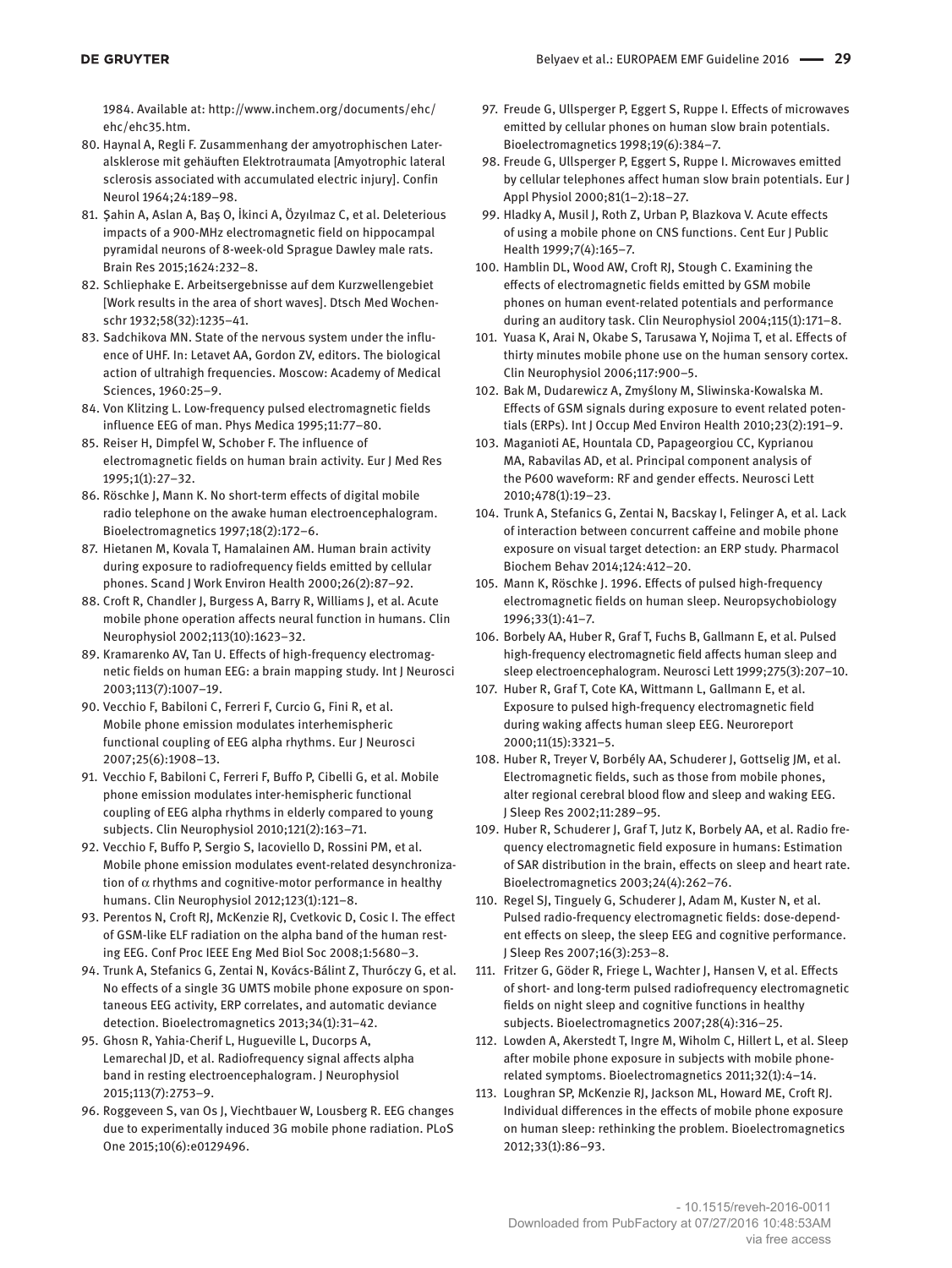1984. Available at: [http://www.inchem.org/documents/ehc/](http://www.inchem.org/documents/ehc/ehc/ehc35.htm) [ehc/ehc35.htm](http://www.inchem.org/documents/ehc/ehc/ehc35.htm).

- 80. Haynal A, Regli F. Zusammenhang der amyotrophischen Lateralsklerose mit gehäuften Elektrotraumata [Amyotrophic lateral sclerosis associated with accumulated electric injury]. Confin Neurol 1964;24:189–98.
- 81. Şahin A, Aslan A, Baş O, İkinci A, Özyılmaz C, et al. Deleterious impacts of a 900-MHz electromagnetic field on hippocampal pyramidal neurons of 8-week-old Sprague Dawley male rats. Brain Res 2015;1624:232–8.
- 82. Schliephake E. Arbeitsergebnisse auf dem Kurzwellengebiet [Work results in the area of short waves]. Dtsch Med Wochenschr 1932;58(32):1235–41.
- 83. Sadchikova MN. State of the nervous system under the influence of UHF. In: Letavet AA, Gordon ZV, editors. The biological action of ultrahigh frequencies. Moscow: Academy of Medical Sciences, 1960:25–9.
- 84. Von Klitzing L. Low-frequency pulsed electromagnetic fields influence EEG of man. Phys Medica 1995;11:77–80.
- 85. Reiser H, Dimpfel W, Schober F. The influence of electromagnetic fields on human brain activity. Eur J Med Res 1995;1(1):27–32.
- 86. Röschke J, Mann K. No short-term effects of digital mobile radio telephone on the awake human electroencephalogram. Bioelectromagnetics 1997;18(2):172–6.
- 87. Hietanen M, Kovala T, Hamalainen AM. Human brain activity during exposure to radiofrequency fields emitted by cellular phones. Scand J Work Environ Health 2000;26(2):87–92.
- 88. Croft R, Chandler J, Burgess A, Barry R, Williams J, et al. Acute mobile phone operation affects neural function in humans. Clin Neurophysiol 2002;113(10):1623–32.
- 89. Kramarenko AV, Tan U. Effects of high-frequency electromagnetic fields on human EEG: a brain mapping study. Int J Neurosci 2003;113(7):1007–19.
- 90. Vecchio F, Babiloni C, Ferreri F, Curcio G, Fini R, et al. Mobile phone emission modulates interhemispheric functional coupling of EEG alpha rhythms. Eur J Neurosci 2007;25(6):1908–13.
- 91. Vecchio F, Babiloni C, Ferreri F, Buffo P, Cibelli G, et al. Mobile phone emission modulates inter-hemispheric functional coupling of EEG alpha rhythms in elderly compared to young subjects. Clin Neurophysiol 2010;121(2):163–71.
- 92. Vecchio F, Buffo P, Sergio S, Iacoviello D, Rossini PM, et al. Mobile phone emission modulates event-related desynchronization of  $\alpha$  rhythms and cognitive-motor performance in healthy humans. Clin Neurophysiol 2012;123(1):121–8.
- 93. Perentos N, Croft RJ, McKenzie RJ, Cvetkovic D, Cosic I. The effect of GSM-like ELF radiation on the alpha band of the human resting EEG. Conf Proc IEEE Eng Med Biol Soc 2008;1:5680–3.
- 94. Trunk A, Stefanics G, Zentai N, Kovács-Bálint Z, Thuróczy G, et al. No effects of a single 3G UMTS mobile phone exposure on spontaneous EEG activity, ERP correlates, and automatic deviance detection. Bioelectromagnetics 2013;34(1):31–42.
- 95. Ghosn R, Yahia-Cherif L, Hugueville L, Ducorps A, Lemarechal JD, et al. Radiofrequency signal affects alpha band in resting electroencephalogram. J Neurophysiol 2015;113(7):2753–9.
- 96. Roggeveen S, van Os J, Viechtbauer W, Lousberg R. EEG changes due to experimentally induced 3G mobile phone radiation. PLoS One 2015;10(6):e0129496.
- 97. Freude G, Ullsperger P, Eggert S, Ruppe I. Effects of microwaves emitted by cellular phones on human slow brain potentials. Bioelectromagnetics 1998;19(6):384–7.
- 98. Freude G, Ullsperger P, Eggert S, Ruppe I. Microwaves emitted by cellular telephones affect human slow brain potentials. Eur J Appl Physiol 2000;81(1–2):18–27.
- 99. Hladky A, Musil J, Roth Z, Urban P, Blazkova V. Acute effects of using a mobile phone on CNS functions. Cent Eur J Public Health 1999;7(4):165–7.
- 100. Hamblin DL, Wood AW, Croft RJ, Stough C. Examining the effects of electromagnetic fields emitted by GSM mobile phones on human event-related potentials and performance during an auditory task. Clin Neurophysiol 2004;115(1):171–8.
- 101. Yuasa K, Arai N, Okabe S, Tarusawa Y, Nojima T, et al. Effects of thirty minutes mobile phone use on the human sensory cortex. Clin Neurophysiol 2006;117:900–5.
- 102. Bak M, Dudarewicz A, Zmyślony M, Sliwinska-Kowalska M. Effects of GSM signals during exposure to event related potentials (ERPs). Int J Occup Med Environ Health 2010;23(2):191–9.
- 103. Maganioti AE, Hountala CD, Papageorgiou CC, Kyprianou MA, Rabavilas AD, et al. Principal component analysis of the P600 waveform: RF and gender effects. Neurosci Lett 2010;478(1):19–23.
- 104. Trunk A, Stefanics G, Zentai N, Bacskay I, Felinger A, et al. Lack of interaction between concurrent caffeine and mobile phone exposure on visual target detection: an ERP study. Pharmacol Biochem Behav 2014;124:412–20.
- 105. Mann K, Röschke J. 1996. Effects of pulsed high-frequency electromagnetic fields on human sleep. Neuropsychobiology 1996;33(1):41–7.
- 106. Borbely AA, Huber R, Graf T, Fuchs B, Gallmann E, et al. Pulsed high-frequency electromagnetic field affects human sleep and sleep electroencephalogram. Neurosci Lett 1999;275(3):207–10.
- 107. Huber R, Graf T, Cote KA, Wittmann L, Gallmann E, et al. Exposure to pulsed high-frequency electromagnetic field during waking affects human sleep EEG. Neuroreport 2000;11(15):3321–5.
- 108. Huber R, Treyer V, Borbély AA, Schuderer J, Gottselig JM, et al. Electromagnetic fields, such as those from mobile phones, alter regional cerebral blood flow and sleep and waking EEG. J Sleep Res 2002;11:289–95.
- 109. Huber R, Schuderer J, Graf T, Jutz K, Borbely AA, et al. Radio frequency electromagnetic field exposure in humans: Estimation of SAR distribution in the brain, effects on sleep and heart rate. Bioelectromagnetics 2003;24(4):262–76.
- 110. Regel SJ, Tinguely G, Schuderer J, Adam M, Kuster N, et al. Pulsed radio-frequency electromagnetic fields: dose-dependent effects on sleep, the sleep EEG and cognitive performance. J Sleep Res 2007;16(3):253–8.
- 111. Fritzer G, Göder R, Friege L, Wachter J, Hansen V, et al. Effects of short- and long-term pulsed radiofrequency electromagnetic fields on night sleep and cognitive functions in healthy subjects. Bioelectromagnetics 2007;28(4):316–25.
- 112. Lowden A, Akerstedt T, Ingre M, Wiholm C, Hillert L, et al. Sleep after mobile phone exposure in subjects with mobile phonerelated symptoms. Bioelectromagnetics 2011;32(1):4–14.
- 113. Loughran SP, McKenzie RJ, Jackson ML, Howard ME, Croft RJ. Individual differences in the effects of mobile phone exposure on human sleep: rethinking the problem. Bioelectromagnetics 2012;33(1):86–93.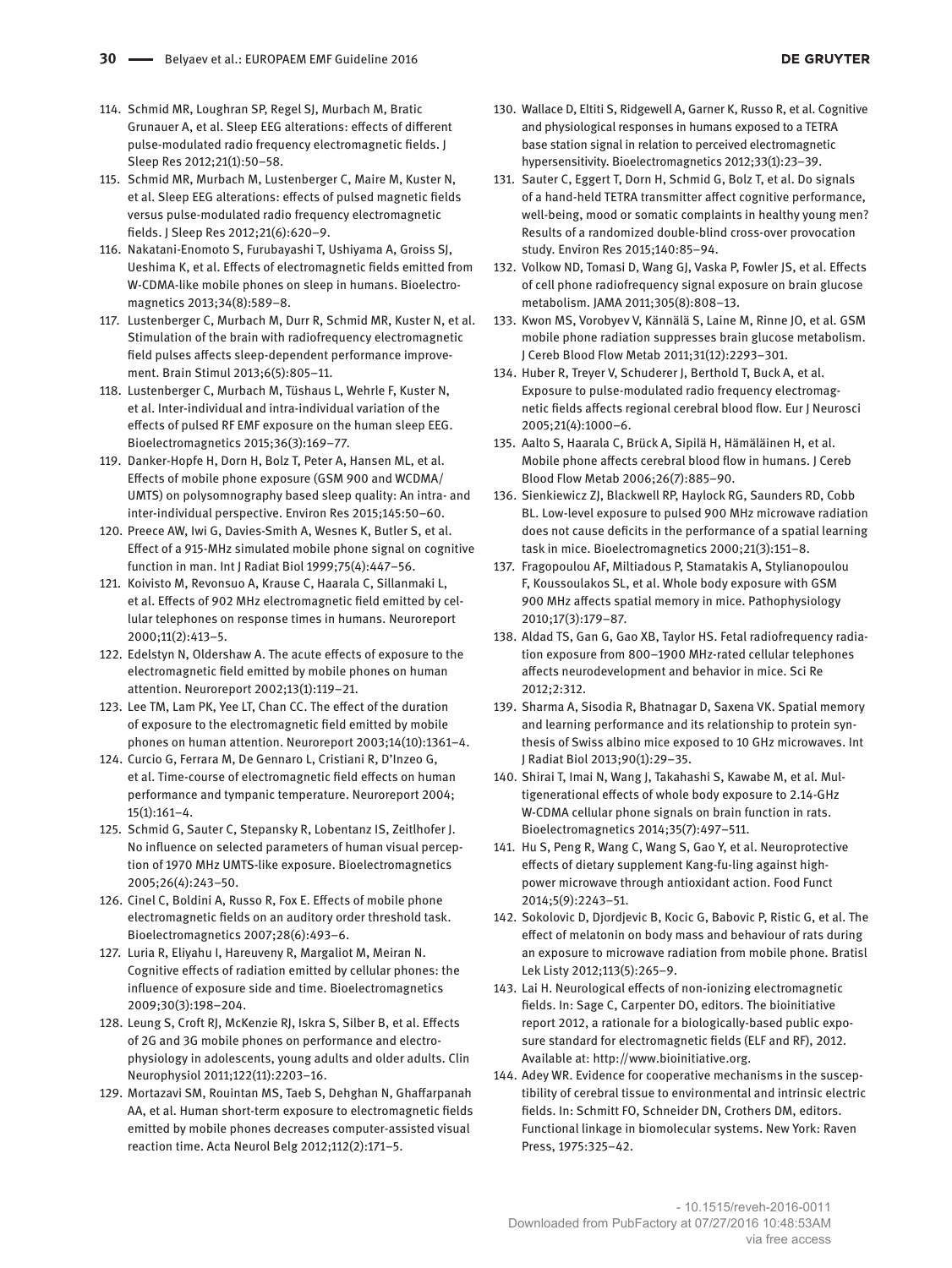- 114. Schmid MR, Loughran SP, Regel SJ, Murbach M, Bratic Grunauer A, et al. Sleep EEG alterations: effects of different pulse-modulated radio frequency electromagnetic fields. J Sleep Res 2012;21(1):50–58.
- 115. Schmid MR, Murbach M, Lustenberger C, Maire M, Kuster N, et al. Sleep EEG alterations: effects of pulsed magnetic fields versus pulse-modulated radio frequency electromagnetic fields. J Sleep Res 2012;21(6):620–9.
- 116. Nakatani-Enomoto S, Furubayashi T, Ushiyama A, Groiss SJ, Ueshima K, et al. Effects of electromagnetic fields emitted from W-CDMA-like mobile phones on sleep in humans. Bioelectromagnetics 2013;34(8):589–8.
- 117. Lustenberger C, Murbach M, Durr R, Schmid MR, Kuster N, et al. Stimulation of the brain with radiofrequency electromagnetic field pulses affects sleep-dependent performance improvement. Brain Stimul 2013;6(5):805–11.
- 118. Lustenberger C, Murbach M, Tüshaus L, Wehrle F, Kuster N, et al. Inter-individual and intra-individual variation of the effects of pulsed RF EMF exposure on the human sleep EEG. Bioelectromagnetics 2015;36(3):169–77.
- 119. Danker-Hopfe H, Dorn H, Bolz T, Peter A, Hansen ML, et al. Effects of mobile phone exposure (GSM 900 and WCDMA/ UMTS) on polysomnography based sleep quality: An intra- and inter-individual perspective. Environ Res 2015;145:50–60.
- 120. Preece AW, Iwi G, Davies-Smith A, Wesnes K, Butler S, et al. Effect of a 915-MHz simulated mobile phone signal on cognitive function in man. Int J Radiat Biol 1999;75(4):447–56.
- 121. Koivisto M, Revonsuo A, Krause C, Haarala C, Sillanmaki L, et al. Effects of 902 MHz electromagnetic field emitted by cellular telephones on response times in humans. Neuroreport 2000;11(2):413–5.
- 122. Edelstyn N, Oldershaw A. The acute effects of exposure to the electromagnetic field emitted by mobile phones on human attention. Neuroreport 2002;13(1):119–21.
- 123. Lee TM, Lam PK, Yee LT, Chan CC. The effect of the duration of exposure to the electromagnetic field emitted by mobile phones on human attention. Neuroreport 2003;14(10):1361–4.
- 124. Curcio G, Ferrara M, De Gennaro L, Cristiani R, D'Inzeo G, et al. Time-course of electromagnetic field effects on human performance and tympanic temperature. Neuroreport 2004; 15(1):161–4.
- 125. Schmid G, Sauter C, Stepansky R, Lobentanz IS, Zeitlhofer J. No influence on selected parameters of human visual perception of 1970 MHz UMTS-like exposure. Bioelectromagnetics 2005;26(4):243–50.
- 126. Cinel C, Boldini A, Russo R, Fox E. Effects of mobile phone electromagnetic fields on an auditory order threshold task. Bioelectromagnetics 2007;28(6):493–6.
- 127. Luria R, Eliyahu I, Hareuveny R, Margaliot M, Meiran N. Cognitive effects of radiation emitted by cellular phones: the influence of exposure side and time. Bioelectromagnetics 2009;30(3):198–204.
- 128. Leung S, Croft RJ, McKenzie RJ, Iskra S, Silber B, et al. Effects of 2G and 3G mobile phones on performance and electrophysiology in adolescents, young adults and older adults. Clin Neurophysiol 2011;122(11):2203–16.
- 129. Mortazavi SM, Rouintan MS, Taeb S, Dehghan N, Ghaffarpanah AA, et al. Human short-term exposure to electromagnetic fields emitted by mobile phones decreases computer-assisted visual reaction time. Acta Neurol Belg 2012;112(2):171–5.
- 130. Wallace D, Eltiti S, Ridgewell A, Garner K, Russo R, et al. Cognitive and physiological responses in humans exposed to a TETRA base station signal in relation to perceived electromagnetic hypersensitivity. Bioelectromagnetics 2012;33(1):23–39.
- 131. Sauter C, Eggert T, Dorn H, Schmid G, Bolz T, et al. Do signals of a hand-held TETRA transmitter affect cognitive performance, well-being, mood or somatic complaints in healthy young men? Results of a randomized double-blind cross-over provocation study. Environ Res 2015;140:85–94.
- 132. Volkow ND, Tomasi D, Wang GJ, Vaska P, Fowler JS, et al. Effects of cell phone radiofrequency signal exposure on brain glucose metabolism. JAMA 2011;305(8):808–13.
- 133. Kwon MS, Vorobyev V, Kännälä S, Laine M, Rinne JO, et al. GSM mobile phone radiation suppresses brain glucose metabolism. J Cereb Blood Flow Metab 2011;31(12):2293–301.
- 134. Huber R, Treyer V, Schuderer J, Berthold T, Buck A, et al. Exposure to pulse-modulated radio frequency electromagnetic fields affects regional cerebral blood flow. Eur J Neurosci 2005;21(4):1000–6.
- 135. Aalto S, Haarala C, Brück A, Sipilä H, Hämäläinen H, et al. Mobile phone affects cerebral blood flow in humans. J Cereb Blood Flow Metab 2006;26(7):885–90.
- 136. Sienkiewicz ZJ, Blackwell RP, Haylock RG, Saunders RD, Cobb BL. Low-level exposure to pulsed 900 MHz microwave radiation does not cause deficits in the performance of a spatial learning task in mice. Bioelectromagnetics 2000;21(3):151–8.
- 137. Fragopoulou AF, Miltiadous P, Stamatakis A, Stylianopoulou F, Koussoulakos SL, et al. Whole body exposure with GSM 900 MHz affects spatial memory in mice. Pathophysiology 2010;17(3):179–87.
- 138. Aldad TS, Gan G, Gao XB, Taylor HS. Fetal radiofrequency radiation exposure from 800–1900 MHz-rated cellular telephones affects neurodevelopment and behavior in mice. Sci Re  $2012.2.312$
- 139. Sharma A, Sisodia R, Bhatnagar D, Saxena VK. Spatial memory and learning performance and its relationship to protein synthesis of Swiss albino mice exposed to 10 GHz microwaves. Int J Radiat Biol 2013;90(1):29–35.
- 140. Shirai T, Imai N, Wang J, Takahashi S, Kawabe M, et al. Multigenerational effects of whole body exposure to 2.14-GHz W-CDMA cellular phone signals on brain function in rats. Bioelectromagnetics 2014;35(7):497–511.
- 141. Hu S, Peng R, Wang C, Wang S, Gao Y, et al. Neuroprotective effects of dietary supplement Kang-fu-ling against highpower microwave through antioxidant action. Food Funct 2014;5(9):2243–51.
- 142. Sokolovic D, Djordjevic B, Kocic G, Babovic P, Ristic G, et al. The effect of melatonin on body mass and behaviour of rats during an exposure to microwave radiation from mobile phone. Bratisl Lek Listy 2012;113(5):265–9.
- 143. Lai H. Neurological effects of non-ionizing electromagnetic fields. In: Sage C, Carpenter DO, editors. The bioinitiative report 2012, a rationale for a biologically-based public exposure standard for electromagnetic fields (ELF and RF), 2012. Available at: [http://www.bioinitiative.org.](http://www.bioinitiative.org)
- 144. Adey WR. Evidence for cooperative mechanisms in the susceptibility of cerebral tissue to environmental and intrinsic electric fields. In: Schmitt FO, Schneider DN, Crothers DM, editors. Functional linkage in biomolecular systems. New York: Raven Press, 1975:325–42.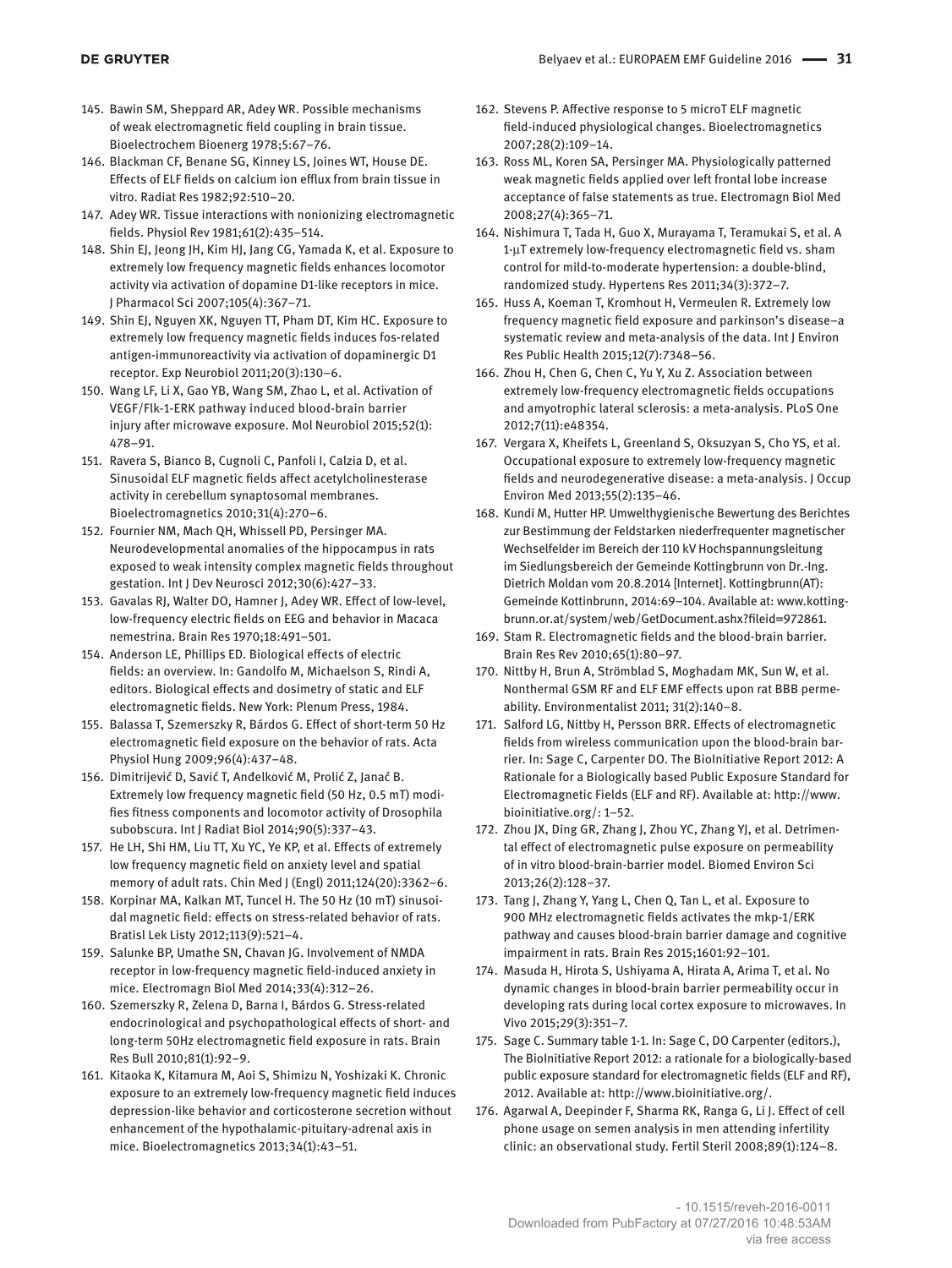- 145. Bawin SM, Sheppard AR, Adey WR. Possible mechanisms of weak electromagnetic field coupling in brain tissue. Bioelectrochem Bioenerg 1978;5:67–76.
- 146. Blackman CF, Benane SG, Kinney LS, Joines WT, House DE. Effects of ELF fields on calcium ion efflux from brain tissue in vitro. Radiat Res 1982;92:510–20.
- 147. Adey WR. Tissue interactions with nonionizing electromagnetic fields. Physiol Rev 1981;61(2):435–514.
- 148. Shin EJ, Jeong JH, Kim HJ, Jang CG, Yamada K, et al. Exposure to extremely low frequency magnetic fields enhances locomotor activity via activation of dopamine D1-like receptors in mice. J Pharmacol Sci 2007;105(4):367–71.
- 149. Shin EJ, Nguyen XK, Nguyen TT, Pham DT, Kim HC. Exposure to extremely low frequency magnetic fields induces fos-related antigen-immunoreactivity via activation of dopaminergic D1 receptor. Exp Neurobiol 2011;20(3):130–6.
- 150. Wang LF, Li X, Gao YB, Wang SM, Zhao L, et al. Activation of VEGF/Flk-1-ERK pathway induced blood-brain barrier injury after microwave exposure. Mol Neurobiol 2015;52(1): 478–91.
- 151. Ravera S, Bianco B, Cugnoli C, Panfoli I, Calzia D, et al. Sinusoidal ELF magnetic fields affect acetylcholinesterase activity in cerebellum synaptosomal membranes. Bioelectromagnetics 2010;31(4):270–6.
- 152. Fournier NM, Mach QH, Whissell PD, Persinger MA. Neurodevelopmental anomalies of the hippocampus in rats exposed to weak intensity complex magnetic fields throughout gestation. Int J Dev Neurosci 2012;30(6):427–33.
- 153. Gavalas RJ, Walter DO, Hamner J, Adey WR. Effect of low-level, low-frequency electric fields on EEG and behavior in Macaca nemestrina. Brain Res 1970;18:491–501.
- 154. Anderson LE, Phillips ED. Biological effects of electric fields: an overview. In: Gandolfo M, Michaelson S, Rindi A, editors. Biological effects and dosimetry of static and ELF electromagnetic fields. New York: Plenum Press, 1984.
- 155. Balassa T, Szemerszky R, Bárdos G. Effect of short-term 50 Hz electromagnetic field exposure on the behavior of rats. Acta Physiol Hung 2009;96(4):437–48.
- 156. Dimitrijević D, Savić T, Anđelković M, Prolić Z, Janać B. Extremely low frequency magnetic field (50 Hz, 0.5 mT) modifies fitness components and locomotor activity of Drosophila subobscura. Int J Radiat Biol 2014;90(5):337–43.
- 157. He LH, Shi HM, Liu TT, Xu YC, Ye KP, et al. Effects of extremely low frequency magnetic field on anxiety level and spatial memory of adult rats. Chin Med J (Engl) 2011;124(20):3362–6.
- 158. Korpinar MA, Kalkan MT, Tuncel H. The 50 Hz (10 mT) sinusoidal magnetic field: effects on stress-related behavior of rats. Bratisl Lek Listy 2012;113(9):521–4.
- 159. Salunke BP, Umathe SN, Chavan JG. Involvement of NMDA receptor in low-frequency magnetic field-induced anxiety in mice. Electromagn Biol Med 2014;33(4):312–26.
- 160. Szemerszky R, Zelena D, Barna I, Bárdos G. Stress-related endocrinological and psychopathological effects of short- and long-term 50Hz electromagnetic field exposure in rats. Brain Res Bull 2010;81(1):92–9.
- 161. Kitaoka K, Kitamura M, Aoi S, Shimizu N, Yoshizaki K. Chronic exposure to an extremely low-frequency magnetic field induces depression-like behavior and corticosterone secretion without enhancement of the hypothalamic-pituitary-adrenal axis in mice. Bioelectromagnetics 2013;34(1):43–51.
- 162. Stevens P. Affective response to 5 microT ELF magnetic field-induced physiological changes. Bioelectromagnetics 2007;28(2):109–14.
- 163. Ross ML, Koren SA, Persinger MA. Physiologically patterned weak magnetic fields applied over left frontal lobe increase acceptance of false statements as true. Electromagn Biol Med 2008;27(4):365–71.
- 164. Nishimura T, Tada H, Guo X, Murayama T, Teramukai S, et al. A 1-μT extremely low-frequency electromagnetic field vs. sham control for mild-to-moderate hypertension: a double-blind, randomized study. Hypertens Res 2011;34(3):372–7.
- 165. Huss A, Koeman T, Kromhout H, Vermeulen R. Extremely low frequency magnetic field exposure and parkinson's disease–a systematic review and meta-analysis of the data. Int J Environ Res Public Health 2015;12(7):7348–56.
- 166. Zhou H, Chen G, Chen C, Yu Y, Xu Z. Association between extremely low-frequency electromagnetic fields occupations and amyotrophic lateral sclerosis: a meta-analysis. PLoS One 2012;7(11):e48354.
- 167. Vergara X, Kheifets L, Greenland S, Oksuzyan S, Cho YS, et al. Occupational exposure to extremely low-frequency magnetic fields and neurodegenerative disease: a meta-analysis. J Occup Environ Med 2013;55(2):135–46.
- 168. Kundi M, Hutter HP. Umwelthygienische Bewertung des Berichtes zur Bestimmung der Feldstarken niederfrequenter magnetischer Wechselfelder im Bereich der 110 kV Hochspannungsleitung im Siedlungsbereich der Gemeinde Kottingbrunn von Dr.-Ing. Dietrich Moldan vom 20.8.2014 [Internet]. Kottingbrunn(AT): Gemeinde Kottinbrunn, 2014:69–104. Available at: [www.kotting](www.kottingbrunn.or.at/system/web/GetDocument.ashx?fileid=972861)[brunn.or.at/system/web/GetDocument.ashx?fileid=972861](www.kottingbrunn.or.at/system/web/GetDocument.ashx?fileid=972861).
- 169. Stam R. Electromagnetic fields and the blood-brain barrier. Brain Res Rev 2010;65(1):80–97.
- 170. Nittby H, Brun A, Strömblad S, Moghadam MK, Sun W, et al. Nonthermal GSM RF and ELF EMF effects upon rat BBB permeability. Environmentalist 2011; 31(2):140–8.
- 171. Salford LG, Nittby H, Persson BRR. Effects of electromagnetic fields from wireless communication upon the blood-brain barrier. In: Sage C, Carpenter DO. The BioInitiative Report 2012: A Rationale for a Biologically based Public Exposure Standard for Electromagnetic Fields (ELF and RF). Available at: [http://www.](http://www.bioinitiative.org/) [bioinitiative.org/:](http://www.bioinitiative.org/) 1–52.
- 172. Zhou JX, Ding GR, Zhang J, Zhou YC, Zhang YJ, et al. Detrimental effect of electromagnetic pulse exposure on permeability of in vitro blood-brain-barrier model. Biomed Environ Sci 2013;26(2):128–37.
- 173. Tang J, Zhang Y, Yang L, Chen Q, Tan L, et al. Exposure to 900 MHz electromagnetic fields activates the mkp-1/ERK pathway and causes blood-brain barrier damage and cognitive impairment in rats. Brain Res 2015;1601:92–101.
- 174. Masuda H, Hirota S, Ushiyama A, Hirata A, Arima T, et al. No dynamic changes in blood-brain barrier permeability occur in developing rats during local cortex exposure to microwaves. In Vivo 2015;29(3):351–7.
- 175. Sage C. Summary table 1-1. In: Sage C, DO Carpenter (editors.), The BioInitiative Report 2012: a rationale for a biologically-based public exposure standard for electromagnetic fields (ELF and RF), 2012. Available at: <http://www.bioinitiative.org/>.
- 176. Agarwal A, Deepinder F, Sharma RK, Ranga G, Li J. Effect of cell phone usage on semen analysis in men attending infertility clinic: an observational study. Fertil Steril 2008;89(1):124–8.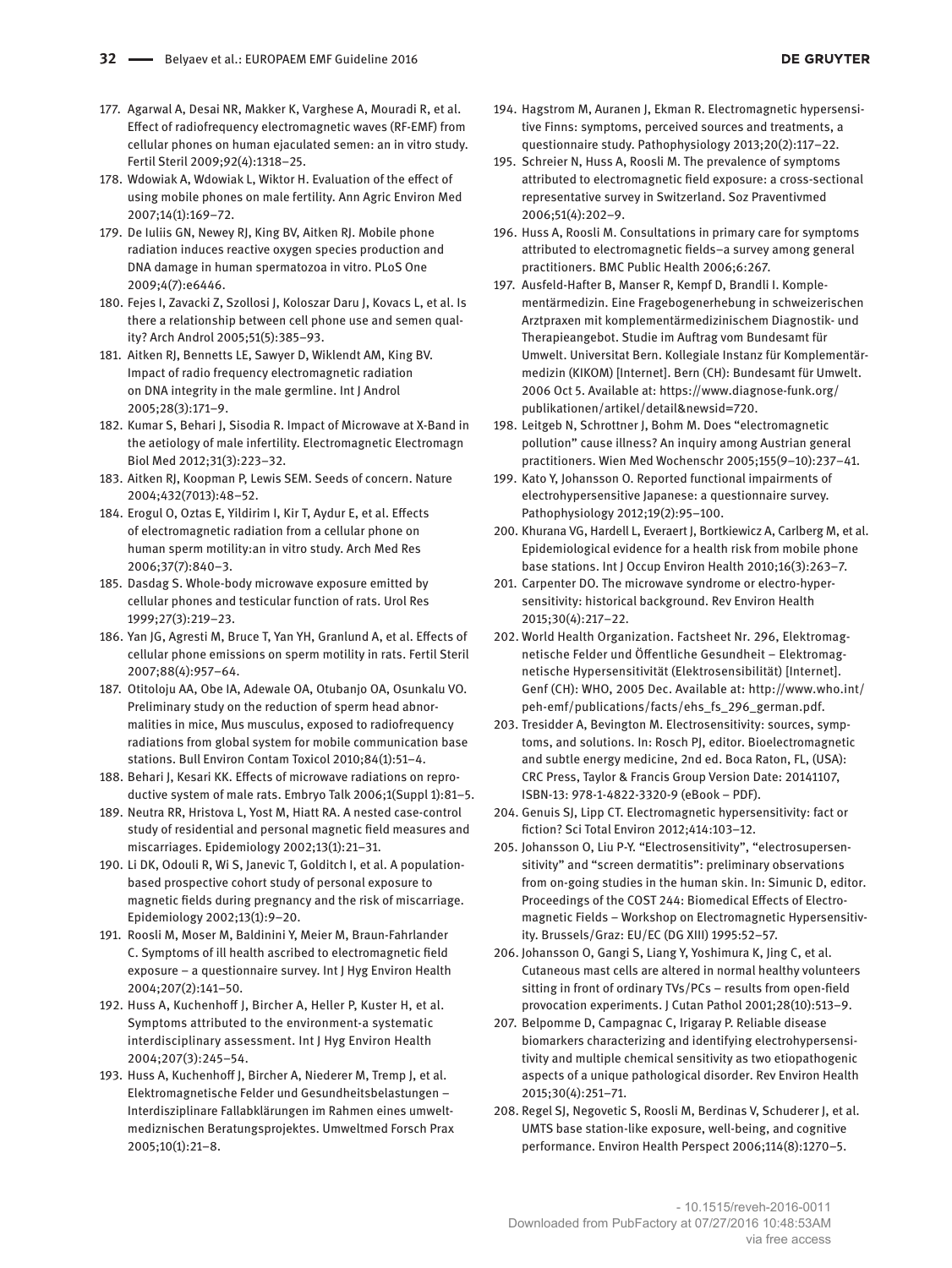- 177. Agarwal A, Desai NR, Makker K, Varghese A, Mouradi R, et al. Effect of radiofrequency electromagnetic waves (RF-EMF) from cellular phones on human ejaculated semen: an in vitro study. Fertil Steril 2009;92(4):1318–25.
- 178. Wdowiak A, Wdowiak L, Wiktor H. Evaluation of the effect of using mobile phones on male fertility. Ann Agric Environ Med 2007;14(1):169–72.
- 179. De Iuliis GN, Newey RJ, King BV, Aitken RJ. Mobile phone radiation induces reactive oxygen species production and DNA damage in human spermatozoa in vitro. PLoS One 2009;4(7):e6446.
- 180. Fejes I, Zavacki Z, Szollosi J, Koloszar Daru J, Kovacs L, et al. Is there a relationship between cell phone use and semen quality? Arch Androl 2005;51(5):385–93.
- 181. Aitken RJ, Bennetts LE, Sawyer D, Wiklendt AM, King BV. Impact of radio frequency electromagnetic radiation on DNA integrity in the male germline. Int J Androl 2005;28(3):171–9.
- 182. Kumar S, Behari J, Sisodia R. Impact of Microwave at X-Band in the aetiology of male infertility. Electromagnetic Electromagn Biol Med 2012;31(3):223–32.
- 183. Aitken RJ, Koopman P, Lewis SEM. Seeds of concern. Nature 2004;432(7013):48–52.
- 184. Erogul O, Oztas E, Yildirim I, Kir T, Aydur E, et al. Effects of electromagnetic radiation from a cellular phone on human sperm motility:an in vitro study. Arch Med Res 2006;37(7):840–3.
- 185. Dasdag S. Whole-body microwave exposure emitted by cellular phones and testicular function of rats. Urol Res 1999;27(3):219–23.
- 186. Yan JG, Agresti M, Bruce T, Yan YH, Granlund A, et al. Effects of cellular phone emissions on sperm motility in rats. Fertil Steril 2007;88(4):957–64.
- 187. Otitoloju AA, Obe IA, Adewale OA, Otubanjo OA, Osunkalu VO. Preliminary study on the reduction of sperm head abnormalities in mice, Mus musculus, exposed to radiofrequency radiations from global system for mobile communication base stations. Bull Environ Contam Toxicol 2010;84(1):51–4.
- 188. Behari J, Kesari KK. Effects of microwave radiations on reproductive system of male rats. Embryo Talk 2006;1(Suppl 1):81–5.
- 189. Neutra RR, Hristova L, Yost M, Hiatt RA. A nested case-control study of residential and personal magnetic field measures and miscarriages. Epidemiology 2002;13(1):21–31.
- 190. Li DK, Odouli R, Wi S, Janevic T, Golditch I, et al. A populationbased prospective cohort study of personal exposure to magnetic fields during pregnancy and the risk of miscarriage. Epidemiology 2002;13(1):9–20.
- 191. Roosli M, Moser M, Baldinini Y, Meier M, Braun-Fahrlander C. Symptoms of ill health ascribed to electromagnetic field exposure – a questionnaire survey. Int J Hyg Environ Health 2004;207(2):141–50.
- 192. Huss A, Kuchenhoff J, Bircher A, Heller P, Kuster H, et al. Symptoms attributed to the environment-a systematic interdisciplinary assessment. Int J Hyg Environ Health 2004;207(3):245–54.
- 193. Huss A, Kuchenhoff J, Bircher A, Niederer M, Tremp J, et al. Elektromagnetische Felder und Gesundheitsbelastungen – Interdisziplinare Fallabklärungen im Rahmen eines umweltmediznischen Beratungsprojektes. Umweltmed Forsch Prax 2005;10(1):21–8.
- 194. Hagstrom M, Auranen J, Ekman R. Electromagnetic hypersensitive Finns: symptoms, perceived sources and treatments, a questionnaire study. Pathophysiology 2013;20(2):117–22.
- 195. Schreier N, Huss A, Roosli M. The prevalence of symptoms attributed to electromagnetic field exposure: a cross-sectional representative survey in Switzerland. Soz Praventivmed 2006;51(4):202–9.
- 196. Huss A, Roosli M. Consultations in primary care for symptoms attributed to electromagnetic fields–a survey among general practitioners. BMC Public Health 2006;6:267.
- 197. Ausfeld-Hafter B, Manser R, Kempf D, Brandli I. Komplementärmedizin. Eine Fragebogenerhebung in schweizerischen Arztpraxen mit komplementärmedizinischem Diagnostik- und Therapieangebot. Studie im Auftrag vom Bundesamt für Umwelt. Universitat Bern. Kollegiale Instanz für Komplementärmedizin (KIKOM) [Internet]. Bern (CH): Bundesamt für Umwelt. 2006 Oct 5. Available at: [https://www.diagnose-funk.org/](https://www.diagnose-funk.org/publikationen/artikel/detail&newsid=720) [publikationen/artikel/detail&newsid=720](https://www.diagnose-funk.org/publikationen/artikel/detail&newsid=720).
- 198. Leitgeb N, Schrottner J, Bohm M. Does "electromagnetic pollution" cause illness? An inquiry among Austrian general practitioners. Wien Med Wochenschr 2005;155(9–10):237–41.
- 199. Kato Y, Johansson O. Reported functional impairments of electrohypersensitive Japanese: a questionnaire survey. Pathophysiology 2012;19(2):95–100.
- 200. Khurana VG, Hardell L, Everaert J, Bortkiewicz A, Carlberg M, et al. Epidemiological evidence for a health risk from mobile phone base stations. Int J Occup Environ Health 2010;16(3):263–7.
- 201. Carpenter DO. The microwave syndrome or electro-hypersensitivity: historical background. Rev Environ Health 2015;30(4):217–22.
- 202. World Health Organization. Factsheet Nr. 296, Elektromagnetische Felder und Öffentliche Gesundheit – Elektromagnetische Hypersensitivität (Elektrosensibilität) [Internet]. Genf (CH): WHO, 2005 Dec. Available at: [http://www.who.int/](http://www.who.int/peh-emf/publications/facts/ehs_fs_296_german.pdf) [peh-emf/publications/facts/ehs\\_fs\\_296\\_german.pdf](http://www.who.int/peh-emf/publications/facts/ehs_fs_296_german.pdf).
- 203. Tresidder A, Bevington M. Electrosensitivity: sources, symptoms, and solutions. In: Rosch PJ, editor. Bioelectromagnetic and subtle energy medicine, 2nd ed. Boca Raton, FL, (USA): CRC Press, Taylor & Francis Group Version Date: 20141107, ISBN-13: 978-1-4822-3320-9 (eBook – PDF).
- 204. Genuis SJ, Lipp CT. Electromagnetic hypersensitivity: fact or fiction? Sci Total Environ 2012;414:103–12.
- 205. Johansson O, Liu P-Y. "Electrosensitivity", "electrosupersensitivity" and "screen dermatitis": preliminary observations from on-going studies in the human skin. In: Simunic D, editor. Proceedings of the COST 244: Biomedical Effects of Electromagnetic Fields – Workshop on Electromagnetic Hypersensitivity. Brussels/Graz: EU/EC (DG XIII) 1995:52–57.
- 206. Johansson O, Gangi S, Liang Y, Yoshimura K, Jing C, et al. Cutaneous mast cells are altered in normal healthy volunteers sitting in front of ordinary TVs/PCs – results from open-field provocation experiments. J Cutan Pathol 2001;28(10):513–9.
- 207. Belpomme D, Campagnac C, Irigaray P. Reliable disease biomarkers characterizing and identifying electrohypersensitivity and multiple chemical sensitivity as two etiopathogenic aspects of a unique pathological disorder. Rev Environ Health 2015;30(4):251–71.
- 208. Regel SJ, Negovetic S, Roosli M, Berdinas V, Schuderer J, et al. UMTS base station-like exposure, well-being, and cognitive performance. Environ Health Perspect 2006;114(8):1270–5.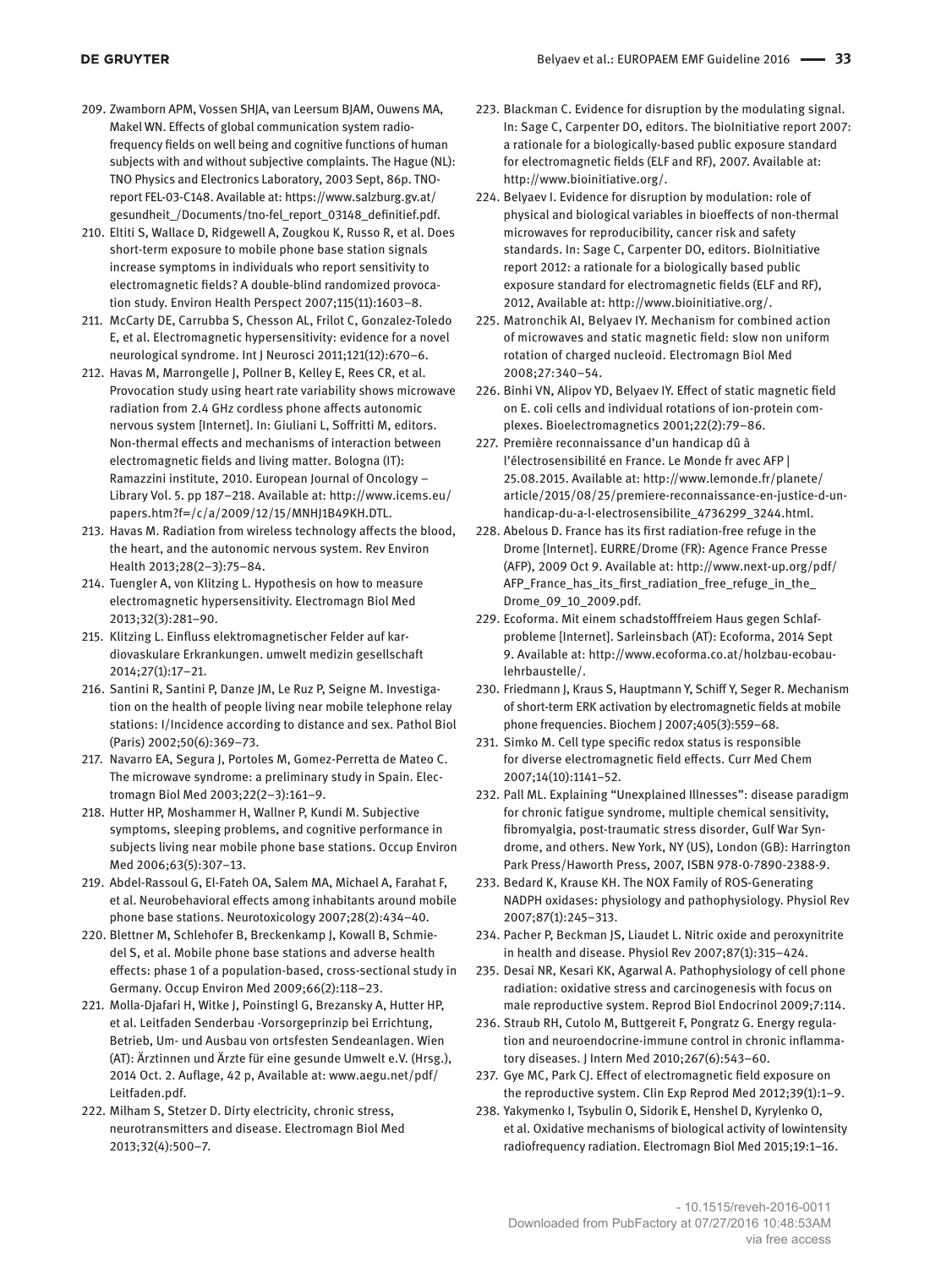- 209. Zwamborn APM, Vossen SHJA, van Leersum BJAM, Ouwens MA, Makel WN. Effects of global communication system radiofrequency fields on well being and cognitive functions of human subjects with and without subjective complaints. The Hague (NL): TNO Physics and Electronics Laboratory, 2003 Sept, 86p. TNOreport FEL-03-C148. Available at: [https://www.salzburg.gv.at/](https://www.salzburg.gv.at/gesundheit_/Documents/tno-fel_report_03148_definitief.pdf) [gesundheit\\_/Documents/tno-fel\\_report\\_03148\\_definitief.pdf](https://www.salzburg.gv.at/gesundheit_/Documents/tno-fel_report_03148_definitief.pdf).
- 210. Eltiti S, Wallace D, Ridgewell A, Zougkou K, Russo R, et al. Does short-term exposure to mobile phone base station signals increase symptoms in individuals who report sensitivity to electromagnetic fields? A double-blind randomized provocation study. Environ Health Perspect 2007;115(11):1603–8.
- 211. McCarty DE, Carrubba S, Chesson AL, Frilot C, Gonzalez-Toledo E, et al. Electromagnetic hypersensitivity: evidence for a novel neurological syndrome. Int J Neurosci 2011;121(12):670–6.
- 212. Havas M, Marrongelle J, Pollner B, Kelley E, Rees CR, et al. Provocation study using heart rate variability shows microwave radiation from 2.4 GHz cordless phone affects autonomic nervous system [Internet]. In: Giuliani L, Soffritti M, editors. Non-thermal effects and mechanisms of interaction between electromagnetic fields and living matter. Bologna (IT): Ramazzini institute, 2010. European Journal of Oncology – Library Vol. 5. pp 187–218. Available at: [http://www.icems.eu/](http://www.icems.eu/papers.htm?f=/c/a/2009/12/15/MNHJ1B49KH.DTL) [papers.htm?f=/c/a/2009/12/15/MNHJ1B49KH.DTL](http://www.icems.eu/papers.htm?f=/c/a/2009/12/15/MNHJ1B49KH.DTL).
- 213. Havas M. Radiation from wireless technology affects the blood, the heart, and the autonomic nervous system. Rev Environ Health 2013;28(2–3):75–84.
- 214. Tuengler A, von Klitzing L. Hypothesis on how to measure electromagnetic hypersensitivity. Electromagn Biol Med 2013;32(3):281–90.
- 215. Klitzing L. Einfluss elektromagnetischer Felder auf kardiovaskulare Erkrankungen. umwelt medizin gesellschaft 2014;27(1):17–21.
- 216. Santini R, Santini P, Danze JM, Le Ruz P, Seigne M. Investigation on the health of people living near mobile telephone relay stations: I/Incidence according to distance and sex. Pathol Biol (Paris) 2002;50(6):369–73.
- 217. Navarro EA, Segura J, Portoles M, Gomez-Perretta de Mateo C. The microwave syndrome: a preliminary study in Spain. Electromagn Biol Med 2003;22(2–3):161–9.
- 218. Hutter HP, Moshammer H, Wallner P, Kundi M. Subjective symptoms, sleeping problems, and cognitive performance in subjects living near mobile phone base stations. Occup Environ Med 2006;63(5):307–13.
- 219. Abdel-Rassoul G, El-Fateh OA, Salem MA, Michael A, Farahat F, et al. Neurobehavioral effects among inhabitants around mobile phone base stations. Neurotoxicology 2007;28(2):434–40.
- 220. Blettner M, Schlehofer B, Breckenkamp J, Kowall B, Schmiedel S, et al. Mobile phone base stations and adverse health effects: phase 1 of a population-based, cross-sectional study in Germany. Occup Environ Med 2009;66(2):118–23.
- 221. Molla-Djafari H, Witke J, Poinstingl G, Brezansky A, Hutter HP, et al. Leitfaden Senderbau -Vorsorgeprinzip bei Errichtung, Betrieb, Um- und Ausbau von ortsfesten Sendeanlagen. Wien (AT): Ärztinnen und Ärzte für eine gesunde Umwelt e.V. (Hrsg.), 2014 Oct. 2. Auflage, 42 p, Available at: [www.aegu.net/pdf/](www.aegu.net/pdf/Leitfaden.pdf) [Leitfaden.pdf.](www.aegu.net/pdf/Leitfaden.pdf)
- 222. Milham S, Stetzer D. Dirty electricity, chronic stress, neurotransmitters and disease. Electromagn Biol Med 2013;32(4):500–7.
- 223. Blackman C. Evidence for disruption by the modulating signal. In: Sage C, Carpenter DO, editors. The bioInitiative report 2007: a rationale for a biologically-based public exposure standard for electromagnetic fields (ELF and RF), 2007. Available at: [http://www.bioinitiative.org/.](http://www.bioinitiative.org/)
- 224. Belyaev I. Evidence for disruption by modulation: role of physical and biological variables in bioeffects of non-thermal microwaves for reproducibility, cancer risk and safety standards. In: Sage C, Carpenter DO, editors. BioInitiative report 2012: a rationale for a biologically based public exposure standard for electromagnetic fields (ELF and RF), 2012, Available at: <http://www.bioinitiative.org/>.
- 225. Matronchik AI, Belyaev IY. Mechanism for combined action of microwaves and static magnetic field: slow non uniform rotation of charged nucleoid. Electromagn Biol Med 2008;27:340–54.
- 226. Binhi VN, Alipov YD, Belyaev IY. Effect of static magnetic field on E. coli cells and individual rotations of ion-protein complexes. Bioelectromagnetics 2001;22(2):79–86.
- 227. Première reconnaissance d'un handicap dû à l'électrosensibilité en France. Le Monde fr avec AFP | 25.08.2015. Available at: [http://www.lemonde.fr/planete/](http://www.lemonde.fr/planete/article/2015/08/25/premiere-reconnaissance-en-justice-d-un-handicap-du-a-l-electrosensibilite_4736299_3244.html) [article/2015/08/25/premiere-reconnaissance-en-justice-d-un](http://www.lemonde.fr/planete/article/2015/08/25/premiere-reconnaissance-en-justice-d-un-handicap-du-a-l-electrosensibilite_4736299_3244.html)[handicap-du-a-l-electrosensibilite\\_4736299\\_3244.html](http://www.lemonde.fr/planete/article/2015/08/25/premiere-reconnaissance-en-justice-d-un-handicap-du-a-l-electrosensibilite_4736299_3244.html).
- 228. Abelous D. France has its first radiation-free refuge in the Drome [Internet]. EURRE/Drome (FR): Agence France Presse (AFP), 2009 Oct 9. Available at: [http://www.next-up.org/pdf/](http://www.next-up.org/pdf/AFP_France_has_its_first_radiation_free_refuge_in_the_Drome_09_10_2009.pdf) [AFP\\_France\\_has\\_its\\_first\\_radiation\\_free\\_refuge\\_in\\_the\\_](http://www.next-up.org/pdf/AFP_France_has_its_first_radiation_free_refuge_in_the_Drome_09_10_2009.pdf) [Drome\\_09\\_10\\_2009.pdf](http://www.next-up.org/pdf/AFP_France_has_its_first_radiation_free_refuge_in_the_Drome_09_10_2009.pdf).
- 229. Ecoforma. Mit einem schadstofffreiem Haus gegen Schlafprobleme [Internet]. Sarleinsbach (AT): Ecoforma, 2014 Sept 9. Available at: [http://www.ecoforma.co.at/holzbau-ecobau](http://www.ecoforma.co.at/holzbau-ecobau-lehrbaustelle/)[lehrbaustelle/.](http://www.ecoforma.co.at/holzbau-ecobau-lehrbaustelle/)
- 230. Friedmann J, Kraus S, Hauptmann Y, Schiff Y, Seger R. Mechanism of short-term ERK activation by electromagnetic fields at mobile phone frequencies. Biochem J 2007;405(3):559–68.
- 231. Simko M. Cell type specific redox status is responsible for diverse electromagnetic field effects. Curr Med Chem 2007;14(10):1141–52.
- 232. Pall ML. Explaining "Unexplained Illnesses": disease paradigm for chronic fatigue syndrome, multiple chemical sensitivity, fibromyalgia, post-traumatic stress disorder, Gulf War Syndrome, and others. New York, NY (US), London (GB): Harrington Park Press/Haworth Press, 2007, ISBN 978-0-7890-2388-9.
- 233. Bedard K, Krause KH. The NOX Family of ROS-Generating NADPH oxidases: physiology and pathophysiology. Physiol Rev 2007;87(1):245–313.
- 234. Pacher P, Beckman JS, Liaudet L. Nitric oxide and peroxynitrite in health and disease. Physiol Rev 2007;87(1):315–424.
- 235. Desai NR, Kesari KK, Agarwal A. Pathophysiology of cell phone radiation: oxidative stress and carcinogenesis with focus on male reproductive system. Reprod Biol Endocrinol 2009;7:114.
- 236. Straub RH, Cutolo M, Buttgereit F, Pongratz G. Energy regulation and neuroendocrine-immune control in chronic inflammatory diseases. J Intern Med 2010;267(6):543–60.
- 237. Gye MC, Park CJ. Effect of electromagnetic field exposure on the reproductive system. Clin Exp Reprod Med 2012;39(1):1–9.
- 238. Yakymenko I, Tsybulin O, Sidorik E, Henshel D, Kyrylenko O, et al. Oxidative mechanisms of biological activity of lowintensity radiofrequency radiation. Electromagn Biol Med 2015;19:1–16.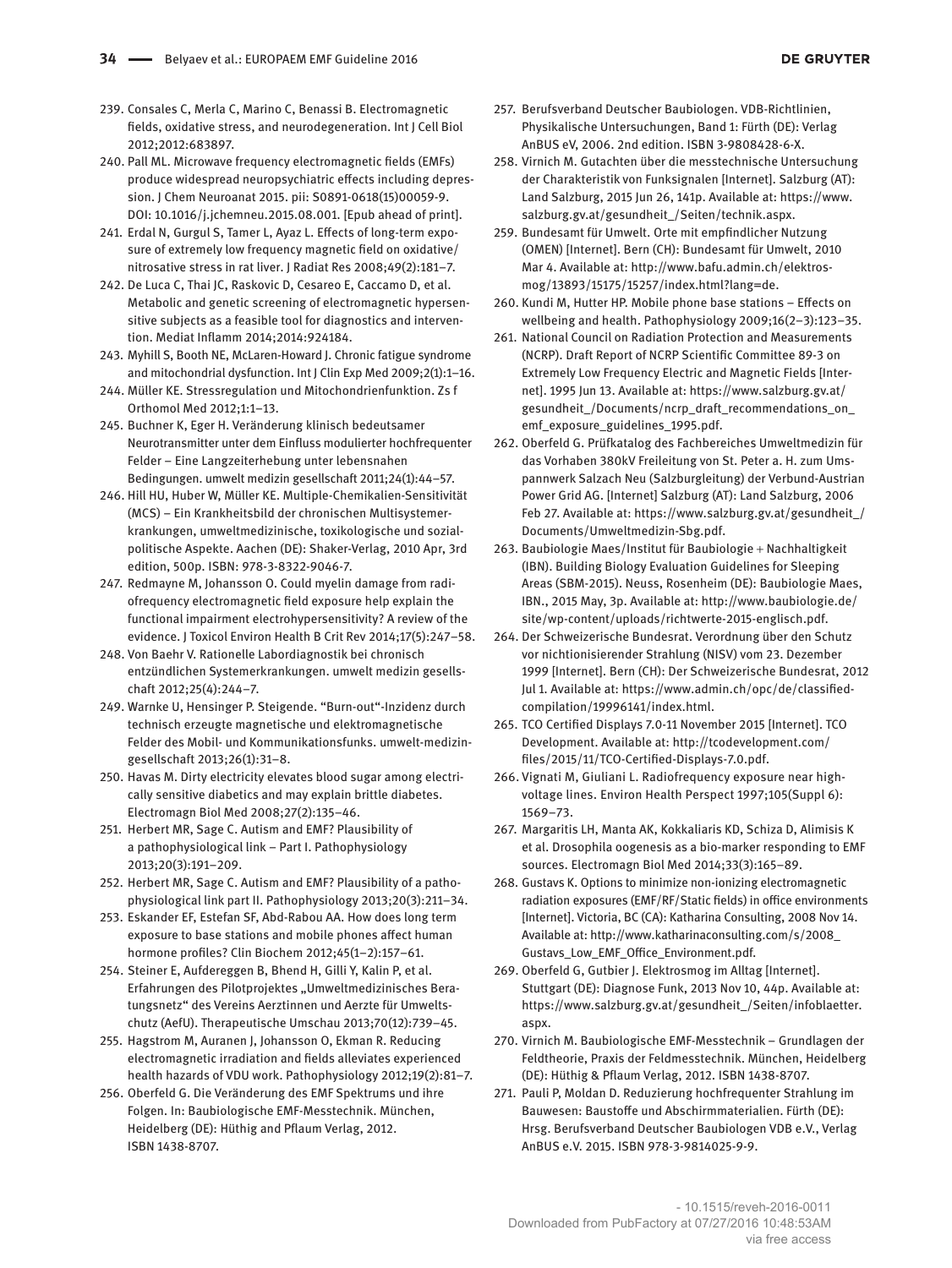- 239. Consales C, Merla C, Marino C, Benassi B. Electromagnetic fields, oxidative stress, and neurodegeneration. Int J Cell Biol 2012;2012:683897.
- 240. Pall ML. Microwave frequency electromagnetic fields (EMFs) produce widespread neuropsychiatric effects including depression. J Chem Neuroanat 2015. pii: S0891-0618(15)00059-9. DOI: 10.1016/j.jchemneu.2015.08.001. [Epub ahead of print].
- 241. Erdal N, Gurgul S, Tamer L, Ayaz L. Effects of long-term exposure of extremely low frequency magnetic field on oxidative/ nitrosative stress in rat liver. J Radiat Res 2008;49(2):181–7.
- 242. De Luca C, Thai JC, Raskovic D, Cesareo E, Caccamo D, et al. Metabolic and genetic screening of electromagnetic hypersensitive subjects as a feasible tool for diagnostics and intervention. Mediat Inflamm 2014;2014:924184.
- 243. Myhill S, Booth NE, McLaren-Howard J. Chronic fatigue syndrome and mitochondrial dysfunction. Int J Clin Exp Med 2009;2(1):1–16.
- 244. Müller KE. Stressregulation und Mitochondrienfunktion. Zs f Orthomol Med 2012;1:1–13.
- 245. Buchner K, Eger H. Veränderung klinisch bedeutsamer Neurotransmitter unter dem Einfluss modulierter hochfrequenter Felder – Eine Langzeiterhebung unter lebensnahen Bedingungen. umwelt medizin gesellschaft 2011;24(1):44–57.
- 246. Hill HU, Huber W, Müller KE. Multiple-Chemikalien-Sensitivität (MCS) – Ein Krankheitsbild der chronischen Multisystemerkrankungen, umweltmedizinische, toxikologische und sozialpolitische Aspekte. Aachen (DE): Shaker-Verlag, 2010 Apr, 3rd edition, 500p. ISBN: 978-3-8322-9046-7.
- 247. Redmayne M, Johansson O. Could myelin damage from radiofrequency electromagnetic field exposure help explain the functional impairment electrohypersensitivity? A review of the evidence. J Toxicol Environ Health B Crit Rev 2014;17(5):247–58.
- 248. Von Baehr V. Rationelle Labordiagnostik bei chronisch entzündlichen Systemerkrankungen. umwelt medizin gesellschaft 2012;25(4):244–7.
- 249. Warnke U, Hensinger P. Steigende. "Burn-out"-Inzidenz durch technisch erzeugte magnetische und elektromagnetische Felder des Mobil- und Kommunikationsfunks. umwelt-medizingesellschaft 2013;26(1):31–8.
- 250. Havas M. Dirty electricity elevates blood sugar among electrically sensitive diabetics and may explain brittle diabetes. Electromagn Biol Med 2008;27(2):135–46.
- 251. Herbert MR, Sage C. Autism and EMF? Plausibility of a pathophysiological link – Part I. Pathophysiology 2013;20(3):191–209.
- 252. Herbert MR, Sage C. Autism and EMF? Plausibility of a pathophysiological link part II. Pathophysiology 2013;20(3):211–34.
- 253. Eskander EF, Estefan SF, Abd-Rabou AA. How does long term exposure to base stations and mobile phones affect human hormone profiles? Clin Biochem 2012;45(1–2):157–61.
- 254. Steiner E, Aufdereggen B, Bhend H, Gilli Y, Kalin P, et al. Erfahrungen des Pilotprojektes "Umweltmedizinisches Beratungsnetz" des Vereins Aerztinnen und Aerzte für Umweltschutz (AefU). Therapeutische Umschau 2013;70(12):739–45.
- 255. Hagstrom M, Auranen J, Johansson O, Ekman R. Reducing electromagnetic irradiation and fields alleviates experienced health hazards of VDU work. Pathophysiology 2012;19(2):81–7.
- 256. Oberfeld G. Die Veränderung des EMF Spektrums und ihre Folgen. In: Baubiologische EMF-Messtechnik. München, Heidelberg (DE): Hüthig and Pflaum Verlag, 2012. ISBN 1438-8707.
- 257. Berufsverband Deutscher Baubiologen. VDB-Richtlinien, Physikalische Untersuchungen, Band 1: Fürth (DE): Verlag AnBUS eV, 2006. 2nd edition. ISBN 3-9808428-6-X.
- 258. Virnich M. Gutachten über die messtechnische Untersuchung der Charakteristik von Funksignalen [Internet]. Salzburg (AT): Land Salzburg, 2015 Jun 26, 141p. Available at: [https://www.](https://www.salzburg.gv.at/gesundheit_/Seiten/technik.aspx) [salzburg.gv.at/gesundheit\\_/Seiten/technik.aspx.](https://www.salzburg.gv.at/gesundheit_/Seiten/technik.aspx)
- 259. Bundesamt für Umwelt. Orte mit empfindlicher Nutzung (OMEN) [Internet]. Bern (CH): Bundesamt für Umwelt, 2010 Mar 4. Available at: [http://www.bafu.admin.ch/elektros](http://www.bafu.admin.ch/elektrosmog/13893/15175/15257/index.html?lang=de)[mog/13893/15175/15257/index.html?lang=de](http://www.bafu.admin.ch/elektrosmog/13893/15175/15257/index.html?lang=de).
- 260. Kundi M, Hutter HP. Mobile phone base stations Effects on wellbeing and health. Pathophysiology 2009;16(2–3):123–35.
- 261. National Council on Radiation Protection and Measurements (NCRP). Draft Report of NCRP Scientific Committee 89-3 on Extremely Low Frequency Electric and Magnetic Fields [Internet]. 1995 Jun 13. Available at: [https://www.salzburg.gv.at/](https://www.salzburg.gv.at/gesundheit_/Documents/ncrp_draft_recommendations_on_emf_exposure_guidelines_1995.pdf) [gesundheit\\_/Documents/ncrp\\_draft\\_recommendations\\_on\\_](https://www.salzburg.gv.at/gesundheit_/Documents/ncrp_draft_recommendations_on_emf_exposure_guidelines_1995.pdf) emf exposure guidelines 1995.pdf.
- 262. Oberfeld G. Prüfkatalog des Fachbereiches Umweltmedizin für das Vorhaben 380kV Freileitung von St. Peter a. H. zum Umspannwerk Salzach Neu (Salzburgleitung) der Verbund-Austrian Power Grid AG. [Internet] Salzburg (AT): Land Salzburg, 2006 Feb 27. Available at: [https://www.salzburg.gv.at/gesundheit\\_/](https://www.salzburg.gv.at/gesundheit_/Documents/Umweltmedizin-Sbg.pdf) [Documents/Umweltmedizin-Sbg.pdf.](https://www.salzburg.gv.at/gesundheit_/Documents/Umweltmedizin-Sbg.pdf)
- 263. Baubiologie Maes/Institut für Baubiologie + Nachhaltigkeit (IBN). Building Biology Evaluation Guidelines for Sleeping Areas (SBM-2015). Neuss, Rosenheim (DE): Baubiologie Maes, IBN., 2015 May, 3p. Available at: [http://www.baubiologie.de/](http://www.baubiologie.de/site/wp-content/uploads/richtwerte-2015-englisch.pdf) [site/wp-content/uploads/richtwerte-2015-englisch.pdf](http://www.baubiologie.de/site/wp-content/uploads/richtwerte-2015-englisch.pdf).
- 264. Der Schweizerische Bundesrat. Verordnung über den Schutz vor nichtionisierender Strahlung (NISV) vom 23. Dezember 1999 [Internet]. Bern (CH): Der Schweizerische Bundesrat, 2012 Jul 1. Available at: [https://www.admin.ch/opc/de/classified](https://www.admin.ch/opc/de/classified-compilation/19996141/index.html)[compilation/19996141/index.html.](https://www.admin.ch/opc/de/classified-compilation/19996141/index.html)
- 265. TCO Certified Displays 7.0-11 November 2015 [Internet]. TCO Development. Available at: [http://tcodevelopment.com/](http://tcodevelopment.com/files/2015/11/TCO-Certified-Displays-7.0.pdf) [files/2015/11/TCO-Certified-Displays-7.0.pdf](http://tcodevelopment.com/files/2015/11/TCO-Certified-Displays-7.0.pdf).
- 266. Vignati M, Giuliani L. Radiofrequency exposure near highvoltage lines. Environ Health Perspect 1997;105(Suppl 6): 1569–73.
- 267. Margaritis LH, Manta AK, Kokkaliaris KD, Schiza D, Alimisis K et al. Drosophila oogenesis as a bio-marker responding to EMF sources. Electromagn Biol Med 2014;33(3):165–89.
- 268. Gustavs K. Options to minimize non-ionizing electromagnetic radiation exposures (EMF/RF/Static fields) in office environments [Internet]. Victoria, BC (CA): Katharina Consulting, 2008 Nov 14. Available at: [http://www.katharinaconsulting.com/s/2008\\_](http://www.katharinaconsulting.com/s/2008_Gustavs_Low_EMF_Office_Environment.pdf) [Gustavs\\_Low\\_EMF\\_Office\\_Environment.pdf](http://www.katharinaconsulting.com/s/2008_Gustavs_Low_EMF_Office_Environment.pdf).
- 269. Oberfeld G, Gutbier J. Elektrosmog im Alltag [Internet]. Stuttgart (DE): Diagnose Funk, 2013 Nov 10, 44p. Available at: [https://www.salzburg.gv.at/gesundheit\\_/Seiten/infoblaetter.](https://www.salzburg.gv.at/gesundheit_/Seiten/infoblaetter.aspx) [aspx.](https://www.salzburg.gv.at/gesundheit_/Seiten/infoblaetter.aspx)
- 270. Virnich M. Baubiologische EMF-Messtechnik Grundlagen der Feldtheorie, Praxis der Feldmesstechnik. München, Heidelberg (DE): Hüthig & Pflaum Verlag, 2012. ISBN 1438-8707.
- 271. Pauli P, Moldan D. Reduzierung hochfrequenter Strahlung im Bauwesen: Baustoffe und Abschirmmaterialien. Fürth (DE): Hrsg. Berufsverband Deutscher Baubiologen VDB e.V., Verlag AnBUS e.V. 2015. ISBN 978-3-9814025-9-9.